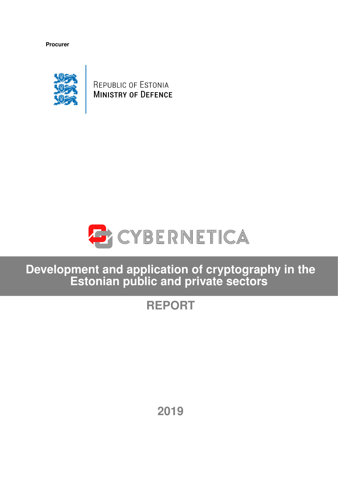**Procurer**



REPUBLIC OF ESTONIA **MINISTRY OF DEFENCE** 



**Development and application of cryptography in the Estonian public and private sectors**

# **REPORT**

**2019**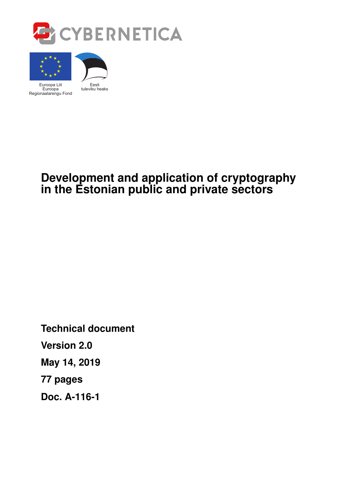



# **Development and application of cryptography in the Estonian public and private sectors**

**Technical document Version 2.0 May 14, 2019 [77](#page-76-0) pages Doc. A-116-1**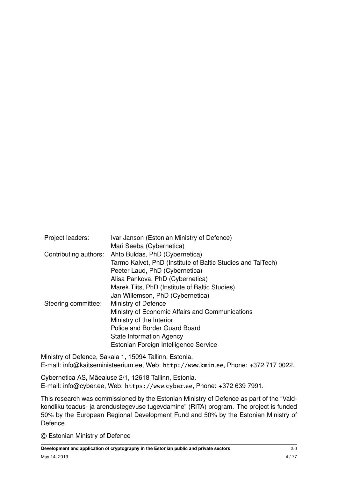| Project leaders:      | Ivar Janson (Estonian Ministry of Defence)                  |
|-----------------------|-------------------------------------------------------------|
|                       | Mari Seeba (Cybernetica)                                    |
| Contributing authors: | Ahto Buldas, PhD (Cybernetica)                              |
|                       | Tarmo Kalvet, PhD (Institute of Baltic Studies and TalTech) |
|                       | Peeter Laud, PhD (Cybernetica)                              |
|                       | Alisa Pankova, PhD (Cybernetica)                            |
|                       | Marek Tiits, PhD (Institute of Baltic Studies)              |
|                       | Jan Willemson, PhD (Cybernetica)                            |
| Steering committee:   | Ministry of Defence                                         |
|                       | Ministry of Economic Affairs and Communications             |
|                       | Ministry of the Interior                                    |
|                       | Police and Border Guard Board                               |
|                       | State Information Agency                                    |
|                       | Estonian Foreign Intelligence Service                       |
|                       |                                                             |

Ministry of Defence, Sakala 1, 15094 Tallinn, Estonia. E-mail: [info@kaitseministeerium.ee,](mailto:info@kaitseministeerium.ee) Web: [http://www](http://www.kmin.ee).kmin.ee, Phone: +372 717 0022.

Cybernetica AS, Mäealuse 2/1, 12618 Tallinn, Estonia. E-mail: [info@cyber.ee,](mailto:info@cyber.ee) Web: [https://www](https://www.cyber.ee).cyber.ee, Phone: +372 639 7991.

This research was commissioned by the Estonian Ministry of Defence as part of the "Valdkondliku teadus- ja arendustegevuse tugevdamine" (RITA) program. The project is funded 50% by the European Regional Development Fund and 50% by the Estonian Ministry of Defence.

c Estonian Ministry of Defence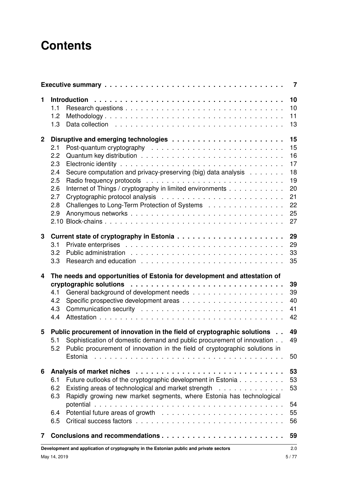# **Contents**

|              | $\overline{7}$                                                                                                                                                                                                                                             |                                                                |  |  |  |  |  |
|--------------|------------------------------------------------------------------------------------------------------------------------------------------------------------------------------------------------------------------------------------------------------------|----------------------------------------------------------------|--|--|--|--|--|
| 1            | 1.1<br>1.2<br>Data collection enterpresent results and response to the contract of the contract of the contract of the contr<br>1.3                                                                                                                        | 10<br>10<br>11<br>13                                           |  |  |  |  |  |
| $\mathbf{2}$ | 2.1<br>2.2<br>2.3<br>Secure computation and privacy-preserving (big) data analysis<br>2.4<br>2.5<br>Internet of Things / cryptography in limited environments<br>2.6<br>2.7<br>2.8<br>Challenges to Long-Term Protection of Systems<br>2.9                 | 15<br>15<br>16<br>17<br>18<br>19<br>20<br>21<br>22<br>25<br>27 |  |  |  |  |  |
| 3            | 3.1<br>3.2<br>3.3                                                                                                                                                                                                                                          | 29<br>29<br>33<br>35                                           |  |  |  |  |  |
| 4            | The needs and opportunities of Estonia for development and attestation of<br>4.1<br>4.2<br>4.3<br>4.4                                                                                                                                                      | 39<br>39<br>40<br>41<br>42                                     |  |  |  |  |  |
| 5            | Public procurement of innovation in the field of cryptographic solutions<br>Sophistication of domestic demand and public procurement of innovation<br>5.1<br>Public procurement of innovation in the field of cryptographic solutions in<br>5.2<br>Estonia | 49<br>49<br>50                                                 |  |  |  |  |  |
| 6            | Future outlooks of the cryptographic development in Estonia<br>6.1<br>Existing areas of technological and market strength<br>6.2<br>Rapidly growing new market segments, where Estonia has technological<br>6.3<br>6.4<br>6.5                              | 53<br>53<br>53<br>54<br>55<br>56                               |  |  |  |  |  |
| 7            |                                                                                                                                                                                                                                                            | 59                                                             |  |  |  |  |  |
|              | Development and application of cryptography in the Estonian public and private sectors                                                                                                                                                                     | 2.0                                                            |  |  |  |  |  |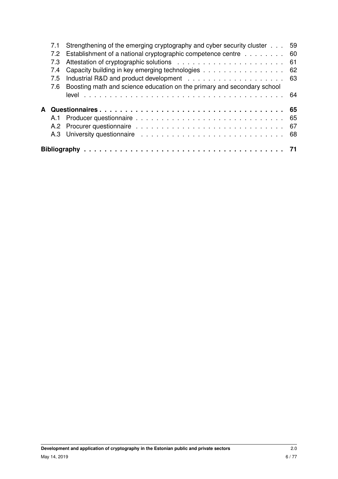|   | 7.1 | Strengthening of the emerging cryptography and cyber security cluster<br>59 |    |  |  |  |  |  |  |
|---|-----|-----------------------------------------------------------------------------|----|--|--|--|--|--|--|
|   | 7.2 | Establishment of a national cryptographic competence centre<br>-60          |    |  |  |  |  |  |  |
|   | 7.3 |                                                                             | 61 |  |  |  |  |  |  |
|   | 7.4 | Capacity building in key emerging technologies<br>62                        |    |  |  |  |  |  |  |
|   | 7.5 | 63                                                                          |    |  |  |  |  |  |  |
|   | 7.6 | Boosting math and science education on the primary and secondary school     |    |  |  |  |  |  |  |
|   |     |                                                                             |    |  |  |  |  |  |  |
|   |     |                                                                             |    |  |  |  |  |  |  |
|   |     |                                                                             |    |  |  |  |  |  |  |
| A |     |                                                                             | 65 |  |  |  |  |  |  |
|   | A.1 |                                                                             | 65 |  |  |  |  |  |  |
|   |     |                                                                             | 67 |  |  |  |  |  |  |
|   |     |                                                                             |    |  |  |  |  |  |  |
|   |     |                                                                             |    |  |  |  |  |  |  |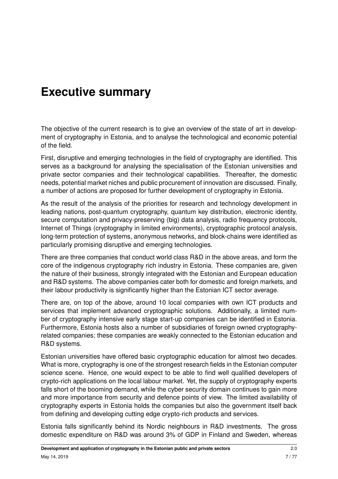# <span id="page-6-0"></span>**Executive summary**

The objective of the current research is to give an overview of the state of art in development of cryptography in Estonia, and to analyse the technological and economic potential of the field.

First, disruptive and emerging technologies in the field of cryptography are identified. This serves as a background for analysing the specialisation of the Estonian universities and private sector companies and their technological capabilities. Thereafter, the domestic needs, potential market niches and public procurement of innovation are discussed. Finally, a number of actions are proposed for further development of cryptography in Estonia.

As the result of the analysis of the priorities for research and technology development in leading nations, post-quantum cryptography, quantum key distribution, electronic identity, secure computation and privacy-preserving (big) data analysis, radio frequency protocols, Internet of Things (cryptography in limited environments), cryptographic protocol analysis, long-term protection of systems, anonymous networks, and block-chains were identified as particularly promising disruptive and emerging technologies.

There are three companies that conduct world class R&D in the above areas, and form the core of the indigenous cryptography rich industry in Estonia. These companies are, given the nature of their business, strongly integrated with the Estonian and European education and R&D systems. The above companies cater both for domestic and foreign markets, and their labour productivity is significantly higher than the Estonian ICT sector average.

There are, on top of the above, around 10 local companies with own ICT products and services that implement advanced cryptographic solutions. Additionally, a limited number of cryptography intensive early stage start-up companies can be identified in Estonia. Furthermore, Estonia hosts also a number of subsidiaries of foreign owned cryptographyrelated companies; these companies are weakly connected to the Estonian education and R&D systems.

Estonian universities have offered basic cryptographic education for almost two decades. What is more, cryptography is one of the strongest research fields in the Estonian computer science scene. Hence, one would expect to be able to find well qualified developers of crypto-rich applications on the local labour market. Yet, the supply of cryptography experts falls short of the booming demand, while the cyber security domain continues to gain more and more importance from security and defence points of view. The limited availability of cryptography experts in Estonia holds the companies but also the government itself back from defining and developing cutting edge crypto-rich products and services.

Estonia falls significantly behind its Nordic neighbours in R&D investments. The gross domestic expenditure on R&D was around 3% of GDP in Finland and Sweden, whereas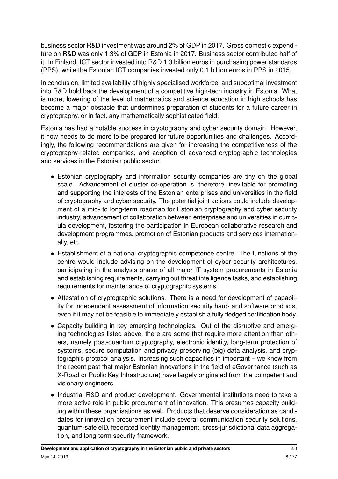business sector R&D investment was around 2% of GDP in 2017. Gross domestic expenditure on R&D was only 1.3% of GDP in Estonia in 2017. Business sector contributed half of it. In Finland, ICT sector invested into R&D 1.3 billion euros in purchasing power standards (PPS), while the Estonian ICT companies invested only 0.1 billion euros in PPS in 2015.

In conclusion, limited availability of highly specialised workforce, and suboptimal investment into R&D hold back the development of a competitive high-tech industry in Estonia. What is more, lowering of the level of mathematics and science education in high schools has become a major obstacle that undermines preparation of students for a future career in cryptography, or in fact, any mathematically sophisticated field.

Estonia has had a notable success in cryptography and cyber security domain. However, it now needs to do more to be prepared for future opportunities and challenges. Accordingly, the following recommendations are given for increasing the competitiveness of the cryptography-related companies, and adoption of advanced cryptographic technologies and services in the Estonian public sector.

- Estonian cryptography and information security companies are tiny on the global scale. Advancement of cluster co-operation is, therefore, inevitable for promoting and supporting the interests of the Estonian enterprises and universities in the field of cryptography and cyber security. The potential joint actions could include development of a mid- to long-term roadmap for Estonian cryptography and cyber security industry, advancement of collaboration between enterprises and universities in curricula development, fostering the participation in European collaborative research and development programmes, promotion of Estonian products and services internationally, etc.
- Establishment of a national cryptographic competence centre. The functions of the centre would include advising on the development of cyber security architectures, participating in the analysis phase of all major IT system procurements in Estonia and establishing requirements, carrying out threat intelligence tasks, and establishing requirements for maintenance of cryptographic systems.
- Attestation of cryptographic solutions. There is a need for development of capability for independent assessment of information security hard- and software products, even if it may not be feasible to immediately establish a fully fledged certification body.
- Capacity building in key emerging technologies. Out of the disruptive and emerging technologies listed above, there are some that require more attention than others, namely post-quantum cryptography, electronic identity, long-term protection of systems, secure computation and privacy preserving (big) data analysis, and cryptographic protocol analysis. Increasing such capacities in important – we know from the recent past that major Estonian innovations in the field of eGovernance (such as X-Road or Public Key Infrastructure) have largely originated from the competent and visionary engineers.
- Industrial R&D and product development. Governmental institutions need to take a more active role in public procurement of innovation. This presumes capacity building within these organisations as well. Products that deserve consideration as candidates for innovation procurement include several communication security solutions, quantum-safe eID, federated identity management, cross-jurisdictional data aggregation, and long-term security framework.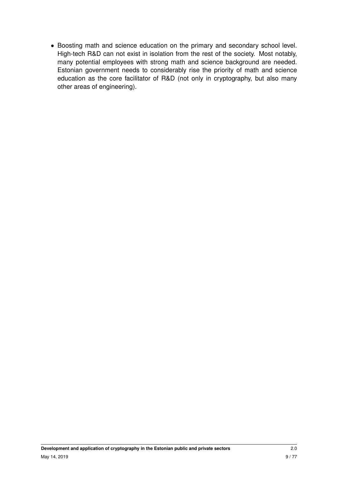• Boosting math and science education on the primary and secondary school level. High-tech R&D can not exist in isolation from the rest of the society. Most notably, many potential employees with strong math and science background are needed. Estonian government needs to considerably rise the priority of math and science education as the core facilitator of R&D (not only in cryptography, but also many other areas of engineering).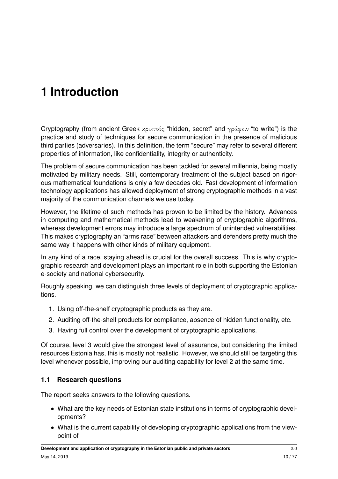# <span id="page-9-0"></span>**1 Introduction**

Cryptography (from ancient Greek κρυπτός "hidden, secret" and γράφειν "to write") is the practice and study of techniques for secure communication in the presence of malicious third parties (adversaries). In this definition, the term "secure" may refer to several different properties of information, like confidentiality, integrity or authenticity.

The problem of secure communication has been tackled for several millennia, being mostly motivated by military needs. Still, contemporary treatment of the subject based on rigorous mathematical foundations is only a few decades old. Fast development of information technology applications has allowed deployment of strong cryptographic methods in a vast majority of the communication channels we use today.

However, the lifetime of such methods has proven to be limited by the history. Advances in computing and mathematical methods lead to weakening of cryptographic algorithms, whereas development errors may introduce a large spectrum of unintended vulnerabilities. This makes cryptography an "arms race" between attackers and defenders pretty much the same way it happens with other kinds of military equipment.

In any kind of a race, staying ahead is crucial for the overall success. This is why cryptographic research and development plays an important role in both supporting the Estonian e-society and national cybersecurity.

Roughly speaking, we can distinguish three levels of deployment of cryptographic applications.

- 1. Using off-the-shelf cryptographic products as they are.
- 2. Auditing off-the-shelf products for compliance, absence of hidden functionality, etc.
- 3. Having full control over the development of cryptographic applications.

Of course, level 3 would give the strongest level of assurance, but considering the limited resources Estonia has, this is mostly not realistic. However, we should still be targeting this level whenever possible, improving our auditing capability for level 2 at the same time.

### <span id="page-9-1"></span>**1.1 Research questions**

The report seeks answers to the following questions.

- What are the key needs of Estonian state institutions in terms of cryptographic developments?
- What is the current capability of developing cryptographic applications from the viewpoint of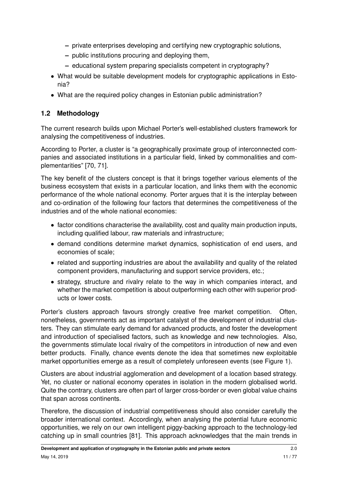- **–** private enterprises developing and certifying new cryptographic solutions,
- **–** public institutions procuring and deploying them,
- **–** educational system preparing specialists competent in cryptography?
- What would be suitable development models for cryptographic applications in Estonia?
- What are the required policy changes in Estonian public administration?

# <span id="page-10-0"></span>**1.2 Methodology**

The current research builds upon Michael Porter's well-established clusters framework for analysing the competitiveness of industries.

According to Porter, a cluster is "a geographically proximate group of interconnected companies and associated institutions in a particular field, linked by commonalities and complementarities" [\[70,](#page-75-0) [71\]](#page-75-1).

The key benefit of the clusters concept is that it brings together various elements of the business ecosystem that exists in a particular location, and links them with the economic performance of the whole national economy. Porter argues that it is the interplay between and co-ordination of the following four factors that determines the competitiveness of the industries and of the whole national economies:

- factor conditions characterise the availability, cost and quality main production inputs, including qualified labour, raw materials and infrastructure;
- demand conditions determine market dynamics, sophistication of end users, and economies of scale;
- related and supporting industries are about the availability and quality of the related component providers, manufacturing and support service providers, etc.;
- strategy, structure and rivalry relate to the way in which companies interact, and whether the market competition is about outperforming each other with superior products or lower costs.

Porter's clusters approach favours strongly creative free market competition. Often, nonetheless, governments act as important catalyst of the development of industrial clusters. They can stimulate early demand for advanced products, and foster the development and introduction of specialised factors, such as knowledge and new technologies. Also, the governments stimulate local rivalry of the competitors in introduction of new and even better products. Finally, chance events denote the idea that sometimes new exploitable market opportunities emerge as a result of completely unforeseen events (see Figure [1\)](#page-11-0).

Clusters are about industrial agglomeration and development of a location based strategy. Yet, no cluster or national economy operates in isolation in the modern globalised world. Quite the contrary, clusters are often part of larger cross-border or even global value chains that span across continents.

Therefore, the discussion of industrial competitiveness should also consider carefully the broader international context. Accordingly, when analysing the potential future economic opportunities, we rely on our own intelligent piggy-backing approach to the technology-led catching up in small countries [\[81\]](#page-76-1). This approach acknowledges that the main trends in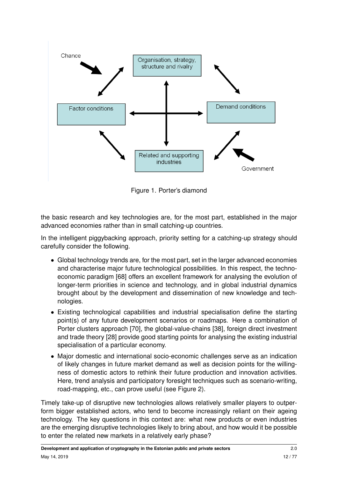<span id="page-11-0"></span>

Figure 1. Porter's diamond

the basic research and key technologies are, for the most part, established in the major advanced economies rather than in small catching-up countries.

In the intelligent piggybacking approach, priority setting for a catching-up strategy should carefully consider the following.

- Global technology trends are, for the most part, set in the larger advanced economies and characterise major future technological possibilities. In this respect, the technoeconomic paradigm [\[68\]](#page-75-2) offers an excellent framework for analysing the evolution of longer-term priorities in science and technology, and in global industrial dynamics brought about by the development and dissemination of new knowledge and technologies.
- Existing technological capabilities and industrial specialisation define the starting point(s) of any future development scenarios or roadmaps. Here a combination of Porter clusters approach [\[70\]](#page-75-0), the global-value-chains [\[38\]](#page-73-0), foreign direct investment and trade theory [\[28\]](#page-72-0) provide good starting points for analysing the existing industrial specialisation of a particular economy.
- Major domestic and international socio-economic challenges serve as an indication of likely changes in future market demand as well as decision points for the willingness of domestic actors to rethink their future production and innovation activities. Here, trend analysis and participatory foresight techniques such as scenario-writing, road-mapping, etc., can prove useful (see Figure [2\)](#page-12-1).

Timely take-up of disruptive new technologies allows relatively smaller players to outperform bigger established actors, who tend to become increasingly reliant on their ageing technology. The key questions in this context are: what new products or even industries are the emerging disruptive technologies likely to bring about, and how would it be possible to enter the related new markets in a relatively early phase?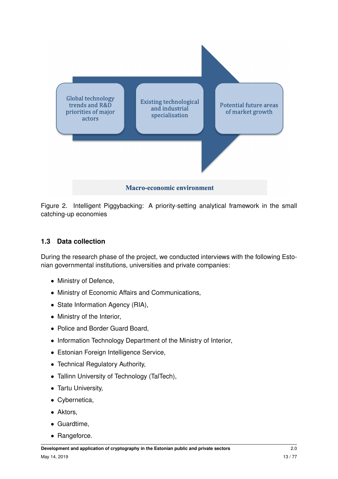<span id="page-12-1"></span>

Figure 2. Intelligent Piggybacking: A priority-setting analytical framework in the small catching-up economies

#### <span id="page-12-0"></span>**1.3 Data collection**

During the research phase of the project, we conducted interviews with the following Estonian governmental institutions, universities and private companies:

- Ministry of Defence,
- Ministry of Economic Affairs and Communications,
- State Information Agency (RIA),
- Ministry of the Interior,
- Police and Border Guard Board,
- Information Technology Department of the Ministry of Interior,
- Estonian Foreign Intelligence Service,
- Technical Regulatory Authority,
- Tallinn University of Technology (TalTech),
- Tartu University,
- Cybernetica,
- Aktors,
- Guardtime,
- Rangeforce.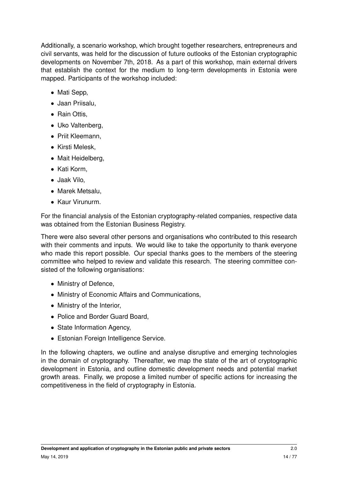Additionally, a scenario workshop, which brought together researchers, entrepreneurs and civil servants, was held for the discussion of future outlooks of the Estonian cryptographic developments on November 7th, 2018. As a part of this workshop, main external drivers that establish the context for the medium to long-term developments in Estonia were mapped. Participants of the workshop included:

- Mati Sepp,
- Jaan Priisalu,
- Rain Ottis,
- Uko Valtenberg,
- Priit Kleemann,
- Kirsti Melesk,
- Mait Heidelberg,
- Kati Korm,
- Jaak Vilo,
- Marek Metsalu,
- Kaur Virunurm.

For the financial analysis of the Estonian cryptography-related companies, respective data was obtained from the Estonian Business Registry.

There were also several other persons and organisations who contributed to this research with their comments and inputs. We would like to take the opportunity to thank everyone who made this report possible. Our special thanks goes to the members of the steering committee who helped to review and validate this research. The steering committee consisted of the following organisations:

- Ministry of Defence,
- Ministry of Economic Affairs and Communications,
- Ministry of the Interior,
- Police and Border Guard Board,
- State Information Agency,
- Estonian Foreign Intelligence Service.

In the following chapters, we outline and analyse disruptive and emerging technologies in the domain of cryptography. Thereafter, we map the state of the art of cryptographic development in Estonia, and outline domestic development needs and potential market growth areas. Finally, we propose a limited number of specific actions for increasing the competitiveness in the field of cryptography in Estonia.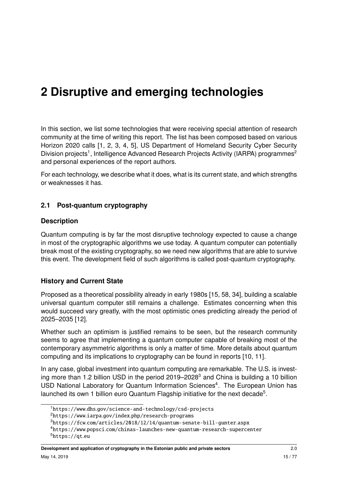# <span id="page-14-0"></span>**2 Disruptive and emerging technologies**

In this section, we list some technologies that were receiving special attention of research community at the time of writing this report. The list has been composed based on various Horizon 2020 calls [\[1,](#page-70-1) [2,](#page-70-2) [3,](#page-70-3) [4,](#page-70-4) [5\]](#page-70-5), US Department of Homeland Security Cyber Security Division projects<sup>[1](#page-14-2)</sup>, Intelligence Advanced Research Projects Activity (IARPA) programmes<sup>[2](#page-14-3)</sup> and personal experiences of the report authors.

For each technology, we describe what it does, what is its current state, and which strengths or weaknesses it has.

#### <span id="page-14-1"></span>**2.1 Post-quantum cryptography**

#### **Description**

Quantum computing is by far the most disruptive technology expected to cause a change in most of the cryptographic algorithms we use today. A quantum computer can potentially break most of the existing cryptography, so we need new algorithms that are able to survive this event. The development field of such algorithms is called post-quantum cryptography.

#### **History and Current State**

Proposed as a theoretical possibility already in early 1980s [\[15,](#page-71-0) [58,](#page-74-0) [34\]](#page-72-1), building a scalable universal quantum computer still remains a challenge. Estimates concerning when this would succeed vary greatly, with the most optimistic ones predicting already the period of 2025–2035 [\[12\]](#page-71-1).

Whether such an optimism is justified remains to be seen, but the research community seems to agree that implementing a quantum computer capable of breaking most of the contemporary asymmetric algorithms is only a matter of time. More details about quantum computing and its implications to cryptography can be found in reports [\[10,](#page-70-6) [11\]](#page-71-2).

In any case, global investment into quantum computing are remarkable. The U.S. is investing more than 1.2 billion USD in the period  $2019-2028<sup>3</sup>$  $2019-2028<sup>3</sup>$  $2019-2028<sup>3</sup>$  and China is building a 10 billion USD National Laboratory for Quantum Information Sciences<sup>[4](#page-14-5)</sup>. The European Union has launched its own 1 billion euro Quantum Flagship initiative for the next decade<sup>[5](#page-14-6)</sup>.

<span id="page-14-2"></span><sup>1</sup>https://www.dhs.[gov/science-and-technology/csd-projects](https://www.dhs.gov/science-and-technology/csd-projects)

<span id="page-14-3"></span><sup>2</sup>https://www.iarpa.gov/index.[php/research-programs](https://www.iarpa.gov/index.php/research-programs)

<span id="page-14-4"></span><sup>3</sup>https://fcw.[com/articles/2018/12/14/quantum-senate-bill-gunter](https://fcw.com/articles/2018/12/14/quantum-senate-bill-gunter.aspx).aspx

<span id="page-14-6"></span><span id="page-14-5"></span><sup>4</sup>https://www.popsci.[com/chinas-launches-new-quantum-research-supercenter](https://www.popsci.com/chinas-launches-new-quantum-research-supercenter)  $5$ [https://qt](https://qt.eu).eu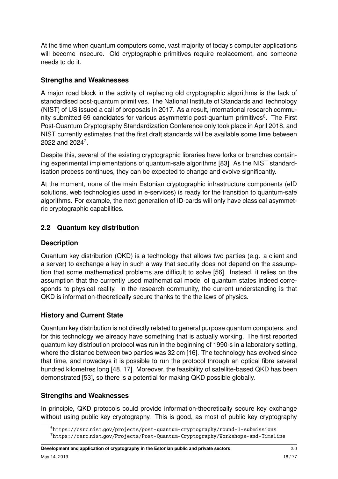At the time when quantum computers come, vast majority of today's computer applications will become insecure. Old cryptographic primitives require replacement, and someone needs to do it.

#### **Strengths and Weaknesses**

A major road block in the activity of replacing old cryptographic algorithms is the lack of standardised post-quantum primitives. The National Institute of Standards and Technology (NIST) of US issued a call of proposals in 2017. As a result, international research commu-nity submitted [6](#page-15-1)9 candidates for various asymmetric post-quantum primitives<sup>6</sup>. The First Post-Quantum Cryptography Standardization Conference only took place in April 2018, and NIST currently estimates that the first draft standards will be available some time between 2022 and 2024<sup>[7](#page-15-2)</sup>.

Despite this, several of the existing cryptographic libraries have forks or branches containing experimental implementations of quantum-safe algorithms [\[83\]](#page-76-2). As the NIST standardisation process continues, they can be expected to change and evolve significantly.

At the moment, none of the main Estonian cryptographic infrastructure components (eID solutions, web technologies used in e-services) is ready for the transition to quantum-safe algorithms. For example, the next generation of ID-cards will only have classical asymmetric cryptographic capabilities.

# <span id="page-15-0"></span>**2.2 Quantum key distribution**

#### **Description**

Quantum key distribution (QKD) is a technology that allows two parties (e.g. a client and a server) to exchange a key in such a way that security does not depend on the assumption that some mathematical problems are difficult to solve [\[56\]](#page-74-1). Instead, it relies on the assumption that the currently used mathematical model of quantum states indeed corresponds to physical reality. In the research community, the current understanding is that QKD is information-theoretically secure thanks to the the laws of physics.

### **History and Current State**

Quantum key distribution is not directly related to general purpose quantum computers, and for this technology we already have something that is actually working. The first reported quantum key distribution protocol was run in the beginning of 1990-s in a laboratory setting, where the distance between two parties was 32 cm [\[16\]](#page-71-3). The technology has evolved since that time, and nowadays it is possible to run the protocol through an optical fibre several hundred kilometres long [\[48,](#page-73-1) [17\]](#page-71-4). Moreover, the feasibility of satellite-based QKD has been demonstrated [\[53\]](#page-74-2), so there is a potential for making QKD possible globally.

#### **Strengths and Weaknesses**

In principle, QKD protocols could provide information-theoretically secure key exchange without using public key cryptography. This is good, as most of public key cryptography

<span id="page-15-2"></span><span id="page-15-1"></span><sup>6</sup>https://csrc.nist.[gov/projects/post-quantum-cryptography/round-1-submissions](https://csrc.nist.gov/projects/post-quantum-cryptography/round-1-submissions) <sup>7</sup>https://csrc.nist.[gov/Projects/Post-Quantum-Cryptography/Workshops-and-Timeline](https://csrc.nist.gov/Projects/Post-Quantum-Cryptography/Workshops-and-Timeline)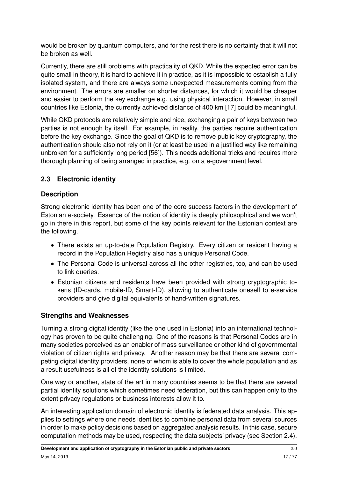would be broken by quantum computers, and for the rest there is no certainty that it will not be broken as well.

Currently, there are still problems with practicality of QKD. While the expected error can be quite small in theory, it is hard to achieve it in practice, as it is impossible to establish a fully isolated system, and there are always some unexpected measurements coming from the environment. The errors are smaller on shorter distances, for which it would be cheaper and easier to perform the key exchange e.g. using physical interaction. However, in small countries like Estonia, the currently achieved distance of 400 km [\[17\]](#page-71-4) could be meaningful.

While QKD protocols are relatively simple and nice, exchanging a pair of keys between two parties is not enough by itself. For example, in reality, the parties require authentication before the key exchange. Since the goal of QKD is to remove public key cryptography, the authentication should also not rely on it (or at least be used in a justified way like remaining unbroken for a sufficiently long period [\[56\]](#page-74-1)). This needs additional tricks and requires more thorough planning of being arranged in practice, e.g. on a e-government level.

# <span id="page-16-0"></span>**2.3 Electronic identity**

### **Description**

Strong electronic identity has been one of the core success factors in the development of Estonian e-society. Essence of the notion of identity is deeply philosophical and we won't go in there in this report, but some of the key points relevant for the Estonian context are the following.

- There exists an up-to-date Population Registry. Every citizen or resident having a record in the Population Registry also has a unique Personal Code.
- The Personal Code is universal across all the other registries, too, and can be used to link queries.
- Estonian citizens and residents have been provided with strong cryptographic tokens (ID-cards, mobile-ID, Smart-ID), allowing to authenticate oneself to e-service providers and give digital equivalents of hand-written signatures.

### **Strengths and Weaknesses**

Turning a strong digital identity (like the one used in Estonia) into an international technology has proven to be quite challenging. One of the reasons is that Personal Codes are in many societies perceived as an enabler of mass surveillance or other kind of governmental violation of citizen rights and privacy. Another reason may be that there are several competing digital identity providers, none of whom is able to cover the whole population and as a result usefulness is all of the identity solutions is limited.

One way or another, state of the art in many countries seems to be that there are several partial identity solutions which sometimes need federation, but this can happen only to the extent privacy regulations or business interests allow it to.

An interesting application domain of electronic identity is federated data analysis. This applies to settings where one needs identities to combine personal data from several sources in order to make policy decisions based on aggregated analysis results. In this case, secure computation methods may be used, respecting the data subjects' privacy (see Section [2.4\)](#page-17-0).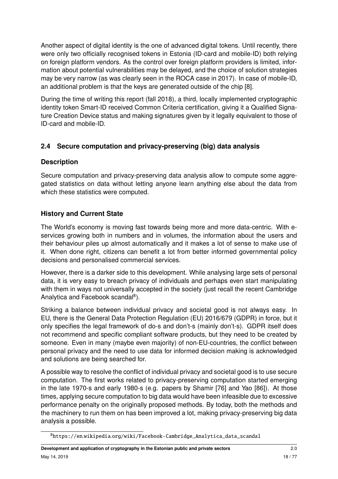Another aspect of digital identity is the one of advanced digital tokens. Until recently, there were only two officially recognised tokens in Estonia (ID-card and mobile-ID) both relying on foreign platform vendors. As the control over foreign platform providers is limited, information about potential vulnerabilities may be delayed, and the choice of solution strategies may be very narrow (as was clearly seen in the ROCA case in 2017). In case of mobile-ID, an additional problem is that the keys are generated outside of the chip [\[8\]](#page-70-7).

During the time of writing this report (fall 2018), a third, locally implemented cryptographic identity token Smart-ID received Common Criteria certification, giving it a Qualified Signature Creation Device status and making signatures given by it legally equivalent to those of ID-card and mobile-ID.

# <span id="page-17-0"></span>**2.4 Secure computation and privacy-preserving (big) data analysis**

### **Description**

Secure computation and privacy-preserving data analysis allow to compute some aggregated statistics on data without letting anyone learn anything else about the data from which these statistics were computed.

# **History and Current State**

The World's economy is moving fast towards being more and more data-centric. With eservices growing both in numbers and in volumes, the information about the users and their behaviour piles up almost automatically and it makes a lot of sense to make use of it. When done right, citizens can benefit a lot from better informed governmental policy decisions and personalised commercial services.

However, there is a darker side to this development. While analysing large sets of personal data, it is very easy to breach privacy of individuals and perhaps even start manipulating with them in ways not universally accepted in the society (just recall the recent Cambridge Analytica and Facebook scandal<sup>[8](#page-17-1)</sup>).

Striking a balance between individual privacy and societal good is not always easy. In EU, there is the General Data Protection Regulation (EU) 2016/679 (GDPR) in force, but it only specifies the legal framework of do-s and don't-s (mainly don't-s). GDPR itself does not recommend and specific compliant software products, but they need to be created by someone. Even in many (maybe even majority) of non-EU-countries, the conflict between personal privacy and the need to use data for informed decision making is acknowledged and solutions are being searched for.

A possible way to resolve the conflict of individual privacy and societal good is to use secure computation. The first works related to privacy-preserving computation started emerging in the late 1970-s and early 1980-s (e.g. papers by Shamir [\[76\]](#page-75-3) and Yao [\[86\]](#page-76-3)). At those times, applying secure computation to big data would have been infeasible due to excessive performance penalty on the originally proposed methods. By today, both the methods and the machinery to run them on has been improved a lot, making privacy-preserving big data analysis a possible.

<span id="page-17-1"></span><sup>8</sup>https://en.wikipedia.[org/wiki/Facebook-Cambridge\\_Analytica\\_data\\_scandal](https://en.wikipedia.org/wiki/Facebook-Cambridge_Analytica_data_scandal)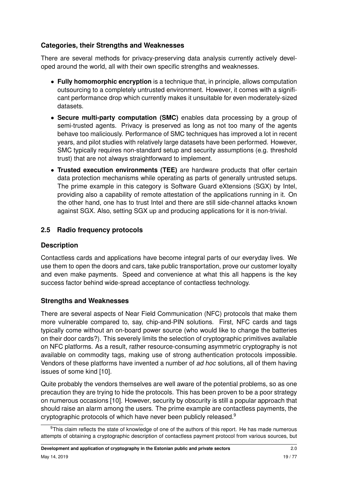# **Categories, their Strengths and Weaknesses**

There are several methods for privacy-preserving data analysis currently actively developed around the world, all with their own specific strengths and weaknesses.

- **Fully homomorphic encryption** is a technique that, in principle, allows computation outsourcing to a completely untrusted environment. However, it comes with a significant performance drop which currently makes it unsuitable for even moderately-sized datasets.
- **Secure multi-party computation (SMC)** enables data processing by a group of semi-trusted agents. Privacy is preserved as long as not too many of the agents behave too maliciously. Performance of SMC techniques has improved a lot in recent years, and pilot studies with relatively large datasets have been performed. However, SMC typically requires non-standard setup and security assumptions (e.g. threshold trust) that are not always straightforward to implement.
- **Trusted execution environments (TEE)** are hardware products that offer certain data protection mechanisms while operating as parts of generally untrusted setups. The prime example in this category is Software Guard eXtensions (SGX) by Intel, providing also a capability of remote attestation of the applications running in it. On the other hand, one has to trust Intel and there are still side-channel attacks known against SGX. Also, setting SGX up and producing applications for it is non-trivial.

# <span id="page-18-0"></span>**2.5 Radio frequency protocols**

### **Description**

Contactless cards and applications have become integral parts of our everyday lives. We use them to open the doors and cars, take public transportation, prove our customer loyalty and even make payments. Speed and convenience at what this all happens is the key success factor behind wide-spread acceptance of contactless technology.

### **Strengths and Weaknesses**

There are several aspects of Near Field Communication (NFC) protocols that make them more vulnerable compared to, say, chip-and-PIN solutions. First, NFC cards and tags typically come without an on-board power source (who would like to change the batteries on their door cards?). This severely limits the selection of cryptographic primitives available on NFC platforms. As a result, rather resource-consuming asymmetric cryptography is not available on commodity tags, making use of strong authentication protocols impossible. Vendors of these platforms have invented a number of ad hoc solutions, all of them having issues of some kind [\[10\]](#page-70-6).

Quite probably the vendors themselves are well aware of the potential problems, so as one precaution they are trying to hide the protocols. This has been proven to be a poor strategy on numerous occasions [\[10\]](#page-70-6). However, security by obscurity is still a popular approach that should raise an alarm among the users. The prime example are contactless payments, the cryptographic protocols of which have never been publicly released.[9](#page-18-1)

<span id="page-18-1"></span><sup>&</sup>lt;sup>9</sup>This claim reflects the state of knowledge of one of the authors of this report. He has made numerous attempts of obtaining a cryptographic description of contactless payment protocol from various sources, but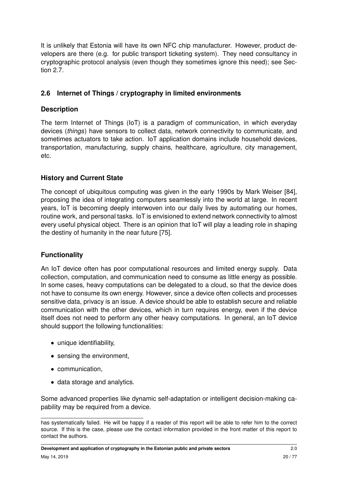It is unlikely that Estonia will have its own NFC chip manufacturer. However, product developers are there (e.g. for public transport ticketing system). They need consultancy in cryptographic protocol analysis (even though they sometimes ignore this need); see Section [2.7.](#page-20-0)

# <span id="page-19-0"></span>**2.6 Internet of Things / cryptography in limited environments**

#### **Description**

The term Internet of Things (IoT) is a paradigm of communication, in which everyday devices (things) have sensors to collect data, network connectivity to communicate, and sometimes actuators to take action. IoT application domains include household devices, transportation, manufacturing, supply chains, healthcare, agriculture, city management, etc.

### **History and Current State**

The concept of ubiquitous computing was given in the early 1990s by Mark Weiser [\[84\]](#page-76-4), proposing the idea of integrating computers seamlessly into the world at large. In recent years, IoT is becoming deeply interwoven into our daily lives by automating our homes, routine work, and personal tasks. IoT is envisioned to extend network connectivity to almost every useful physical object. There is an opinion that IoT will play a leading role in shaping the destiny of humanity in the near future [\[75\]](#page-75-4).

#### **Functionality**

An IoT device often has poor computational resources and limited energy supply. Data collection, computation, and communication need to consume as little energy as possible. In some cases, heavy computations can be delegated to a cloud, so that the device does not have to consume its own energy. However, since a device often collects and processes sensitive data, privacy is an issue. A device should be able to establish secure and reliable communication with the other devices, which in turn requires energy, even if the device itself does not need to perform any other heavy computations. In general, an IoT device should support the following functionalities:

- unique identifiability,
- sensing the environment,
- communication,
- data storage and analytics.

Some advanced properties like dynamic self-adaptation or intelligent decision-making capability may be required from a device.

has systematically failed. He will be happy if a reader of this report will be able to refer him to the correct source. If this is the case, please use the contact information provided in the front matter of this report to contact the authors.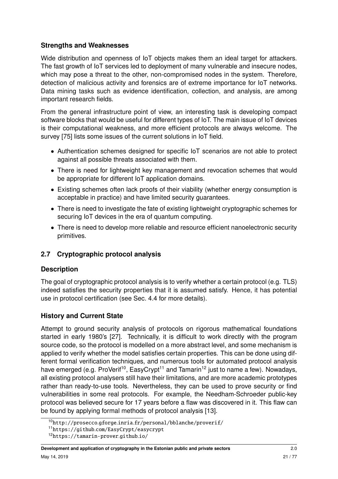### **Strengths and Weaknesses**

Wide distribution and openness of IoT objects makes them an ideal target for attackers. The fast growth of IoT services led to deployment of many vulnerable and insecure nodes, which may pose a threat to the other, non-compromised nodes in the system. Therefore, detection of malicious activity and forensics are of extreme importance for IoT networks. Data mining tasks such as evidence identification, collection, and analysis, are among important research fields.

From the general infrastructure point of view, an interesting task is developing compact software blocks that would be useful for different types of IoT. The main issue of IoT devices is their computational weakness, and more efficient protocols are always welcome. The survey [\[75\]](#page-75-4) lists some issues of the current solutions in IoT field.

- Authentication schemes designed for specific IoT scenarios are not able to protect against all possible threats associated with them.
- There is need for lightweight key management and revocation schemes that would be appropriate for different IoT application domains.
- Existing schemes often lack proofs of their viability (whether energy consumption is acceptable in practice) and have limited security guarantees.
- There is need to investigate the fate of existing lightweight cryptographic schemes for securing IoT devices in the era of quantum computing.
- There is need to develop more reliable and resource efficient nanoelectronic security primitives.

### <span id="page-20-0"></span>**2.7 Cryptographic protocol analysis**

### **Description**

The goal of cryptographic protocol analysis is to verify whether a certain protocol (e.g. TLS) indeed satisfies the security properties that it is assumed satisfy. Hence, it has potential use in protocol certification (see Sec. [4.4](#page-42-0) for more details).

### **History and Current State**

Attempt to ground security analysis of protocols on rigorous mathematical foundations started in early 1980's [\[27\]](#page-72-2). Technically, it is difficult to work directly with the program source code, so the protocol is modelled on a more abstract level, and some mechanism is applied to verify whether the model satisfies certain properties. This can be done using different formal verification techniques, and numerous tools for automated protocol analysis have emerged (e.g. ProVerif<sup>[10](#page-20-1)</sup>, EasyCrypt<sup>[11](#page-20-2)</sup> and Tamarin<sup>[12](#page-20-3)</sup> just to name a few). Nowadays, all existing protocol analysers still have their limitations, and are more academic prototypes rather than ready-to-use tools. Nevertheless, they can be used to prove security or find vulnerabilities in some real protocols. For example, the Needham-Schroeder public-key protocol was believed secure for 17 years before a flaw was discovered in it. This flaw can be found by applying formal methods of protocol analysis [\[13\]](#page-71-5).

<span id="page-20-1"></span><sup>10</sup>http://prosecco.gforge.inria.[fr/personal/bblanche/proverif/](http://prosecco.gforge.inria.fr/personal/bblanche/proverif/)

<span id="page-20-2"></span><sup>11</sup>https://github.[com/EasyCrypt/easycrypt](https://github.com/EasyCrypt/easycrypt)

<span id="page-20-3"></span><sup>12</sup>[https://tamarin-prover](https://tamarin-prover.github.io/).github.io/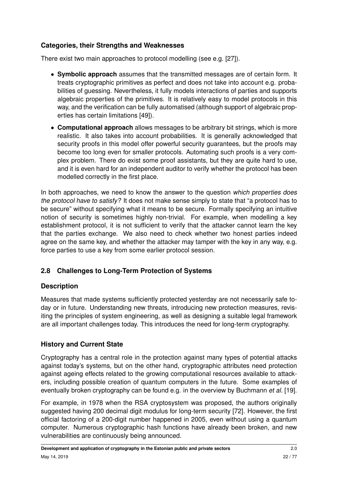# **Categories, their Strengths and Weaknesses**

There exist two main approaches to protocol modelling (see e.g. [\[27\]](#page-72-2)).

- **Symbolic approach** assumes that the transmitted messages are of certain form. It treats cryptographic primitives as perfect and does not take into account e.g. probabilities of guessing. Nevertheless, it fully models interactions of parties and supports algebraic properties of the primitives. It is relatively easy to model protocols in this way, and the verification can be fully automatised (although support of algebraic properties has certain limitations [\[49\]](#page-74-3)).
- **Computational approach** allows messages to be arbitrary bit strings, which is more realistic. It also takes into account probabilities. It is generally acknowledged that security proofs in this model offer powerful security guarantees, but the proofs may become too long even for smaller protocols. Automating such proofs is a very complex problem. There do exist some proof assistants, but they are quite hard to use, and it is even hard for an independent auditor to verify whether the protocol has been modelled correctly in the first place.

In both approaches, we need to know the answer to the question which properties does the protocol have to satisfy? It does not make sense simply to state that "a protocol has to be secure" without specifying what it means to be secure. Formally specifying an intuitive notion of security is sometimes highly non-trivial. For example, when modelling a key establishment protocol, it is not sufficient to verify that the attacker cannot learn the key that the parties exchange. We also need to check whether two honest parties indeed agree on the same key, and whether the attacker may tamper with the key in any way, e.g. force parties to use a key from some earlier protocol session.

# <span id="page-21-0"></span>**2.8 Challenges to Long-Term Protection of Systems**

### **Description**

Measures that made systems sufficiently protected yesterday are not necessarily safe today or in future. Understanding new threats, introducing new protection measures, revisiting the principles of system engineering, as well as designing a suitable legal framework are all important challenges today. This introduces the need for long-term cryptography.

### **History and Current State**

Cryptography has a central role in the protection against many types of potential attacks against today's systems, but on the other hand, cryptographic attributes need protection against ageing effects related to the growing computational resources available to attackers, including possible creation of quantum computers in the future. Some examples of eventually broken cryptography can be found e.g. in the overview by Buchmann et al. [\[19\]](#page-71-6).

For example, in 1978 when the RSA cryptosystem was proposed, the authors originally suggested having 200 decimal digit modulus for long-term security [\[72\]](#page-75-5). However, the first official factoring of a 200-digit number happened in 2005, even without using a quantum computer. Numerous cryptographic hash functions have already been broken, and new vulnerabilities are continuously being announced.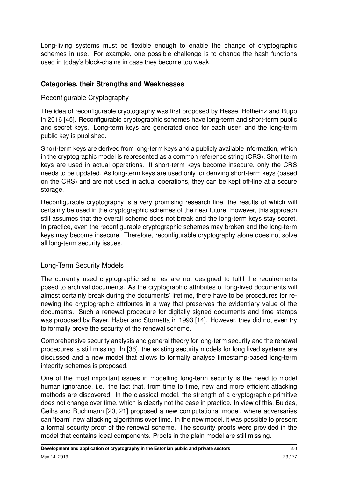Long-living systems must be flexible enough to enable the change of cryptographic schemes in use. For example, one possible challenge is to change the hash functions used in today's block-chains in case they become too weak.

### **Categories, their Strengths and Weaknesses**

#### Reconfigurable Cryptography

The idea of reconfigurable cryptography was first proposed by Hesse, Hofheinz and Rupp in 2016 [\[45\]](#page-73-2). Reconfigurable cryptographic schemes have long-term and short-term public and secret keys. Long-term keys are generated once for each user, and the long-term public key is published.

Short-term keys are derived from long-term keys and a publicly available information, which in the cryptographic model is represented as a common reference string (CRS). Short term keys are used in actual operations. If short-term keys become insecure, only the CRS needs to be updated. As long-term keys are used only for deriving short-term keys (based on the CRS) and are not used in actual operations, they can be kept off-line at a secure storage.

Reconfigurable cryptography is a very promising research line, the results of which will certainly be used in the cryptographic schemes of the near future. However, this approach still assumes that the overall scheme does not break and the long-term keys stay secret. In practice, even the reconfigurable cryptographic schemes may broken and the long-term keys may become insecure. Therefore, reconfigurable cryptography alone does not solve all long-term security issues.

### Long-Term Security Models

The currently used cryptographic schemes are not designed to fulfil the requirements posed to archival documents. As the cryptographic attributes of long-lived documents will almost certainly break during the documents' lifetime, there have to be procedures for renewing the cryptographic attributes in a way that preserves the evidentiary value of the documents. Such a renewal procedure for digitally signed documents and time stamps was proposed by Bayer, Haber and Stornetta in 1993 [\[14\]](#page-71-7). However, they did not even try to formally prove the security of the renewal scheme.

Comprehensive security analysis and general theory for long-term security and the renewal procedures is still missing. In [\[36\]](#page-72-3), the existing security models for long lived systems are discussed and a new model that allows to formally analyse timestamp-based long-term integrity schemes is proposed.

One of the most important issues in modelling long-term security is the need to model human ignorance, i.e. the fact that, from time to time, new and more efficient attacking methods are discovered. In the classical model, the strength of a cryptographic primitive does not change over time, which is clearly not the case in practice. In view of this, Buldas, Geihs and Buchmann [\[20,](#page-71-8) [21\]](#page-71-9) proposed a new computational model, where adversaries can "learn" new attacking algorithms over time. In the new model, it was possible to present a formal security proof of the renewal scheme. The security proofs were provided in the model that contains ideal components. Proofs in the plain model are still missing.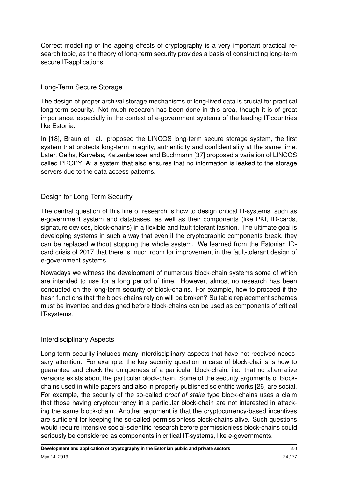Correct modelling of the ageing effects of cryptography is a very important practical research topic, as the theory of long-term security provides a basis of constructing long-term secure IT-applications.

#### Long-Term Secure Storage

The design of proper archival storage mechanisms of long-lived data is crucial for practical long-term security. Not much research has been done in this area, though it is of great importance, especially in the context of e-government systems of the leading IT-countries like Estonia.

In [\[18\]](#page-71-10), Braun et. al. proposed the LINCOS long-term secure storage system, the first system that protects long-term integrity, authenticity and confidentiality at the same time. Later, Geihs, Karvelas, Katzenbeisser and Buchmann [\[37\]](#page-73-3) proposed a variation of LINCOS called PROPYLA: a system that also ensures that no information is leaked to the storage servers due to the data access patterns.

#### Design for Long-Term Security

The central question of this line of research is how to design critical IT-systems, such as e-government system and databases, as well as their components (like PKI, ID-cards, signature devices, block-chains) in a flexible and fault tolerant fashion. The ultimate goal is developing systems in such a way that even if the cryptographic components break, they can be replaced without stopping the whole system. We learned from the Estonian IDcard crisis of 2017 that there is much room for improvement in the fault-tolerant design of e-government systems.

Nowadays we witness the development of numerous block-chain systems some of which are intended to use for a long period of time. However, almost no research has been conducted on the long-term security of block-chains. For example, how to proceed if the hash functions that the block-chains rely on will be broken? Suitable replacement schemes must be invented and designed before block-chains can be used as components of critical IT-systems.

#### Interdisciplinary Aspects

Long-term security includes many interdisciplinary aspects that have not received necessary attention. For example, the key security question in case of block-chains is how to guarantee and check the uniqueness of a particular block-chain, i.e. that no alternative versions exists about the particular block-chain. Some of the security arguments of blockchains used in white papers and also in properly published scientific works [\[26\]](#page-72-4) are social. For example, the security of the so-called proof of stake type block-chains uses a claim that those having cryptocurrency in a particular block-chain are not interested in attacking the same block-chain. Another argument is that the cryptocurrency-based incentives are sufficient for keeping the so-called permissionless block-chains alive. Such questions would require intensive social-scientific research before permissionless block-chains could seriously be considered as components in critical IT-systems, like e-governments.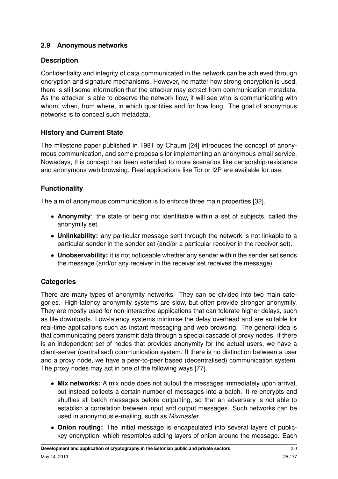# <span id="page-24-0"></span>**2.9 Anonymous networks**

# **Description**

Confidentiality and integrity of data communicated in the network can be achieved through encryption and signature mechanisms. However, no matter how strong encryption is used, there is still some information that the attacker may extract from communication metadata. As the attacker is able to observe the network flow, it will see who is communicating with whom, when, from where, in which quantities and for how long. The goal of anonymous networks is to conceal such metadata.

# **History and Current State**

The milestone paper published in 1981 by Chaum [\[24\]](#page-72-5) introduces the concept of anonymous communication, and some proposals for implementing an anonymous email service. Nowadays, this concept has been extended to more scenarios like censorship-resistance and anonymous web browsing. Real applications like Tor or I2P are available for use.

# **Functionality**

The aim of anonymous communication is to enforce three main properties [\[32\]](#page-72-6).

- **Anonymity**: the state of being not identifiable within a set of subjects, called the anonymity set.
- **Unlinkability:** any particular message sent through the network is not linkable to a particular sender in the sender set (and/or a particular receiver in the receiver set).
- **Unobservability:** it is not noticeable whether any sender within the sender set sends the message (and/or any receiver in the receiver set receives the message).

# **Categories**

There are many types of anonymity networks. They can be divided into two main categories. High-latency anonymity systems are slow, but often provide stronger anonymity. They are mostly used for non-interactive applications that can tolerate higher delays, such as file downloads. Low-latency systems minimise the delay overhead and are suitable for real-time applications such as instant messaging and web browsing. The general idea is that communicating peers transmit data through a special cascade of proxy nodes. If there is an independent set of nodes that provides anonymity for the actual users, we have a client-server (centralised) communication system. If there is no distinction between a user and a proxy node, we have a peer-to-peer based (decentralised) communication system. The proxy nodes may act in one of the following ways [\[77\]](#page-75-6).

- **Mix networks:** A mix node does not output the messages immediately upon arrival, but instead collects a certain number of messages into a batch. It re-encrypts and shuffles all batch messages before outputting, so that an adversary is not able to establish a correlation between input and output messages. Such networks can be used in anonymous e-mailing, such as Mixmaster.
- **Onion routing:** The initial message is encapsulated into several layers of publickey encryption, which resembles adding layers of onion around the message. Each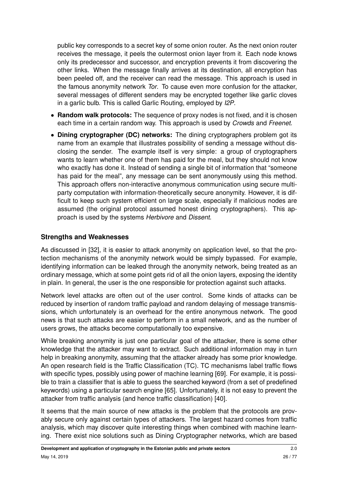public key corresponds to a secret key of some onion router. As the next onion router receives the message, it peels the outermost onion layer from it. Each node knows only its predecessor and successor, and encryption prevents it from discovering the other links. When the message finally arrives at its destination, all encryption has been peeled off, and the receiver can read the message. This approach is used in the famous anonymity network Tor. To cause even more confusion for the attacker, several messages of different senders may be encrypted together like garlic cloves in a garlic bulb. This is called Garlic Routing, employed by I2P.

- **Random walk protocols:** The sequence of proxy nodes is not fixed, and it is chosen each time in a certain random way. This approach is used by Crowds and Freenet.
- **Dining cryptographer (DC) networks:** The dining cryptographers problem got its name from an example that illustrates possibility of sending a message without disclosing the sender. The example itself is very simple: a group of cryptographers wants to learn whether one of them has paid for the meal, but they should not know who exactly has done it. Instead of sending a single bit of information that "someone has paid for the meal", any message can be sent anonymously using this method. This approach offers non-interactive anonymous communication using secure multiparty computation with information-theoretically secure anonymity. However, it is difficult to keep such system efficient on large scale, especially if malicious nodes are assumed (the original protocol assumed honest dining cryptographers). This approach is used by the systems Herbivore and Dissent.

#### **Strengths and Weaknesses**

As discussed in [\[32\]](#page-72-6), it is easier to attack anonymity on application level, so that the protection mechanisms of the anonymity network would be simply bypassed. For example, identifying information can be leaked through the anonymity network, being treated as an ordinary message, which at some point gets rid of all the onion layers, exposing the identity in plain. In general, the user is the one responsible for protection against such attacks.

Network level attacks are often out of the user control. Some kinds of attacks can be reduced by insertion of random traffic payload and random delaying of message transmissions, which unfortunately is an overhead for the entire anonymous network. The good news is that such attacks are easier to perform in a small network, and as the number of users grows, the attacks become computationally too expensive.

While breaking anonymity is just one particular goal of the attacker, there is some other knowledge that the attacker may want to extract. Such additional information may in turn help in breaking anonymity, assuming that the attacker already has some prior knowledge. An open research field is the Traffic Classification (TC). TC mechanisms label traffic flows with specific types, possibly using power of machine learning [\[69\]](#page-75-7). For example, it is possible to train a classifier that is able to guess the searched keyword (from a set of predefined keywords) using a particular search engine [\[65\]](#page-75-8). Unfortunately, it is not easy to prevent the attacker from traffic analysis (and hence traffic classification) [\[40\]](#page-73-4).

It seems that the main source of new attacks is the problem that the protocols are provably secure only against certain types of attackers. The largest hazard comes from traffic analysis, which may discover quite interesting things when combined with machine learning. There exist nice solutions such as Dining Cryptographer networks, which are based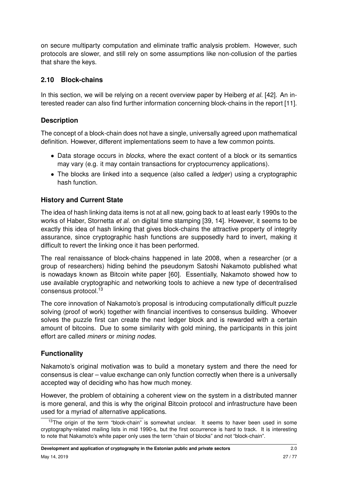on secure multiparty computation and eliminate traffic analysis problem. However, such protocols are slower, and still rely on some assumptions like non-collusion of the parties that share the keys.

#### <span id="page-26-0"></span>**2.10 Block-chains**

In this section, we will be relying on a recent overview paper by Heiberg et al. [\[42\]](#page-73-5). An interested reader can also find further information concerning block-chains in the report [\[11\]](#page-71-2).

#### **Description**

The concept of a block-chain does not have a single, universally agreed upon mathematical definition. However, different implementations seem to have a few common points.

- Data storage occurs in blocks, where the exact content of a block or its semantics may vary (e.g. it may contain transactions for cryptocurrency applications).
- The blocks are linked into a sequence (also called a *ledger*) using a cryptographic hash function.

### **History and Current State**

The idea of hash linking data items is not at all new, going back to at least early 1990s to the works of Haber, Stornetta et al. on digital time stamping [\[39,](#page-73-6) [14\]](#page-71-7). However, it seems to be exactly this idea of hash linking that gives block-chains the attractive property of integrity assurance, since cryptographic hash functions are supposedly hard to invert, making it difficult to revert the linking once it has been performed.

The real renaissance of block-chains happened in late 2008, when a researcher (or a group of researchers) hiding behind the pseudonym Satoshi Nakamoto published what is nowadays known as Bitcoin white paper [\[60\]](#page-74-4). Essentially, Nakamoto showed how to use available cryptographic and networking tools to achieve a new type of decentralised consensus protocol.<sup>[13](#page-26-1)</sup>

The core innovation of Nakamoto's proposal is introducing computationally difficult puzzle solving (proof of work) together with financial incentives to consensus building. Whoever solves the puzzle first can create the next ledger block and is rewarded with a certain amount of bitcoins. Due to some similarity with gold mining, the participants in this joint effort are called miners or mining nodes.

### **Functionality**

Nakamoto's original motivation was to build a monetary system and there the need for consensus is clear – value exchange can only function correctly when there is a universally accepted way of deciding who has how much money.

However, the problem of obtaining a coherent view on the system in a distributed manner is more general, and this is why the original Bitcoin protocol and infrastructure have been used for a myriad of alternative applications.

<span id="page-26-1"></span><sup>&</sup>lt;sup>13</sup>The origin of the term "block-chain" is somewhat unclear. It seems to haver been used in some cryptography-related mailing lists in mid 1990-s, but the first occurrence is hard to track. It is interesting to note that Nakamoto's white paper only uses the term "chain of blocks" and not "block-chain".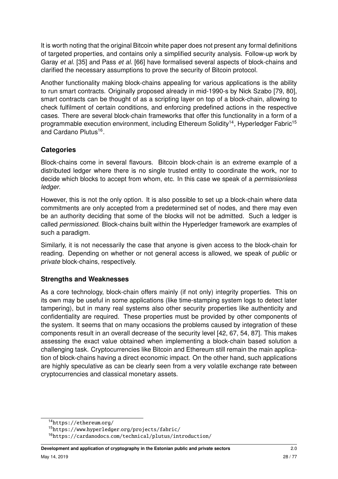It is worth noting that the original Bitcoin white paper does not present any formal definitions of targeted properties, and contains only a simplified security analysis. Follow-up work by Garay et al. [\[35\]](#page-72-7) and Pass et al. [\[66\]](#page-75-9) have formalised several aspects of block-chains and clarified the necessary assumptions to prove the security of Bitcoin protocol.

Another functionality making block-chains appealing for various applications is the ability to run smart contracts. Originally proposed already in mid-1990-s by Nick Szabo [\[79,](#page-76-5) [80\]](#page-76-6), smart contracts can be thought of as a scripting layer on top of a block-chain, allowing to check fulfilment of certain conditions, and enforcing predefined actions in the respective cases. There are several block-chain frameworks that offer this functionality in a form of a programmable execution environment, including Ethereum Solidity<sup>[14](#page-27-0)</sup>, Hyperledger Fabric<sup>[15](#page-27-1)</sup> and Cardano Plutus<sup>[16](#page-27-2)</sup>.

### **Categories**

Block-chains come in several flavours. Bitcoin block-chain is an extreme example of a distributed ledger where there is no single trusted entity to coordinate the work, nor to decide which blocks to accept from whom, etc. In this case we speak of a permissionless ledger.

However, this is not the only option. It is also possible to set up a block-chain where data commitments are only accepted from a predetermined set of nodes, and there may even be an authority deciding that some of the blocks will not be admitted. Such a ledger is called permissioned. Block-chains built within the Hyperledger framework are examples of such a paradigm.

Similarly, it is not necessarily the case that anyone is given access to the block-chain for reading. Depending on whether or not general access is allowed, we speak of public or private block-chains, respectively.

#### **Strengths and Weaknesses**

As a core technology, block-chain offers mainly (if not only) integrity properties. This on its own may be useful in some applications (like time-stamping system logs to detect later tampering), but in many real systems also other security properties like authenticity and confidentiality are required. These properties must be provided by other components of the system. It seems that on many occasions the problems caused by integration of these components result in an overall decrease of the security level [\[42,](#page-73-5) [67,](#page-75-10) [54,](#page-74-5) [87\]](#page-76-7). This makes assessing the exact value obtained when implementing a block-chain based solution a challenging task. Cryptocurrencies like Bitcoin and Ethereum still remain the main application of block-chains having a direct economic impact. On the other hand, such applications are highly speculative as can be clearly seen from a very volatile exchange rate between cryptocurrencies and classical monetary assets.

<span id="page-27-0"></span><sup>14</sup>[https://ethereum](https://ethereum.org/).org/

<span id="page-27-1"></span><sup>15</sup>https://www.hyperledger.[org/projects/fabric/](https://www.hyperledger.org/projects/fabric/)

<span id="page-27-2"></span><sup>16</sup>https://cardanodocs.[com/technical/plutus/introduction/](https://cardanodocs.com/technical/plutus/introduction/)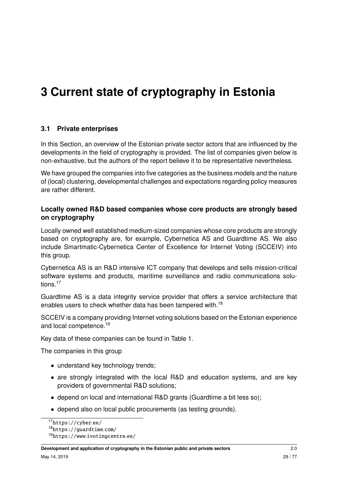# <span id="page-28-0"></span>**3 Current state of cryptography in Estonia**

#### <span id="page-28-1"></span>**3.1 Private enterprises**

In this Section, an overview of the Estonian private sector actors that are influenced by the developments in the field of cryptography is provided. The list of companies given below is non-exhaustive, but the authors of the report believe it to be representative nevertheless.

We have grouped the companies into five categories as the business models and the nature of (local) clustering, developmental challenges and expectations regarding policy measures are rather different.

#### **Locally owned R&D based companies whose core products are strongly based on cryptography**

Locally owned well established medium-sized companies whose core products are strongly based on cryptography are, for example, Cybernetica AS and Guardtime AS. We also include Smartmatic-Cybernetica Center of Excellence for Internet Voting (SCCEIV) into this group.

Cybernetica AS is an R&D intensive ICT company that develops and sells mission-critical software systems and products, maritime surveillance and radio communications solu-tions.<sup>[17](#page-28-2)</sup>

Guardtime AS is a data integrity service provider that offers a service architecture that enables users to check whether data has been tampered with.<sup>[18](#page-28-3)</sup>

SCCEIV is a company providing Internet voting solutions based on the Estonian experience and local competence.<sup>[19](#page-28-4)</sup>

Key data of these companies can be found in Table [1.](#page-29-0)

The companies in this group

- understand key technology trends:
- are strongly integrated with the local R&D and education systems, and are key providers of governmental R&D solutions;
- depend on local and international R&D grants (Guardtime a bit less so);
- depend also on local public procurements (as testing grounds).

<span id="page-28-2"></span><sup>17</sup>[https://cyber](https://cyber.ee/).ee/

<span id="page-28-3"></span><sup>18</sup>[https://guardtime](https://guardtime.com/).com/

<span id="page-28-4"></span><sup>19</sup>https://www.[ivotingcentre](https://www.ivotingcentre.ee/).ee/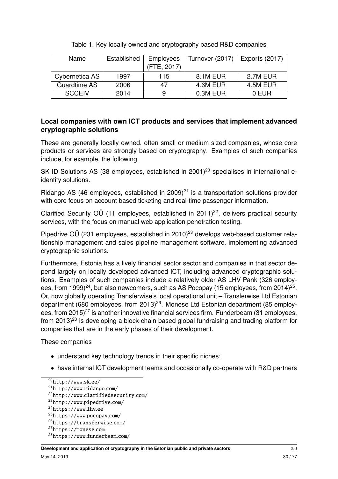<span id="page-29-0"></span>

| <b>Name</b>         | Established | <b>Employees</b> | Turnover (2017) | <b>Exports (2017)</b> |  |
|---------------------|-------------|------------------|-----------------|-----------------------|--|
|                     |             | (FTE, 2017)      |                 |                       |  |
| Cybernetica AS      | 1997        | 115              | 8.1M EUR        | 2.7M EUR              |  |
| <b>Guardtime AS</b> | 2006        | 47               | 4.6M EUR        | 4.5M EUR              |  |
| <b>SCCEIV</b>       | 2014        | 9                | 0.3M EUR        | 0 EUR                 |  |

Table 1. Key locally owned and cryptography based R&D companies

#### **Local companies with own ICT products and services that implement advanced cryptographic solutions**

These are generally locally owned, often small or medium sized companies, whose core products or services are strongly based on cryptography. Examples of such companies include, for example, the following.

SK ID Solutions AS (38 employees, established in  $2001$  $2001$ <sup>20</sup> specialises in international eidentity solutions.

Ridango AS (46 employees, established in 2009)<sup>[21](#page-29-2)</sup> is a transportation solutions provider with core focus on account based ticketing and real-time passenger information.

Clarified Security OÜ (11 employees, established in  $2011$ )<sup>[22](#page-29-3)</sup>, delivers practical security services, with the focus on manual web application penetration testing.

Pipedrive OÜ ([23](#page-29-4)1 employees, established in 2010)<sup>23</sup> develops web-based customer relationship management and sales pipeline management software, implementing advanced cryptographic solutions.

Furthermore, Estonia has a lively financial sector sector and companies in that sector depend largely on locally developed advanced ICT, including advanced cryptographic solutions. Examples of such companies include a relatively older AS LHV Pank (326 employ-ees, from 1999)<sup>[24](#page-29-5)</sup>, but also newcomers, such as AS Pocopay (15 employees, from 2014)<sup>[25](#page-29-6)</sup>. Or, now globally operating Transferwise's local operational unit – Transferwise Ltd Estonian department (680 employees, from 2013)<sup>[26](#page-29-7)</sup>. Monese Ltd Estonian department (85 employ-ees, from 2015)<sup>[27](#page-29-8)</sup> is another innovative financial services firm. Funderbeam (31 employees, from  $2013)^{28}$  $2013)^{28}$  $2013)^{28}$  is developing a block-chain based global fundraising and trading platform for companies that are in the early phases of their development.

These companies

- understand key technology trends in their specific niches;
- have internal ICT development teams and occasionally co-operate with R&D partners

```
28https://www.funderbeam.com/
```
<span id="page-29-1"></span><sup>20</sup>[http://www](http://www.sk.ee/).sk.ee/

<span id="page-29-2"></span><sup>21</sup>[http://www](http://www.ridango.com/).ridango.com/

<span id="page-29-3"></span><sup>22</sup>http://www.[clarifiedsecurity](http://www.clarifiedsecurity.com/).com/

<span id="page-29-4"></span><sup>23</sup>[http://www](http://www.pipedrive.com/).pipedrive.com/

<span id="page-29-5"></span><sup>24</sup>[https://www](https://www.lhv.ee).lhv.ee

<span id="page-29-6"></span><sup>25</sup>[https://www](https://www.pocopay.com/).pocopay.com/

<span id="page-29-7"></span><sup>26</sup>[https://transferwise](https://transferwise.com/).com/

<span id="page-29-8"></span><sup>27</sup>[https://monese](https://monese.com).com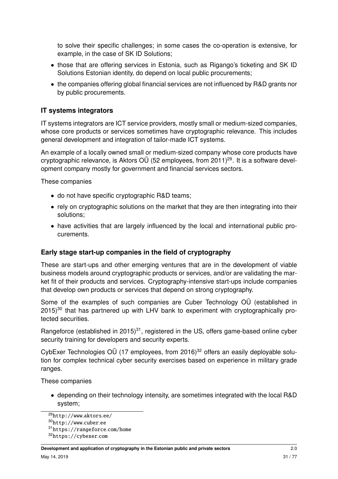to solve their specific challenges; in some cases the co-operation is extensive, for example, in the case of SK ID Solutions;

- those that are offering services in Estonia, such as Rigango's ticketing and SK ID Solutions Estonian identity, do depend on local public procurements;
- the companies offering global financial services are not influenced by R&D grants nor by public procurements.

#### **IT systems integrators**

IT systems integrators are ICT service providers, mostly small or medium-sized companies, whose core products or services sometimes have cryptographic relevance. This includes general development and integration of tailor-made ICT systems.

An example of a locally owned small or medium-sized company whose core products have cryptographic relevance, is Aktors OÜ (52 employees, from 2011)<sup>[29](#page-30-0)</sup>. It is a software development company mostly for government and financial services sectors.

These companies

- do not have specific cryptographic R&D teams;
- rely on cryptographic solutions on the market that they are then integrating into their solutions;
- have activities that are largely influenced by the local and international public procurements.

#### **Early stage start-up companies in the field of cryptography**

These are start-ups and other emerging ventures that are in the development of viable business models around cryptographic products or services, and/or are validating the market fit of their products and services. Cryptography-intensive start-ups include companies that develop own products or services that depend on strong cryptography.

Some of the examples of such companies are Cuber Technology OÜ (established in  $2015$ <sup>[30](#page-30-1)</sup> that has partnered up with LHV bank to experiment with cryptographically protected securities.

Rangeforce (established in 2015)<sup>[31](#page-30-2)</sup>, registered in the US, offers game-based online cyber security training for developers and security experts.

CybExer Technologies OÜ (17 employees, from 2016)<sup>[32](#page-30-3)</sup> offers an easily deployable solution for complex technical cyber security exercises based on experience in military grade ranges.

These companies

• depending on their technology intensity, are sometimes integrated with the local R&D system;

<span id="page-30-0"></span><sup>29</sup>[http://www](http://www.aktors.ee/).aktors.ee/

<span id="page-30-1"></span><sup>30</sup>[http://www](http://www.cuber.ee).cuber.ee

<span id="page-30-2"></span><sup>31</sup>[https://rangeforce](https://rangeforce.com/home).com/home

<span id="page-30-3"></span><sup>32</sup>[https://cybexer](https://cybexer.com).com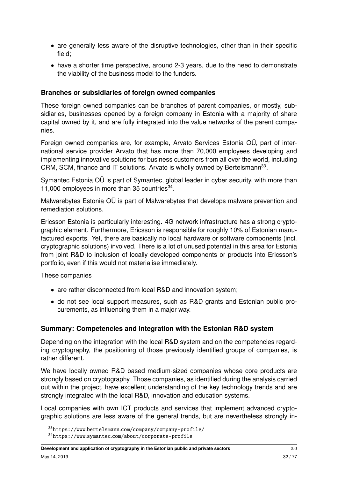- are generally less aware of the disruptive technologies, other than in their specific field;
- have a shorter time perspective, around 2-3 years, due to the need to demonstrate the viability of the business model to the funders.

#### **Branches or subsidiaries of foreign owned companies**

These foreign owned companies can be branches of parent companies, or mostly, subsidiaries, businesses opened by a foreign company in Estonia with a majority of share capital owned by it, and are fully integrated into the value networks of the parent companies.

Foreign owned companies are, for example, Arvato Services Estonia OÜ, part of international service provider Arvato that has more than 70,000 employees developing and implementing innovative solutions for business customers from all over the world, including CRM, SCM, finance and IT solutions. Arvato is wholly owned by Bertelsmann<sup>[33](#page-31-0)</sup>.

Symantec Estonia OÜ is part of Symantec, global leader in cyber security, with more than 11,000 employees in more than 35 countries $^{34}$  $^{34}$  $^{34}$ .

Malwarebytes Estonia OÜ is part of Malwarebytes that develops malware prevention and remediation solutions.

Ericsson Estonia is particularly interesting. 4G network infrastructure has a strong cryptographic element. Furthermore, Ericsson is responsible for roughly 10% of Estonian manufactured exports. Yet, there are basically no local hardware or software components (incl. cryptographic solutions) involved. There is a lot of unused potential in this area for Estonia from joint R&D to inclusion of locally developed components or products into Ericsson's portfolio, even if this would not materialise immediately.

These companies

- are rather disconnected from local R&D and innovation system;
- do not see local support measures, such as R&D grants and Estonian public procurements, as influencing them in a major way.

#### **Summary: Competencies and Integration with the Estonian R&D system**

Depending on the integration with the local R&D system and on the competencies regarding cryptography, the positioning of those previously identified groups of companies, is rather different.

We have locally owned R&D based medium-sized companies whose core products are strongly based on cryptography. Those companies, as identified during the analysis carried out within the project, have excellent understanding of the key technology trends and are strongly integrated with the local R&D, innovation and education systems.

Local companies with own ICT products and services that implement advanced cryptographic solutions are less aware of the general trends, but are nevertheless strongly in-

<span id="page-31-1"></span><span id="page-31-0"></span><sup>33</sup>https://www.bertelsmann.[com/company/company-profile/](https://www.bertelsmann.com/company/company-profile/)

<sup>34</sup>https://www.symantec.[com/about/corporate-profile](https://www.symantec.com/about/corporate-profile)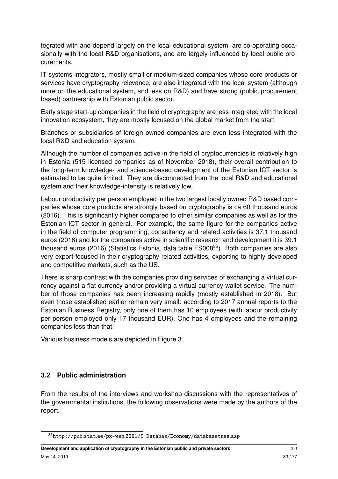tegrated with and depend largely on the local educational system, are co-operating occasionally with the local R&D organisations, and are largely influenced by local public procurements.

IT systems integrators, mostly small or medium-sized companies whose core products or services have cryptography relevance, are also integrated with the local system (although more on the educational system, and less on R&D) and have strong (public procurement based) partnership with Estonian public sector.

Early stage start-up companies in the field of cryptography are less integrated with the local innovation ecosystem, they are mostly focused on the global market from the start.

Branches or subsidiaries of foreign owned companies are even less integrated with the local R&D and education system.

Although the number of companies active in the field of cryptocurrencies is relatively high in Estonia (515 licensed companies as of November 2018), their overall contribution to the long-term knowledge- and science-based development of the Estonian ICT sector is estimated to be quite limited. They are disconnected from the local R&D and educational system and their knowledge-intensity is relatively low.

Labour productivity per person employed in the two largest locally owned R&D based companies whose core products are strongly based on cryptography is ca 60 thousand euros (2016). This is significantly higher compared to other similar companies as well as for the Estonian ICT sector in general. For example, the same figure for the companies active in the field of computer programming, consultancy and related activities is 37.1 thousand euros (2016) and for the companies active in scientific research and development it is 39.1 thousand euros (2016) (Statistics Estonia, data table FS008<sup>[35](#page-32-1)</sup>). Both companies are also very export-focused in their cryptography related activities, exporting to highly developed and competitive markets, such as the US.

There is sharp contrast with the companies providing services of exchanging a virtual currency against a fiat currency and/or providing a virtual currency wallet service. The number of those companies has been increasing rapidly (mostly established in 2018). But even those established earlier remain very small: according to 2017 annual reports to the Estonian Business Registry, only one of them has 10 employees (with labour productivity per person employed only 17 thousand EUR). One has 4 employees and the remaining companies less than that.

Various business models are depicted in Figure [3.](#page-33-0)

#### <span id="page-32-0"></span>**3.2 Public administration**

From the results of the interviews and workshop discussions with the representatives of the governmental institutions, the following observations were made by the authors of the report.

<span id="page-32-1"></span><sup>35</sup>http://pub.stat.ee/px-web.[2001/I\\_Databas/Economy/databasetree](http://pub.stat.ee/px-web.2001/I_Databas/Economy/databasetree.asp).asp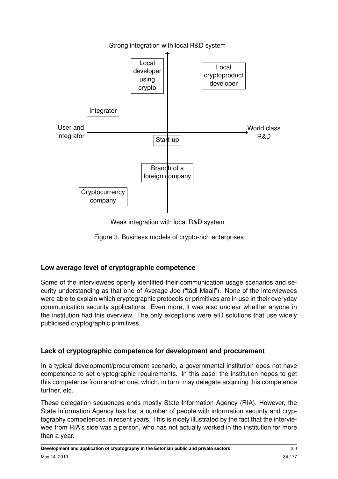<span id="page-33-0"></span>

Weak integration with local R&D system

Figure 3. Business models of crypto-rich enterprises

# **Low average level of cryptographic competence**

Some of the interviewees openly identified their communication usage scenarios and security understanding as that one of Average Joe ("tädi Maali"). None of the interviewees were able to explain which cryptographic protocols or primitives are in use in their everyday communication security applications. Even more, it was also unclear whether anyone in the institution had this overview. The only exceptions were eID solutions that use widely publicised cryptographic primitives.

# **Lack of cryptographic competence for development and procurement**

In a typical development/procurement scenario, a governmental institution does not have competence to set cryptographic requirements. In this case, the institution hopes to get this competence from another one, which, in turn, may delegate acquiring this competence further, etc.

These delegation sequences ends mostly State Information Agency (RIA). However, the State Information Agency has lost a number of people with information security and cryptography competences in recent years. This is nicely illustrated by the fact that the interviewee from RIA's side was a person, who has not actually worked in the institution for more than a year.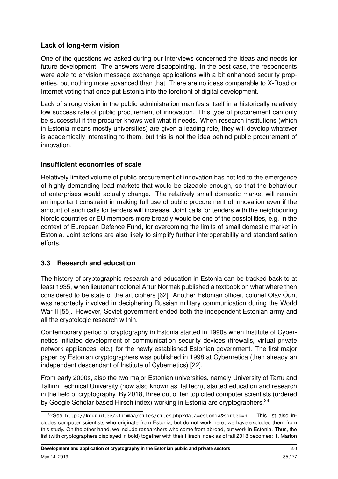### **Lack of long-term vision**

One of the questions we asked during our interviews concerned the ideas and needs for future development. The answers were disappointing. In the best case, the respondents were able to envision message exchange applications with a bit enhanced security properties, but nothing more advanced than that. There are no ideas comparable to X-Road or Internet voting that once put Estonia into the forefront of digital development.

Lack of strong vision in the public administration manifests itself in a historically relatively low success rate of public procurement of innovation. This type of procurement can only be successful if the procurer knows well what it needs. When research institutions (which in Estonia means mostly universities) are given a leading role, they will develop whatever is academically interesting to them, but this is not the idea behind public procurement of innovation.

#### **Insufficient economies of scale**

Relatively limited volume of public procurement of innovation has not led to the emergence of highly demanding lead markets that would be sizeable enough, so that the behaviour of enterprises would actually change. The relatively small domestic market will remain an important constraint in making full use of public procurement of innovation even if the amount of such calls for tenders will increase. Joint calls for tenders with the neighbouring Nordic countries or EU members more broadly would be one of the possibilities, e.g. in the context of European Defence Fund, for overcoming the limits of small domestic market in Estonia. Joint actions are also likely to simplify further interoperability and standardisation efforts.

### <span id="page-34-0"></span>**3.3 Research and education**

The history of cryptographic research and education in Estonia can be tracked back to at least 1935, when lieutenant colonel Artur Normak published a textbook on what where then considered to be state of the art ciphers [\[62\]](#page-75-11). Another Estonian officer, colonel Olav Õun, was reportedly involved in deciphering Russian military communication during the World War II [\[55\]](#page-74-6). However, Soviet government ended both the independent Estonian army and all the cryptologic research within.

Contemporary period of cryptography in Estonia started in 1990s when Institute of Cybernetics initiated development of communication security devices (firewalls, virtual private network appliances, etc.) for the newly established Estonian government. The first major paper by Estonian cryptographers was published in 1998 at Cybernetica (then already an independent descendant of Institute of Cybernetics) [\[22\]](#page-71-11).

From early 2000s, also the two major Estonian universities, namely University of Tartu and Tallinn Technical University (now also known as TalTech), started education and research in the field of cryptography. By 2018, three out of ten top cited computer scientists (ordered by Google Scholar based Hirsch index) working in Estonia are cryptographers.<sup>[36](#page-34-1)</sup>

<span id="page-34-1"></span><sup>36</sup>See http://kodu.ut.ee/~lipmaa/cites/cites.[php?data=estonia&sorted=h](http://kodu.ut.ee/~lipmaa/cites/cites.php?data=estonia&sorted=h) . This list also includes computer scientists who originate from Estonia, but do not work here; we have excluded them from this study. On the other hand, we include researchers who come from abroad, but work in Estonia. Thus, the list (with cryptographers displayed in bold) together with their Hirsch index as of fall 2018 becomes: 1. Marlon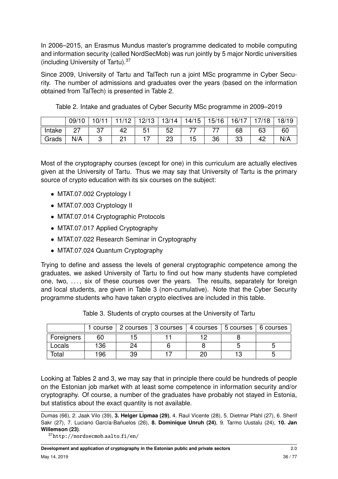In 2006–2015, an Erasmus Mundus master's programme dedicated to mobile computing and information security (called NordSecMob) was run jointly by 5 major Nordic universities (including University of Tartu).[37](#page-35-0)

Since 2009, University of Tartu and TalTech run a joint MSc programme in Cyber Security. The number of admissions and graduates over the years (based on the information obtained from TalTech) is presented in Table [2.](#page-35-1)

|        | 09/1 |   |          | 12/13 | 13/14 | 14/15 | 15/16 | 16/17 | 718 | 18/19 |
|--------|------|---|----------|-------|-------|-------|-------|-------|-----|-------|
| Intake |      | ັ | 42       |       | 52    |       | --    | 68    | 63  | 60    |
| Grads  | N/A  |   | ດ-1<br>. |       | ںے    | l b   | 36    | 33    | ے 4 | N/A   |

<span id="page-35-1"></span>Table 2. Intake and graduates of Cyber Security MSc programme in 2009–2019

Most of the cryptography courses (except for one) in this curriculum are actually electives given at the University of Tartu. Thus we may say that University of Tartu is the primary source of crypto education with its six courses on the subject:

- MTAT.07.002 Cryptology I
- MTAT.07.003 Cryptology II
- MTAT.07.014 Cryptographic Protocols
- MTAT.07.017 Applied Cryptography
- MTAT.07.022 Research Seminar in Cryptography
- MTAT.07.024 Quantum Cryptography

Trying to define and assess the levels of general cryptographic competence among the graduates, we asked University of Tartu to find out how many students have completed one, two, ..., six of these courses over the years. The results, separately for foreign and local students, are given in Table [3](#page-35-2) (non-cumulative). Note that the Cyber Security programme students who have taken crypto electives are included in this table.

<span id="page-35-2"></span>

|            |     | l course   2 courses   3 courses   4 courses   5 courses   6 courses |  |  |
|------------|-----|----------------------------------------------------------------------|--|--|
| Foreigners | 60  |                                                                      |  |  |
| Locals     | 136 |                                                                      |  |  |
| Total      | 196 | 39                                                                   |  |  |

Table 3. Students of crypto courses at the University of Tartu

Looking at Tables [2](#page-35-1) and [3,](#page-35-2) we may say that in principle there could be hundreds of people on the Estonian job market with at least some competence in information security and/or cryptography. Of course, a number of the graduates have probably not stayed in Estonia, but statistics about the exact quantity is not available.

Dumas (66), 2. Jaak Vilo (39), **3. Helger Lipmaa (29)**, 4. Raul Vicente (28), 5. Dietmar Pfahl (27), 6. Sherif Sakr (27), 7. Luciano García-Bañuelos (26), **8. Dominique Unruh (24)**, 9. Tarmo Uustalu (24), **10. Jan Willemson (23)**.

<span id="page-35-0"></span><sup>37</sup>[http://nordsecmob](http://nordsecmob.aalto.fi/en/).aalto.fi/en/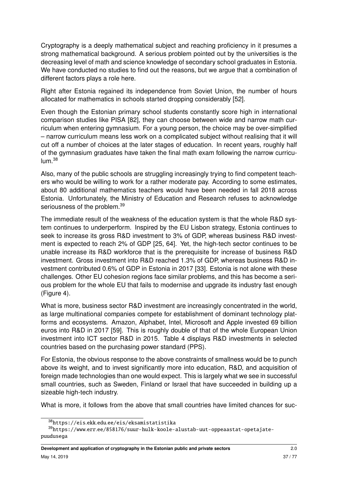Cryptography is a deeply mathematical subject and reaching proficiency in it presumes a strong mathematical background. A serious problem pointed out by the universities is the decreasing level of math and science knowledge of secondary school graduates in Estonia. We have conducted no studies to find out the reasons, but we argue that a combination of different factors plays a role here.

Right after Estonia regained its independence from Soviet Union, the number of hours allocated for mathematics in schools started dropping considerably [\[52\]](#page-74-0).

Even though the Estonian primary school students constantly score high in international comparison studies like PISA [\[82\]](#page-76-0), they can choose between wide and narrow math curriculum when entering gymnasium. For a young person, the choice may be over-simplified – narrow curriculum means less work on a complicated subject without realising that it will cut off a number of choices at the later stages of education. In recent years, roughly half of the gymnasium graduates have taken the final math exam following the narrow curricu- $\lim_{38}$  $\lim_{38}$  $\lim_{38}$ 

Also, many of the public schools are struggling increasingly trying to find competent teachers who would be willing to work for a rather moderate pay. According to some estimates, about 80 additional mathematics teachers would have been needed in fall 2018 across Estonia. Unfortunately, the Ministry of Education and Research refuses to acknowledge seriousness of the problem.<sup>[39](#page-36-1)</sup>

The immediate result of the weakness of the education system is that the whole R&D system continues to underperform. Inspired by the EU Lisbon strategy, Estonia continues to seek to increase its gross R&D investment to 3% of GDP, whereas business R&D investment is expected to reach 2% of GDP [\[25,](#page-72-0) [64\]](#page-75-0). Yet, the high-tech sector continues to be unable increase its R&D workforce that is the prerequisite for increase of business R&D investment. Gross investment into R&D reached 1.3% of GDP, whereas business R&D investment contributed 0.6% of GDP in Estonia in 2017 [\[33\]](#page-72-1). Estonia is not alone with these challenges. Other EU cohesion regions face similar problems, and this has become a serious problem for the whole EU that fails to modernise and upgrade its industry fast enough (Figure [4\)](#page-37-0).

What is more, business sector R&D investment are increasingly concentrated in the world, as large multinational companies compete for establishment of dominant technology platforms and ecosystems. Amazon, Alphabet, Intel, Microsoft and Apple invested 69 billion euros into R&D in 2017 [\[59\]](#page-74-1). This is roughly double of that of the whole European Union investment into ICT sector R&D in 2015. Table [4](#page-37-1) displays R&D investments in selected countries based on the purchasing power standard (PPS).

For Estonia, the obvious response to the above constraints of smallness would be to punch above its weight, and to invest significantly more into education, R&D, and acquisition of foreign made technologies than one would expect. This is largely what we see in successful small countries, such as Sweden, Finland or Israel that have succeeded in building up a sizeable high-tech industry.

What is more, it follows from the above that small countries have limited chances for suc-

<span id="page-36-1"></span><span id="page-36-0"></span><sup>38</sup>https://eis.ekk.edu.[ee/eis/eksamistatistika](https://eis.ekk.edu.ee/eis/eksamistatistika)

<sup>39</sup>https://www.err.[ee/858176/suur-hulk-koole-alustab-uut-oppeaastat-opetajate](https://www.err.ee/858176/suur-hulk-koole-alustab-uut-oppeaastat-opetajate-puudusega)[puudusega](https://www.err.ee/858176/suur-hulk-koole-alustab-uut-oppeaastat-opetajate-puudusega)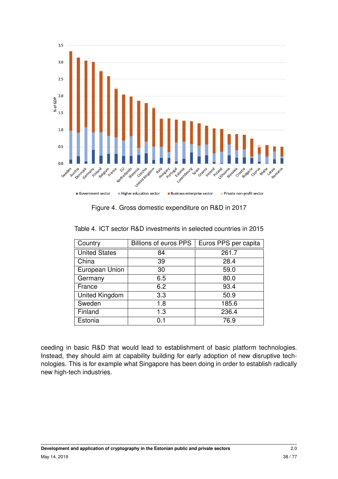<span id="page-37-0"></span>

Figure 4. Gross domestic expenditure on R&D in 2017

| Country               | <b>Billions of euros PPS</b> | Euros PPS per capita |
|-----------------------|------------------------------|----------------------|
| <b>United States</b>  | 84                           | 261.7                |
| China                 | 39                           | 28.4                 |
| European Union        | 30                           | 59.0                 |
| Germany               | 6.5                          | 80.0                 |
| France                | 6.2                          | 93.4                 |
| <b>United Kingdom</b> | 3.3                          | 50.9                 |
| Sweden                | 1.8                          | 185.6                |
| Finland               | 1.3                          | 236.4                |
| Estonia               | 0.1                          | 76.9                 |

<span id="page-37-1"></span>Table 4. ICT sector R&D investments in selected countries in 2015

ceeding in basic R&D that would lead to establishment of basic platform technologies. Instead, they should aim at capability building for early adoption of new disruptive technologies. This is for example what Singapore has been doing in order to establish radically new high-tech industries.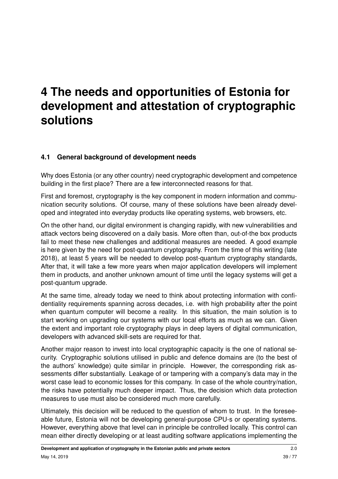# **4 The needs and opportunities of Estonia for development and attestation of cryptographic solutions**

# **4.1 General background of development needs**

Why does Estonia (or any other country) need cryptographic development and competence building in the first place? There are a few interconnected reasons for that.

First and foremost, cryptography is the key component in modern information and communication security solutions. Of course, many of these solutions have been already developed and integrated into everyday products like operating systems, web browsers, etc.

On the other hand, our digital environment is changing rapidly, with new vulnerabilities and attack vectors being discovered on a daily basis. More often than, out-of-the box products fail to meet these new challenges and additional measures are needed. A good example is here given by the need for post-quantum cryptography. From the time of this writing (late 2018), at least 5 years will be needed to develop post-quantum cryptography standards, After that, it will take a few more years when major application developers will implement them in products, and another unknown amount of time until the legacy systems will get a post-quantum upgrade.

At the same time, already today we need to think about protecting information with confidentiality requirements spanning across decades, i.e. with high probability after the point when quantum computer will become a reality. In this situation, the main solution is to start working on upgrading our systems with our local efforts as much as we can. Given the extent and important role cryptography plays in deep layers of digital communication, developers with advanced skill-sets are required for that.

Another major reason to invest into local cryptographic capacity is the one of national security. Cryptographic solutions utilised in public and defence domains are (to the best of the authors' knowledge) quite similar in principle. However, the corresponding risk assessments differ substantially. Leakage of or tampering with a company's data may in the worst case lead to economic losses for this company. In case of the whole country/nation, the risks have potentially much deeper impact. Thus, the decision which data protection measures to use must also be considered much more carefully.

Ultimately, this decision will be reduced to the question of whom to trust. In the foreseeable future, Estonia will not be developing general-purpose CPU-s or operating systems. However, everything above that level can in principle be controlled locally. This control can mean either directly developing or at least auditing software applications implementing the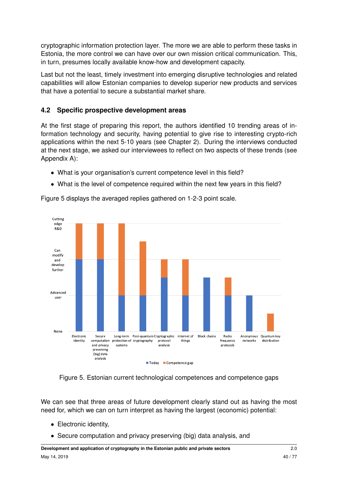cryptographic information protection layer. The more we are able to perform these tasks in Estonia, the more control we can have over our own mission critical communication. This, in turn, presumes locally available know-how and development capacity.

Last but not the least, timely investment into emerging disruptive technologies and related capabilities will allow Estonian companies to develop superior new products and services that have a potential to secure a substantial market share.

# **4.2 Specific prospective development areas**

At the first stage of preparing this report, the authors identified 10 trending areas of information technology and security, having potential to give rise to interesting crypto-rich applications within the next 5-10 years (see Chapter [2\)](#page-14-0). During the interviews conducted at the next stage, we asked our interviewees to reflect on two aspects of these trends (see Appendix [A\)](#page-64-0):

- What is your organisation's current competence level in this field?
- What is the level of competence required within the next few years in this field?

Figure [5](#page-39-0) displays the averaged replies gathered on 1-2-3 point scale.

<span id="page-39-0"></span>

Figure 5. Estonian current technological competences and competence gaps

We can see that three areas of future development clearly stand out as having the most need for, which we can on turn interpret as having the largest (economic) potential:

- Electronic identity,
- Secure computation and privacy preserving (big) data analysis, and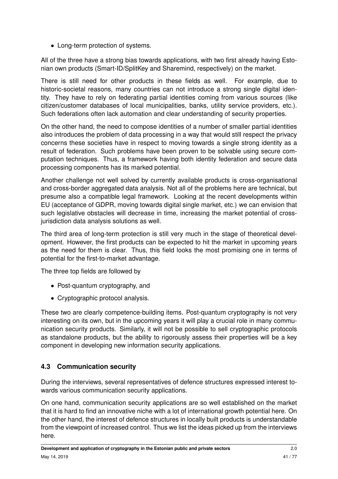• Long-term protection of systems.

All of the three have a strong bias towards applications, with two first already having Estonian own products (Smart-ID/SplitKey and Sharemind, respectively) on the market.

There is still need for other products in these fields as well. For example, due to historic-societal reasons, many countries can not introduce a strong single digital identity. They have to rely on federating partial identities coming from various sources (like citizen/customer databases of local municipalities, banks, utility service providers, etc.). Such federations often lack automation and clear understanding of security properties.

On the other hand, the need to compose identities of a number of smaller partial identities also introduces the problem of data processing in a way that would still respect the privacy concerns these societies have in respect to moving towards a single strong identity as a result of federation. Such problems have been proven to be solvable using secure computation techniques. Thus, a framework having both identity federation and secure data processing components has its marked potential.

Another challenge not well solved by currently available products is cross-organisational and cross-border aggregated data analysis. Not all of the problems here are technical, but presume also a compatible legal framework. Looking at the recent developments within EU (acceptance of GDPR, moving towards digital single market, etc.) we can envision that such legislative obstacles will decrease in time, increasing the market potential of crossjurisdiction data analysis solutions as well.

The third area of long-term protection is still very much in the stage of theoretical development. However, the first products can be expected to hit the market in upcoming years as the need for them is clear. Thus, this field looks the most promising one in terms of potential for the first-to-market advantage.

The three top fields are followed by

- Post-quantum cryptography, and
- Cryptographic protocol analysis.

These two are clearly competence-building items. Post-quantum cryptography is not very interesting on its own, but in the upcoming years it will play a crucial role in many communication security products. Similarly, it will not be possible to sell cryptographic protocols as standalone products, but the ability to rigorously assess their properties will be a key component in developing new information security applications.

# **4.3 Communication security**

During the interviews, several representatives of defence structures expressed interest towards various communication security applications.

On one hand, communication security applications are so well established on the market that it is hard to find an innovative niche with a lot of international growth potential here. On the other hand, the interest of defence structures in locally built products is understandable from the viewpoint of increased control. Thus we list the ideas picked up from the interviews here.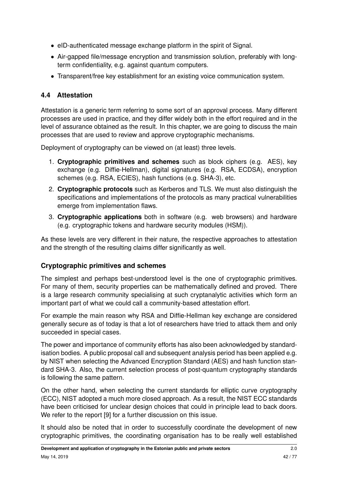- eID-authenticated message exchange platform in the spirit of Signal.
- Air-gapped file/message encryption and transmission solution, preferably with longterm confidentiality, e.g. against quantum computers.
- Transparent/free key establishment for an existing voice communication system.

# **4.4 Attestation**

Attestation is a generic term referring to some sort of an approval process. Many different processes are used in practice, and they differ widely both in the effort required and in the level of assurance obtained as the result. In this chapter, we are going to discuss the main processes that are used to review and approve cryptographic mechanisms.

Deployment of cryptography can be viewed on (at least) three levels.

- 1. **Cryptographic primitives and schemes** such as block ciphers (e.g. AES), key exchange (e.g. Diffie-Hellman), digital signatures (e.g. RSA, ECDSA), encryption schemes (e.g. RSA, ECIES), hash functions (e.g. SHA-3), etc.
- 2. **Cryptographic protocols** such as Kerberos and TLS. We must also distinguish the specifications and implementations of the protocols as many practical vulnerabilities emerge from implementation flaws.
- 3. **Cryptographic applications** both in software (e.g. web browsers) and hardware (e.g. cryptographic tokens and hardware security modules (HSM)).

As these levels are very different in their nature, the respective approaches to attestation and the strength of the resulting claims differ significantly as well.

# <span id="page-41-0"></span>**Cryptographic primitives and schemes**

The simplest and perhaps best-understood level is the one of cryptographic primitives. For many of them, security properties can be mathematically defined and proved. There is a large research community specialising at such cryptanalytic activities which form an important part of what we could call a community-based attestation effort.

For example the main reason why RSA and Diffie-Hellman key exchange are considered generally secure as of today is that a lot of researchers have tried to attack them and only succeeded in special cases.

The power and importance of community efforts has also been acknowledged by standardisation bodies. A public proposal call and subsequent analysis period has been applied e.g. by NIST when selecting the Advanced Encryption Standard (AES) and hash function standard SHA-3. Also, the current selection process of post-quantum cryptography standards is following the same pattern.

On the other hand, when selecting the current standards for elliptic curve cryptography (ECC), NIST adopted a much more closed approach. As a result, the NIST ECC standards have been criticised for unclear design choices that could in principle lead to back doors. We refer to the report [\[9\]](#page-70-0) for a further discussion on this issue.

It should also be noted that in order to successfully coordinate the development of new cryptographic primitives, the coordinating organisation has to be really well established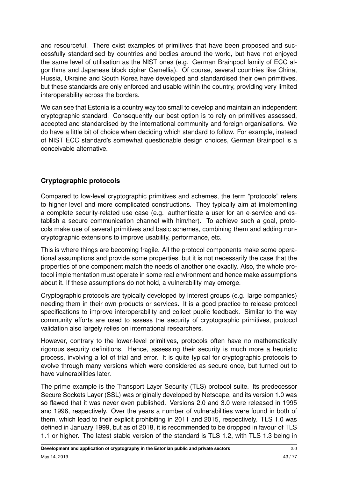and resourceful. There exist examples of primitives that have been proposed and successfully standardised by countries and bodies around the world, but have not enjoyed the same level of utilisation as the NIST ones (e.g. German Brainpool family of ECC algorithms and Japanese block cipher Camellia). Of course, several countries like China, Russia, Ukraine and South Korea have developed and standardised their own primitives, but these standards are only enforced and usable within the country, providing very limited interoperability across the borders.

We can see that Estonia is a country way too small to develop and maintain an independent cryptographic standard. Consequently our best option is to rely on primitives assessed, accepted and standardised by the international community and foreign organisations. We do have a little bit of choice when deciding which standard to follow. For example, instead of NIST ECC standard's somewhat questionable design choices, German Brainpool is a conceivable alternative.

# **Cryptographic protocols**

Compared to low-level cryptographic primitives and schemes, the term "protocols" refers to higher level and more complicated constructions. They typically aim at implementing a complete security-related use case (e.g. authenticate a user for an e-service and establish a secure communication channel with him/her). To achieve such a goal, protocols make use of several primitives and basic schemes, combining them and adding noncryptographic extensions to improve usability, performance, etc.

This is where things are becoming fragile. All the protocol components make some operational assumptions and provide some properties, but it is not necessarily the case that the properties of one component match the needs of another one exactly. Also, the whole protocol implementation must operate in some real environment and hence make assumptions about it. If these assumptions do not hold, a vulnerability may emerge.

Cryptographic protocols are typically developed by interest groups (e.g. large companies) needing them in their own products or services. It is a good practice to release protocol specifications to improve interoperability and collect public feedback. Similar to the way community efforts are used to assess the security of cryptographic primitives, protocol validation also largely relies on international researchers.

However, contrary to the lower-level primitives, protocols often have no mathematically rigorous security definitions. Hence, assessing their security is much more a heuristic process, involving a lot of trial and error. It is quite typical for cryptographic protocols to evolve through many versions which were considered as secure once, but turned out to have vulnerabilities later.

The prime example is the Transport Layer Security (TLS) protocol suite. Its predecessor Secure Sockets Layer (SSL) was originally developed by Netscape, and its version 1.0 was so flawed that it was never even published. Versions 2.0 and 3.0 were released in 1995 and 1996, respectively. Over the years a number of vulnerabilities were found in both of them, which lead to their explicit prohibiting in 2011 and 2015, respectively. TLS 1.0 was defined in January 1999, but as of 2018, it is recommended to be dropped in favour of TLS 1.1 or higher. The latest stable version of the standard is TLS 1.2, with TLS 1.3 being in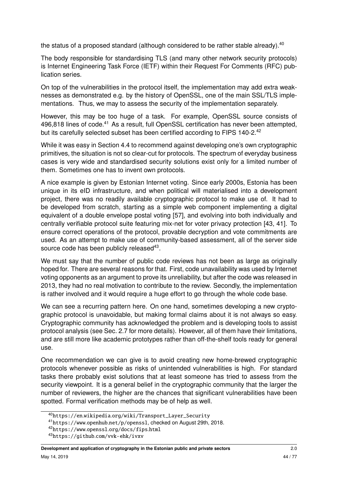the status of a proposed standard (although considered to be rather stable already).  $40$ 

The body responsible for standardising TLS (and many other network security protocols) is Internet Engineering Task Force (IETF) within their Request For Comments (RFC) publication series.

On top of the vulnerabilities in the protocol itself, the implementation may add extra weaknesses as demonstrated e.g. by the history of OpenSSL, one of the main SSL/TLS implementations. Thus, we may to assess the security of the implementation separately.

However, this may be too huge of a task. For example, OpenSSL source consists of 496,818 lines of code.<sup>[41](#page-43-1)</sup> As a result, full OpenSSL certification has never been attempted, but its carefully selected subset has been certified according to FIPS 140-2.<sup>[42](#page-43-2)</sup>

While it was easy in Section [4.4](#page-41-0) to recommend against developing one's own cryptographic primitives, the situation is not so clear-cut for protocols. The spectrum of everyday business cases is very wide and standardised security solutions exist only for a limited number of them. Sometimes one has to invent own protocols.

A nice example is given by Estonian Internet voting. Since early 2000s, Estonia has been unique in its eID infrastructure, and when political will materialised into a development project, there was no readily available cryptographic protocol to make use of. It had to be developed from scratch, starting as a simple web component implementing a digital equivalent of a double envelope postal voting [\[57\]](#page-74-2), and evolving into both individually and centrally verifiable protocol suite featuring mix-net for voter privacy protection [\[43,](#page-73-0) [41\]](#page-73-1). To ensure correct operations of the protocol, provable decryption and vote commitments are used. As an attempt to make use of community-based assessment, all of the server side source code has been publicly released<sup>[43](#page-43-3)</sup>.

We must say that the number of public code reviews has not been as large as originally hoped for. There are several reasons for that. First, code unavailability was used by Internet voting opponents as an argument to prove its unreliability, but after the code was released in 2013, they had no real motivation to contribute to the review. Secondly, the implementation is rather involved and it would require a huge effort to go through the whole code base.

We can see a recurring pattern here. On one hand, sometimes developing a new cryptographic protocol is unavoidable, but making formal claims about it is not always so easy. Cryptographic community has acknowledged the problem and is developing tools to assist protocol analysis (see Sec. [2.7](#page-20-0) for more details). However, all of them have their limitations, and are still more like academic prototypes rather than off-the-shelf tools ready for general use.

One recommendation we can give is to avoid creating new home-brewed cryptographic protocols whenever possible as risks of unintended vulnerabilities is high. For standard tasks there probably exist solutions that at least someone has tried to assess from the security viewpoint. It is a general belief in the cryptographic community that the larger the number of reviewers, the higher are the chances that significant vulnerabilities have been spotted. Formal verification methods may be of help as well.

<span id="page-43-0"></span><sup>40</sup>https://en.wikipedia.[org/wiki/Transport\\_Layer\\_Security](https://en.wikipedia.org/wiki/Transport_Layer_Security)

<span id="page-43-1"></span><sup>41</sup>https://www.openhub.[net/p/openssl](https://www.openhub.net/p/openssl), checked on August 29th, 2018.

<span id="page-43-2"></span><sup>42</sup>https://www.openssl.[org/docs/fips](https://www.openssl.org/docs/fips.html).html

<span id="page-43-3"></span><sup>43</sup>https://github.[com/vvk-ehk/ivxv](https://github.com/vvk-ehk/ivxv)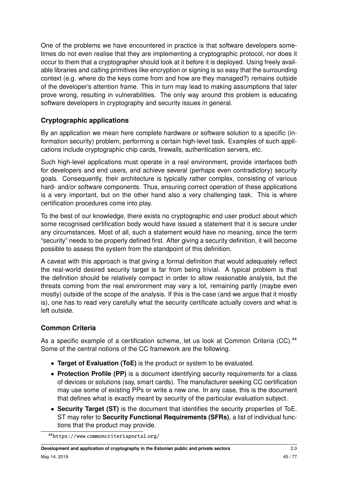One of the problems we have encountered in practice is that software developers sometimes do not even realise that they are implementing a cryptographic protocol, nor does it occur to them that a cryptographer should look at it before it is deployed. Using freely available libraries and calling primitives like encryption or signing is so easy that the surrounding context (e.g. where do the keys come from and how are they managed?) remains outside of the developer's attention frame. This in turn may lead to making assumptions that later prove wrong, resulting in vulnerabilities. The only way around this problem is educating software developers in cryptography and security issues in general.

# **Cryptographic applications**

By an application we mean here complete hardware or software solution to a specific (information security) problem, performing a certain high-level task. Examples of such applications include cryptographic chip cards, firewalls, authentication servers, etc.

Such high-level applications must operate in a real environment, provide interfaces both for developers and end users, and achieve several (perhaps even contradictory) security goals. Consequently, their architecture is typically rather complex, consisting of various hard- and/or software components. Thus, ensuring correct operation of these applications is a very important, but on the other hand also a very challenging task. This is where certification procedures come into play.

To the best of our knowledge, there exists no cryptographic end user product about which some recognised certification body would have issued a statement that it is secure under any circumstances. Most of all, such a statement would have no meaning, since the term "security" needs to be properly defined first. After giving a security definition, it will become possible to assess the system from the standpoint of this definition.

A caveat with this approach is that giving a formal definition that would adequately reflect the real-world desired security target is far from being trivial. A typical problem is that the definition should be relatively compact in order to allow reasonable analysis, but the threats coming from the real environment may vary a lot, remaining partly (maybe even mostly) outside of the scope of the analysis. If this is the case (and we argue that it mostly is), one has to read very carefully what the security certificate actually covers and what is left outside.

# **Common Criteria**

As a specific example of a certification scheme, let us look at Common Criteria (CC).<sup>[44](#page-44-0)</sup> Some of the central notions of the CC framework are the following.

- **Target of Evaluation (ToE)** is the product or system to be evaluated.
- **Protection Profile (PP)** is a document identifying security requirements for a class of devices or solutions (say, smart cards). The manufacturer seeking CC certification may use some of existing PPs or write a new one. In any case, this is the document that defines what is exactly meant by security of the particular evaluation subject.
- **Security Target (ST)** is the document that identifies the security properties of ToE. ST may refer to **Security Functional Requirements (SFRs)**, a list of individual functions that the product may provide.

<span id="page-44-0"></span><sup>44</sup>https://www.[commoncriteriaportal](https://www.commoncriteriaportal.org/).org/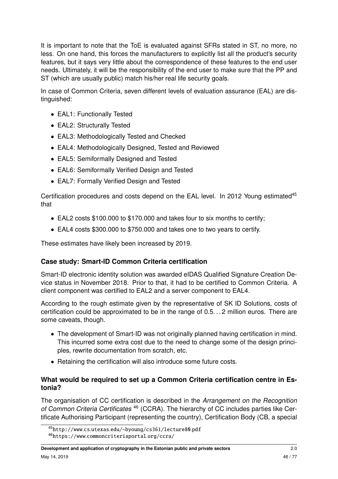It is important to note that the ToE is evaluated against SFRs stated in ST, no more, no less. On one hand, this forces the manufacturers to explicitly list all the product's security features, but it says very little about the correspondence of these features to the end user needs. Ultimately, it will be the responsibility of the end user to make sure that the PP and ST (which are usually public) match his/her real life security goals.

In case of Common Criteria, seven different levels of evaluation assurance (EAL) are distinguished:

- EAL1: Functionally Tested
- EAL2: Structurally Tested
- EAL3: Methodologically Tested and Checked
- EAL4: Methodologically Designed, Tested and Reviewed
- EAL5: Semiformally Designed and Tested
- EAL6: Semiformally Verified Design and Tested
- EAL7: Formally Verified Design and Tested

Certification procedures and costs depend on the EAL level. In 2012 Young estimated<sup>[45](#page-45-0)</sup> that

- EAL2 costs \$100.000 to \$170.000 and takes four to six months to certify;
- EAL4 costs \$300.000 to \$750.000 and takes one to two years to certify.

These estimates have likely been increased by 2019.

#### **Case study: Smart-ID Common Criteria certification**

Smart-ID electronic identity solution was awarded eIDAS Qualified Signature Creation Device status in November 2018. Prior to that, it had to be certified to Common Criteria. A client component was certified to EAL2 and a server component to EAL4.

According to the rough estimate given by the representative of SK ID Solutions, costs of certification could be approximated to be in the range of 0.5. . . 2 million euros. There are some caveats, though.

- The development of Smart-ID was not originally planned having certification in mind. This incurred some extra cost due to the need to change some of the design principles, rewrite documentation from scratch, etc.
- Retaining the certification will also introduce some future costs.

#### **What would be required to set up a Common Criteria certification centre in Estonia?**

The organisation of CC certification is described in the Arrangement on the Recognition of Common Criteria Certificates<sup>[46](#page-45-1)</sup> (CCRA). The hierarchy of CC includes parties like Certificate Authorising Participant (representing the country), Certification Body (CB, a special

<span id="page-45-1"></span><span id="page-45-0"></span><sup>45</sup>http://www.cs.utexas.[edu/~byoung/cs361/lecture80](http://www.cs.utexas.edu/~byoung/cs361/lecture80.pdf).pdf

<sup>46</sup>https://www.[commoncriteriaportal](https://www.commoncriteriaportal.org/ccra/).org/ccra/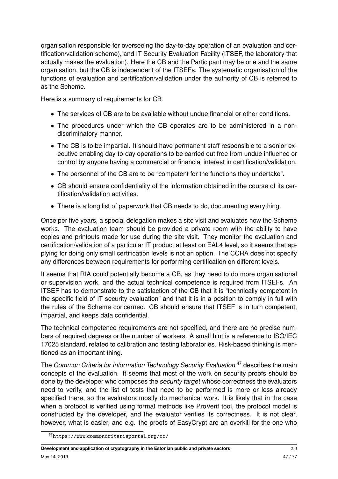organisation responsible for overseeing the day-to-day operation of an evaluation and certification/validation scheme), and IT Security Evaluation Facility (ITSEF, the laboratory that actually makes the evaluation). Here the CB and the Participant may be one and the same organisation, but the CB is independent of the ITSEFs. The systematic organisation of the functions of evaluation and certification/validation under the authority of CB is referred to as the Scheme.

Here is a summary of requirements for CB.

- The services of CB are to be available without undue financial or other conditions.
- The procedures under which the CB operates are to be administered in a nondiscriminatory manner.
- The CB is to be impartial. It should have permanent staff responsible to a senior executive enabling day-to-day operations to be carried out free from undue influence or control by anyone having a commercial or financial interest in certification/validation.
- The personnel of the CB are to be "competent for the functions they undertake".
- CB should ensure confidentiality of the information obtained in the course of its certification/validation activities.
- There is a long list of paperwork that CB needs to do, documenting everything.

Once per five years, a special delegation makes a site visit and evaluates how the Scheme works. The evaluation team should be provided a private room with the ability to have copies and printouts made for use during the site visit. They monitor the evaluation and certification/validation of a particular IT product at least on EAL4 level, so it seems that applying for doing only small certification levels is not an option. The CCRA does not specify any differences between requirements for performing certification on different levels.

It seems that RIA could potentially become a CB, as they need to do more organisational or supervision work, and the actual technical competence is required from ITSEFs. An ITSEF has to demonstrate to the satisfaction of the CB that it is "technically competent in the specific field of IT security evaluation" and that it is in a position to comply in full with the rules of the Scheme concerned. CB should ensure that ITSEF is in turn competent, impartial, and keeps data confidential.

The technical competence requirements are not specified, and there are no precise numbers of required degrees or the number of workers. A small hint is a reference to ISO/IEC 17025 standard, related to calibration and testing laboratories. Risk-based thinking is mentioned as an important thing.

The Common Criteria for Information Technology Security Evaluation<sup>[47](#page-46-0)</sup> describes the main concepts of the evaluation. It seems that most of the work on security proofs should be done by the developer who composes the security target whose correctness the evaluators need to verify, and the list of tests that need to be performed is more or less already specified there, so the evaluators mostly do mechanical work. It is likely that in the case when a protocol is verified using formal methods like ProVerif tool, the protocol model is constructed by the developer, and the evaluator verifies its correctness. It is not clear, however, what is easier, and e.g. the proofs of EasyCrypt are an overkill for the one who

<span id="page-46-0"></span><sup>47</sup>https://www.[commoncriteriaportal](https://www.commoncriteriaportal.org/cc/).org/cc/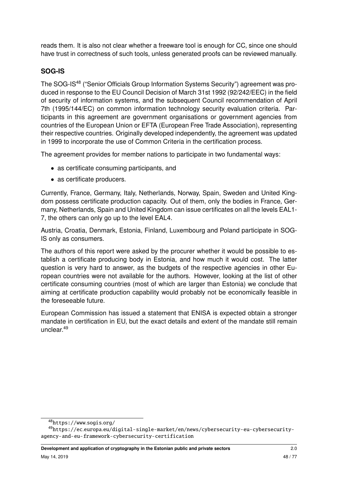reads them. It is also not clear whether a freeware tool is enough for CC, since one should have trust in correctness of such tools, unless generated proofs can be reviewed manually.

# **SOG-IS**

The SOG-IS<sup>[48](#page-47-0)</sup> ("Senior Officials Group Information Systems Security") agreement was produced in response to the EU Council Decision of March 31st 1992 (92/242/EEC) in the field of security of information systems, and the subsequent Council recommendation of April 7th (1995/144/EC) on common information technology security evaluation criteria. Participants in this agreement are government organisations or government agencies from countries of the European Union or EFTA (European Free Trade Association), representing their respective countries. Originally developed independently, the agreement was updated in 1999 to incorporate the use of Common Criteria in the certification process.

The agreement provides for member nations to participate in two fundamental ways:

- as certificate consuming participants, and
- as certificate producers.

Currently, France, Germany, Italy, Netherlands, Norway, Spain, Sweden and United Kingdom possess certificate production capacity. Out of them, only the bodies in France, Germany, Netherlands, Spain and United Kingdom can issue certificates on all the levels EAL1- 7, the others can only go up to the level EAL4.

Austria, Croatia, Denmark, Estonia, Finland, Luxembourg and Poland participate in SOG-IS only as consumers.

The authors of this report were asked by the procurer whether it would be possible to establish a certificate producing body in Estonia, and how much it would cost. The latter question is very hard to answer, as the budgets of the respective agencies in other European countries were not available for the authors. However, looking at the list of other certificate consuming countries (most of which are larger than Estonia) we conclude that aiming at certificate production capability would probably not be economically feasible in the foreseeable future.

European Commission has issued a statement that ENISA is expected obtain a stronger mandate in certification in EU, but the exact details and extent of the mandate still remain unclear.[49](#page-47-1)

<span id="page-47-1"></span><span id="page-47-0"></span><sup>48</sup>[https://www](https://www.sogis.org/).sogis.org/

<sup>49</sup>https://ec.europa.[eu/digital-single-market/en/news/cybersecurity-eu-cybersecurity](https://ec.europa.eu/digital-single-market/en/news/cybersecurity-eu-cybersecurity-agency-and-eu-framework-cybersecurity-certification)[agency-and-eu-framework-cybersecurity-certification](https://ec.europa.eu/digital-single-market/en/news/cybersecurity-eu-cybersecurity-agency-and-eu-framework-cybersecurity-certification)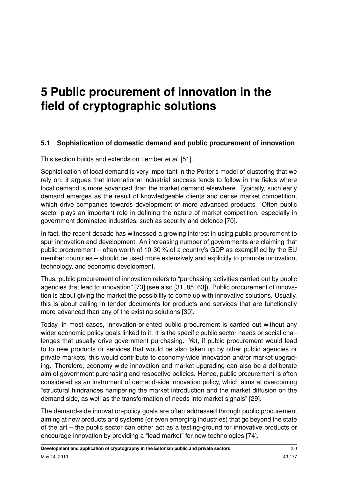# **5 Public procurement of innovation in the field of cryptographic solutions**

# **5.1 Sophistication of domestic demand and public procurement of innovation**

This section builds and extends on Lember et al. [\[51\]](#page-74-3).

Sophistication of local demand is very important in the Porter's model of clustering that we rely on; it argues that international industrial success tends to follow in the fields where local demand is more advanced than the market demand elsewhere. Typically, such early demand emerges as the result of knowledgeable clients and dense market competition, which drive companies towards development of more advanced products. Often public sector plays an important role in defining the nature of market competition, especially in government dominated industries, such as security and defence [\[70\]](#page-75-1).

In fact, the recent decade has witnessed a growing interest in using public procurement to spur innovation and development. An increasing number of governments are claiming that public procurement – often worth of 10-30 % of a country's GDP as exemplified by the EU member countries – should be used more extensively and explicitly to promote innovation, technology, and economic development.

Thus, public procurement of innovation refers to "purchasing activities carried out by public agencies that lead to innovation" [\[73\]](#page-75-2) (see also [\[31,](#page-72-2) [85,](#page-76-2) [63\]](#page-75-3)). Public procurement of innovation is about giving the market the possibility to come up with innovative solutions. Usually, this is about calling in tender documents for products and services that are functionally more advanced than any of the existing solutions [\[30\]](#page-72-3).

Today, in most cases, innovation-oriented public procurement is carried out without any wider economic policy goals linked to it. It is the specific public sector needs or social challenges that usually drive government purchasing. Yet, if public procurement would lead to to new products or services that would be also taken up by other public agencies or private markets, this would contribute to economy-wide innovation and/or market upgrading. Therefore, economy-wide innovation and market upgrading can also be a deliberate aim of government purchasing and respective policies. Hence, public procurement is often considered as an instrument of demand-side innovation policy, which aims at overcoming "structural hindrances hampering the market introduction and the market diffusion on the demand side, as well as the transformation of needs into market signals" [\[29\]](#page-72-4).

The demand-side innovation-policy goals are often addressed through public procurement aiming at new products and systems (or even emerging industries) that go beyond the state of the art – the public sector can either act as a testing-ground for innovative products or encourage innovation by providing a "lead market" for new technologies [\[74\]](#page-75-4).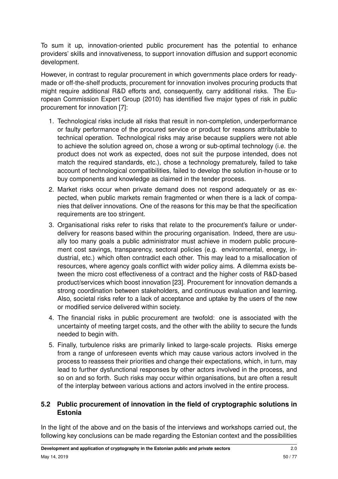To sum it up, innovation-oriented public procurement has the potential to enhance providers' skills and innovativeness, to support innovation diffusion and support economic development.

However, in contrast to regular procurement in which governments place orders for readymade or off-the-shelf products, procurement for innovation involves procuring products that might require additional R&D efforts and, consequently, carry additional risks. The European Commission Expert Group (2010) has identified five major types of risk in public procurement for innovation [\[7\]](#page-70-1):

- 1. Technological risks include all risks that result in non-completion, underperformance or faulty performance of the procured service or product for reasons attributable to technical operation. Technological risks may arise because suppliers were not able to achieve the solution agreed on, chose a wrong or sub-optimal technology (i.e. the product does not work as expected, does not suit the purpose intended, does not match the required standards, etc.), chose a technology prematurely, failed to take account of technological compatibilities, failed to develop the solution in-house or to buy components and knowledge as claimed in the tender process.
- 2. Market risks occur when private demand does not respond adequately or as expected, when public markets remain fragmented or when there is a lack of companies that deliver innovations. One of the reasons for this may be that the specification requirements are too stringent.
- 3. Organisational risks refer to risks that relate to the procurement's failure or underdelivery for reasons based within the procuring organisation. Indeed, there are usually too many goals a public administrator must achieve in modern public procurement cost savings, transparency, sectoral policies (e.g. environmental, energy, industrial, etc.) which often contradict each other. This may lead to a misallocation of resources, where agency goals conflict with wider policy aims. A dilemma exists between the micro cost effectiveness of a contract and the higher costs of R&D-based product/services which boost innovation [\[23\]](#page-72-5). Procurement for innovation demands a strong coordination between stakeholders, and continuous evaluation and learning. Also, societal risks refer to a lack of acceptance and uptake by the users of the new or modified service delivered within society.
- 4. The financial risks in public procurement are twofold: one is associated with the uncertainty of meeting target costs, and the other with the ability to secure the funds needed to begin with.
- 5. Finally, turbulence risks are primarily linked to large-scale projects. Risks emerge from a range of unforeseen events which may cause various actors involved in the process to reassess their priorities and change their expectations, which, in turn, may lead to further dysfunctional responses by other actors involved in the process, and so on and so forth. Such risks may occur within organisations, but are often a result of the interplay between various actions and actors involved in the entire process.

### **5.2 Public procurement of innovation in the field of cryptographic solutions in Estonia**

In the light of the above and on the basis of the interviews and workshops carried out, the following key conclusions can be made regarding the Estonian context and the possibilities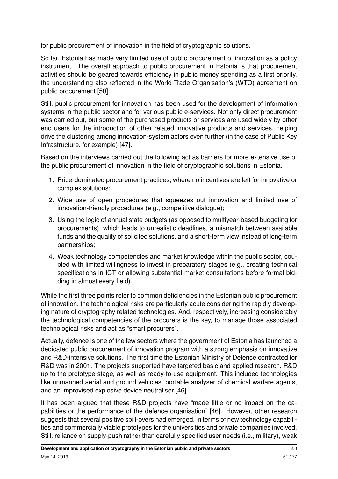for public procurement of innovation in the field of cryptographic solutions.

So far, Estonia has made very limited use of public procurement of innovation as a policy instrument. The overall approach to public procurement in Estonia is that procurement activities should be geared towards efficiency in public money spending as a first priority, the understanding also reflected in the World Trade Organisation's (WTO) agreement on public procurement [\[50\]](#page-74-4).

Still, public procurement for innovation has been used for the development of information systems in the public sector and for various public e-services. Not only direct procurement was carried out, but some of the purchased products or services are used widely by other end users for the introduction of other related innovative products and services, helping drive the clustering among innovation-system actors even further (in the case of Public Key Infrastructure, for example) [\[47\]](#page-73-2).

Based on the interviews carried out the following act as barriers for more extensive use of the public procurement of innovation in the field of cryptographic solutions in Estonia.

- 1. Price-dominated procurement practices, where no incentives are left for innovative or complex solutions;
- 2. Wide use of open procedures that squeezes out innovation and limited use of innovation-friendly procedures (e.g., competitive dialogue);
- 3. Using the logic of annual state budgets (as opposed to multiyear-based budgeting for procurements), which leads to unrealistic deadlines, a mismatch between available funds and the quality of solicited solutions, and a short-term view instead of long-term partnerships;
- 4. Weak technology competencies and market knowledge within the public sector, coupled with limited willingness to invest in preparatory stages (e.g., creating technical specifications in ICT or allowing substantial market consultations before formal bidding in almost every field).

While the first three points refer to common deficiencies in the Estonian public procurement of innovation, the technological risks are particularly acute considering the rapidly developing nature of cryptography related technologies. And, respectively, increasing considerably the technological competencies of the procurers is the key, to manage those associated technological risks and act as "smart procurers".

Actually, defence is one of the few sectors where the government of Estonia has launched a dedicated public procurement of innovation program with a strong emphasis on innovative and R&D-intensive solutions. The first time the Estonian Ministry of Defence contracted for R&D was in 2001. The projects supported have targeted basic and applied research, R&D up to the prototype stage, as well as ready-to-use equipment. This included technologies like unmanned aerial and ground vehicles, portable analyser of chemical warfare agents, and an improvised explosive device neutraliser [\[46\]](#page-73-3).

It has been argued that these R&D projects have "made little or no impact on the capabilities or the performance of the defence organisation" [\[46\]](#page-73-3). However, other research suggests that several positive spill-overs had emerged, in terms of new technology capabilities and commercially viable prototypes for the universities and private companies involved. Still, reliance on supply-push rather than carefully specified user needs (i.e., military), weak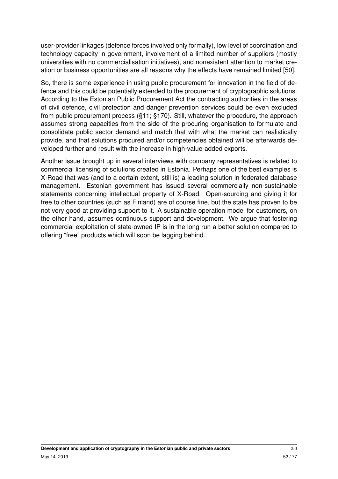user-provider linkages (defence forces involved only formally), low level of coordination and technology capacity in government, involvement of a limited number of suppliers (mostly universities with no commercialisation initiatives), and nonexistent attention to market creation or business opportunities are all reasons why the effects have remained limited [\[50\]](#page-74-4).

So, there is some experience in using public procurement for innovation in the field of defence and this could be potentially extended to the procurement of cryptographic solutions. According to the Estonian Public Procurement Act the contracting authorities in the areas of civil defence, civil protection and danger prevention services could be even excluded from public procurement process (§11; §170). Still, whatever the procedure, the approach assumes strong capacities from the side of the procuring organisation to formulate and consolidate public sector demand and match that with what the market can realistically provide, and that solutions procured and/or competencies obtained will be afterwards developed further and result with the increase in high-value-added exports.

Another issue brought up in several interviews with company representatives is related to commercial licensing of solutions created in Estonia. Perhaps one of the best examples is X-Road that was (and to a certain extent, still is) a leading solution in federated database management. Estonian government has issued several commercially non-sustainable statements concerning intellectual property of X-Road. Open-sourcing and giving it for free to other countries (such as Finland) are of course fine, but the state has proven to be not very good at providing support to it. A sustainable operation model for customers, on the other hand, assumes continuous support and development. We argue that fostering commercial exploitation of state-owned IP is in the long run a better solution compared to offering "free" products which will soon be lagging behind.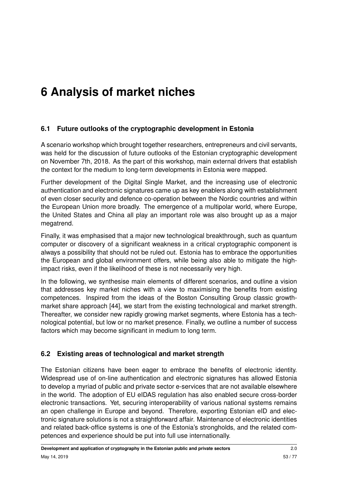# **6 Analysis of market niches**

# **6.1 Future outlooks of the cryptographic development in Estonia**

A scenario workshop which brought together researchers, entrepreneurs and civil servants, was held for the discussion of future outlooks of the Estonian cryptographic development on November 7th, 2018. As the part of this workshop, main external drivers that establish the context for the medium to long-term developments in Estonia were mapped.

Further development of the Digital Single Market, and the increasing use of electronic authentication and electronic signatures came up as key enablers along with establishment of even closer security and defence co-operation between the Nordic countries and within the European Union more broadly. The emergence of a multipolar world, where Europe, the United States and China all play an important role was also brought up as a major megatrend.

Finally, it was emphasised that a major new technological breakthrough, such as quantum computer or discovery of a significant weakness in a critical cryptographic component is always a possibility that should not be ruled out. Estonia has to embrace the opportunities the European and global environment offers, while being also able to mitigate the highimpact risks, even if the likelihood of these is not necessarily very high.

In the following, we synthesise main elements of different scenarios, and outline a vision that addresses key market niches with a view to maximising the benefits from existing competences. Inspired from the ideas of the Boston Consulting Group classic growthmarket share approach [\[44\]](#page-73-4), we start from the existing technological and market strength. Thereafter, we consider new rapidly growing market segments, where Estonia has a technological potential, but low or no market presence. Finally, we outline a number of success factors which may become significant in medium to long term.

# **6.2 Existing areas of technological and market strength**

The Estonian citizens have been eager to embrace the benefits of electronic identity. Widespread use of on-line authentication and electronic signatures has allowed Estonia to develop a myriad of public and private sector e-services that are not available elsewhere in the world. The adoption of EU eIDAS regulation has also enabled secure cross-border electronic transactions. Yet, securing interoperability of various national systems remains an open challenge in Europe and beyond. Therefore, exporting Estonian eID and electronic signature solutions is not a straightforward affair. Maintenance of electronic identities and related back-office systems is one of the Estonia's strongholds, and the related competences and experience should be put into full use internationally.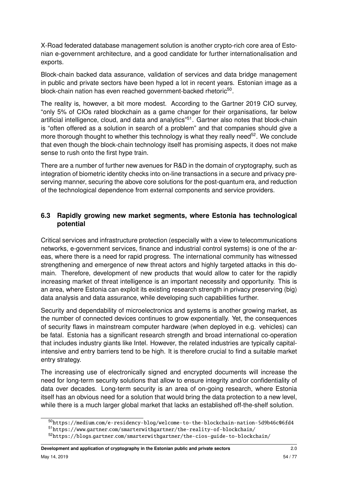X-Road federated database management solution is another crypto-rich core area of Estonian e-government architecture, and a good candidate for further internationalisation and exports.

Block-chain backed data assurance, validation of services and data bridge management in public and private sectors have been hyped a lot in recent years. Estonian image as a block-chain nation has even reached government-backed rhetoric<sup>[50](#page-53-0)</sup>.

The reality is, however, a bit more modest. According to the Gartner 2019 CIO survey, "only 5% of CIOs rated blockchain as a game changer for their organisations, far below artificial intelligence, cloud, and data and analytics"<sup>[51](#page-53-1)</sup>. Gartner also notes that block-chain is "often offered as a solution in search of a problem" and that companies should give a more thorough thought to whether this technology is what they really need<sup>[52](#page-53-2)</sup>. We conclude that even though the block-chain technology itself has promising aspects, it does not make sense to rush onto the first hype train.

There are a number of further new avenues for R&D in the domain of cryptography, such as integration of biometric identity checks into on-line transactions in a secure and privacy preserving manner, securing the above core solutions for the post-quantum era, and reduction of the technological dependence from external components and service providers.

#### **6.3 Rapidly growing new market segments, where Estonia has technological potential**

Critical services and infrastructure protection (especially with a view to telecommunications networks, e-government services, finance and industrial control systems) is one of the areas, where there is a need for rapid progress. The international community has witnessed strengthening and emergence of new threat actors and highly targeted attacks in this domain. Therefore, development of new products that would allow to cater for the rapidly increasing market of threat intelligence is an important necessity and opportunity. This is an area, where Estonia can exploit its existing research strength in privacy preserving (big) data analysis and data assurance, while developing such capabilities further.

Security and dependability of microelectronics and systems is another growing market, as the number of connected devices continues to grow exponentially. Yet, the consequences of security flaws in mainstream computer hardware (when deployed in e.g. vehicles) can be fatal. Estonia has a significant research strength and broad international co-operation that includes industry giants like Intel. However, the related industries are typically capitalintensive and entry barriers tend to be high. It is therefore crucial to find a suitable market entry strategy.

The increasing use of electronically signed and encrypted documents will increase the need for long-term security solutions that allow to ensure integrity and/or confidentiality of data over decades. Long-term security is an area of on-going research, where Estonia itself has an obvious need for a solution that would bring the data protection to a new level, while there is a much larger global market that lacks an established off-the-shelf solution.

<span id="page-53-1"></span><span id="page-53-0"></span><sup>50</sup>https://medium.[com/e-residency-blog/welcome-to-the-blockchain-nation-5d9b46c06fd4](https://medium.com/e-residency-blog/welcome-to-the-blockchain-nation-5d9b46c06fd4) <sup>51</sup>https://www.gartner.[com/smarterwithgartner/the-reality-of-blockchain/](https://www.gartner.com/smarterwithgartner/the-reality-of-blockchain/)

<span id="page-53-2"></span><sup>52</sup>https://blogs.gartner.[com/smarterwithgartner/the-cios-guide-to-blockchain/](https://blogs.gartner.com/smarterwithgartner/the-cios-guide-to-blockchain/)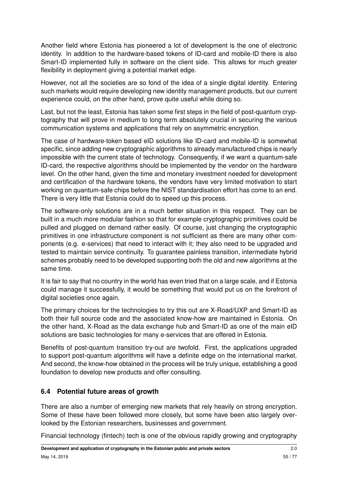Another field where Estonia has pioneered a lot of development is the one of electronic identity. In addition to the hardware-based tokens of ID-card and mobile-ID there is also Smart-ID implemented fully in software on the client side. This allows for much greater flexibility in deployment giving a potential market edge.

However, not all the societies are so fond of the idea of a single digital identity. Entering such markets would require developing new identity management products, but our current experience could, on the other hand, prove quite useful while doing so.

Last, but not the least, Estonia has taken some first steps in the field of post-quantum cryptography that will prove in medium to long term absolutely crucial in securing the various communication systems and applications that rely on asymmetric encryption.

The case of hardware-token based eID solutions like ID-card and mobile-ID is somewhat specific, since adding new cryptographic algorithms to already manufactured chips is nearly impossible with the current state of technology. Consequently, if we want a quantum-safe ID-card, the respective algorithms should be implemented by the vendor on the hardware level. On the other hand, given the time and monetary investment needed for development and certification of the hardware tokens, the vendors have very limited motivation to start working on quantum-safe chips before the NIST standardisation effort has come to an end. There is very little that Estonia could do to speed up this process.

The software-only solutions are in a much better situation in this respect. They can be built in a much more modular fashion so that for example cryptographic primitives could be pulled and plugged on demand rather easily. Of course, just changing the cryptographic primitives in one infrastructure component is not sufficient as there are many other components (e.g. e-services) that need to interact with it; they also need to be upgraded and tested to maintain service continuity. To guarantee painless transition, intermediate hybrid schemes probably need to be developed supporting both the old and new algorithms at the same time.

It is fair to say that no country in the world has even tried that on a large scale, and if Estonia could manage it successfully, it would be something that would put us on the forefront of digital societies once again.

The primary choices for the technologies to try this out are X-Road/UXP and Smart-ID as both their full source code and the associated know-how are maintained in Estonia. On the other hand, X-Road as the data exchange hub and Smart-ID as one of the main eID solutions are basic technologies for many e-services that are offered in Estonia.

Benefits of post-quantum transition try-out are twofold. First, the applications upgraded to support post-quantum algorithms will have a definite edge on the international market. And second, the know-how obtained in the process will be truly unique, establishing a good foundation to develop new products and offer consulting.

# **6.4 Potential future areas of growth**

There are also a number of emerging new markets that rely heavily on strong encryption. Some of these have been followed more closely, but some have been also largely overlooked by the Estonian researchers, businesses and government.

Financial technology (fintech) tech is one of the obvious rapidly growing and cryptography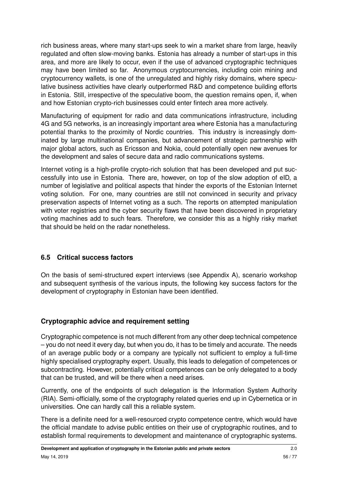rich business areas, where many start-ups seek to win a market share from large, heavily regulated and often slow-moving banks. Estonia has already a number of start-ups in this area, and more are likely to occur, even if the use of advanced cryptographic techniques may have been limited so far. Anonymous cryptocurrencies, including coin mining and cryptocurrency wallets, is one of the unregulated and highly risky domains, where speculative business activities have clearly outperformed R&D and competence building efforts in Estonia. Still, irrespective of the speculative boom, the question remains open, if, when and how Estonian crypto-rich businesses could enter fintech area more actively.

Manufacturing of equipment for radio and data communications infrastructure, including 4G and 5G networks, is an increasingly important area where Estonia has a manufacturing potential thanks to the proximity of Nordic countries. This industry is increasingly dominated by large multinational companies, but advancement of strategic partnership with major global actors, such as Ericsson and Nokia, could potentially open new avenues for the development and sales of secure data and radio communications systems.

Internet voting is a high-profile crypto-rich solution that has been developed and put successfully into use in Estonia. There are, however, on top of the slow adoption of eID, a number of legislative and political aspects that hinder the exports of the Estonian Internet voting solution. For one, many countries are still not convinced in security and privacy preservation aspects of Internet voting as a such. The reports on attempted manipulation with voter registries and the cyber security flaws that have been discovered in proprietary voting machines add to such fears. Therefore, we consider this as a highly risky market that should be held on the radar nonetheless.

# **6.5 Critical success factors**

On the basis of semi-structured expert interviews (see Appendix [A\)](#page-64-0), scenario workshop and subsequent synthesis of the various inputs, the following key success factors for the development of cryptography in Estonian have been identified.

# **Cryptographic advice and requirement setting**

Cryptographic competence is not much different from any other deep technical competence – you do not need it every day, but when you do, it has to be timely and accurate. The needs of an average public body or a company are typically not sufficient to employ a full-time highly specialised cryptography expert. Usually, this leads to delegation of competences or subcontracting. However, potentially critical competences can be only delegated to a body that can be trusted, and will be there when a need arises.

Currently, one of the endpoints of such delegation is the Information System Authority (RIA). Semi-officially, some of the cryptography related queries end up in Cybernetica or in universities. One can hardly call this a reliable system.

There is a definite need for a well-resourced crypto competence centre, which would have the official mandate to advise public entities on their use of cryptographic routines, and to establish formal requirements to development and maintenance of cryptographic systems.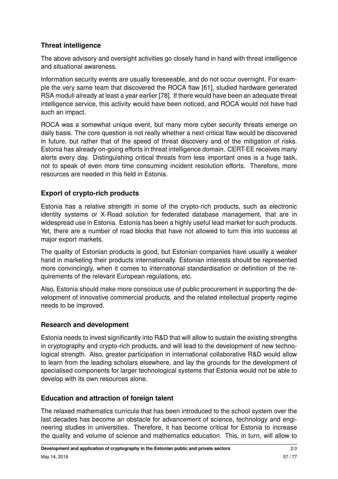# **Threat intelligence**

The above advisory and oversight activities go closely hand in hand with threat intelligence and situational awareness.

Information security events are usually foreseeable, and do not occur overnight. For example the very same team that discovered the ROCA flaw [\[61\]](#page-74-5), studied hardware generated RSA moduli already at least a year earlier [\[78\]](#page-76-3). If there would have been an adequate threat intelligence service, this activity would have been noticed, and ROCA would not have had such an impact.

ROCA was a somewhat unique event, but many more cyber security threats emerge on daily basis. The core question is not really whether a next critical flaw would be discovered in future, but rather that of the speed of threat discovery and of the mitigation of risks. Estonia has already on-going efforts in threat intelligence domain. CERT-EE receives many alerts every day. Distinguishing critical threats from less important ones is a huge task, not to speak of even more time consuming incident resolution efforts. Therefore, more resources are needed in this field in Estonia.

# **Export of crypto-rich products**

Estonia has a relative strength in some of the crypto-rich products, such as electronic identity systems or X-Road solution for federated database management, that are in widespread use in Estonia. Estonia has been a highly useful lead market for such products. Yet, there are a number of road blocks that have not allowed to turn this into success at major export markets.

The quality of Estonian products is good, but Estonian companies have usually a weaker hand in marketing their products internationally. Estonian interests should be represented more convincingly, when it comes to international standardisation or definition of the requirements of the relevant European regulations, etc.

Also, Estonia should make more conscious use of public procurement in supporting the development of innovative commercial products, and the related intellectual property regime needs to be improved.

# **Research and development**

Estonia needs to invest significantly into R&D that will allow to sustain the existing strengths in cryptography and crypto-rich products, and will lead to the development of new technological strength. Also, greater participation in international collaborative R&D would allow to learn from the leading scholars elsewhere, and lay the grounds for the development of specialised components for larger technological systems that Estonia would not be able to develop with its own resources alone.

# **Education and attraction of foreign talent**

The relaxed mathematics curricula that has been introduced to the school system over the last decades has become an obstacle for advancement of science, technology and engineering studies in universities. Therefore, it has become critical for Estonia to increase the quality and volume of science and mathematics education. This, in turn, will allow to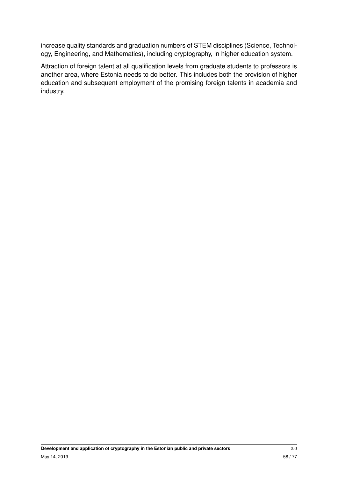increase quality standards and graduation numbers of STEM disciplines (Science, Technology, Engineering, and Mathematics), including cryptography, in higher education system.

Attraction of foreign talent at all qualification levels from graduate students to professors is another area, where Estonia needs to do better. This includes both the provision of higher education and subsequent employment of the promising foreign talents in academia and industry.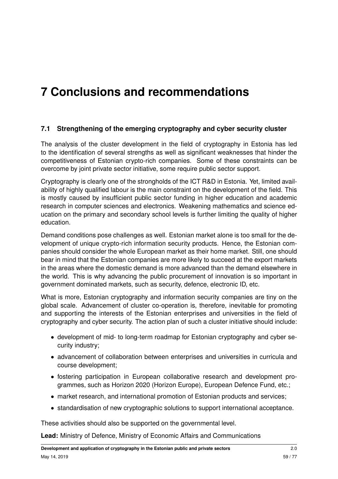# **7 Conclusions and recommendations**

#### **7.1 Strengthening of the emerging cryptography and cyber security cluster**

The analysis of the cluster development in the field of cryptography in Estonia has led to the identification of several strengths as well as significant weaknesses that hinder the competitiveness of Estonian crypto-rich companies. Some of these constraints can be overcome by joint private sector initiative, some require public sector support.

Cryptography is clearly one of the strongholds of the ICT R&D in Estonia. Yet, limited availability of highly qualified labour is the main constraint on the development of the field. This is mostly caused by insufficient public sector funding in higher education and academic research in computer sciences and electronics. Weakening mathematics and science education on the primary and secondary school levels is further limiting the quality of higher education.

Demand conditions pose challenges as well. Estonian market alone is too small for the development of unique crypto-rich information security products. Hence, the Estonian companies should consider the whole European market as their home market. Still, one should bear in mind that the Estonian companies are more likely to succeed at the export markets in the areas where the domestic demand is more advanced than the demand elsewhere in the world. This is why advancing the public procurement of innovation is so important in government dominated markets, such as security, defence, electronic ID, etc.

What is more, Estonian cryptography and information security companies are tiny on the global scale. Advancement of cluster co-operation is, therefore, inevitable for promoting and supporting the interests of the Estonian enterprises and universities in the field of cryptography and cyber security. The action plan of such a cluster initiative should include:

- development of mid- to long-term roadmap for Estonian cryptography and cyber security industry;
- advancement of collaboration between enterprises and universities in curricula and course development;
- fostering participation in European collaborative research and development programmes, such as Horizon 2020 (Horizon Europe), European Defence Fund, etc.;
- market research, and international promotion of Estonian products and services;
- standardisation of new cryptographic solutions to support international acceptance.

These activities should also be supported on the governmental level.

**Lead:** Ministry of Defence, Ministry of Economic Affairs and Communications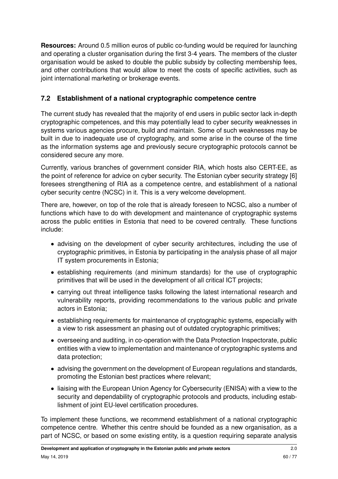**Resources:** Around 0.5 million euros of public co-funding would be required for launching and operating a cluster organisation during the first 3-4 years. The members of the cluster organisation would be asked to double the public subsidy by collecting membership fees, and other contributions that would allow to meet the costs of specific activities, such as joint international marketing or brokerage events.

# **7.2 Establishment of a national cryptographic competence centre**

The current study has revealed that the majority of end users in public sector lack in-depth cryptographic competences, and this may potentially lead to cyber security weaknesses in systems various agencies procure, build and maintain. Some of such weaknesses may be built in due to inadequate use of cryptography, and some arise in the course of the time as the information systems age and previously secure cryptographic protocols cannot be considered secure any more.

Currently, various branches of government consider RIA, which hosts also CERT-EE, as the point of reference for advice on cyber security. The Estonian cyber security strategy [\[6\]](#page-70-2) foresees strengthening of RIA as a competence centre, and establishment of a national cyber security centre (NCSC) in it. This is a very welcome development.

There are, however, on top of the role that is already foreseen to NCSC, also a number of functions which have to do with development and maintenance of cryptographic systems across the public entities in Estonia that need to be covered centrally. These functions include:

- advising on the development of cyber security architectures, including the use of cryptographic primitives, in Estonia by participating in the analysis phase of all major IT system procurements in Estonia;
- establishing requirements (and minimum standards) for the use of cryptographic primitives that will be used in the development of all critical ICT projects;
- carrying out threat intelligence tasks following the latest international research and vulnerability reports, providing recommendations to the various public and private actors in Estonia;
- establishing requirements for maintenance of cryptographic systems, especially with a view to risk assessment an phasing out of outdated cryptographic primitives;
- overseeing and auditing, in co-operation with the Data Protection Inspectorate, public entities with a view to implementation and maintenance of cryptographic systems and data protection;
- advising the government on the development of European regulations and standards, promoting the Estonian best practices where relevant;
- liaising with the European Union Agency for Cybersecurity (ENISA) with a view to the security and dependability of cryptographic protocols and products, including establishment of joint EU-level certification procedures.

To implement these functions, we recommend establishment of a national cryptographic competence centre. Whether this centre should be founded as a new organisation, as a part of NCSC, or based on some existing entity, is a question requiring separate analysis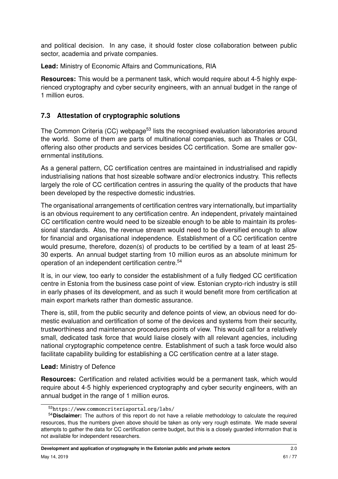and political decision. In any case, it should foster close collaboration between public sector, academia and private companies.

**Lead:** Ministry of Economic Affairs and Communications, RIA

**Resources:** This would be a permanent task, which would require about 4-5 highly experienced cryptography and cyber security engineers, with an annual budget in the range of 1 million euros.

# **7.3 Attestation of cryptographic solutions**

The Common Criteria (CC) webpage<sup>[53](#page-60-0)</sup> lists the recognised evaluation laboratories around the world. Some of them are parts of multinational companies, such as Thales or CGI, offering also other products and services besides CC certification. Some are smaller governmental institutions.

As a general pattern, CC certification centres are maintained in industrialised and rapidly industrialising nations that host sizeable software and/or electronics industry. This reflects largely the role of CC certification centres in assuring the quality of the products that have been developed by the respective domestic industries.

The organisational arrangements of certification centres vary internationally, but impartiality is an obvious requirement to any certification centre. An independent, privately maintained CC certification centre would need to be sizeable enough to be able to maintain its professional standards. Also, the revenue stream would need to be diversified enough to allow for financial and organisational independence. Establishment of a CC certification centre would presume, therefore, dozen(s) of products to be certified by a team of at least 25- 30 experts. An annual budget starting from 10 million euros as an absolute minimum for operation of an independent certification centre.<sup>[54](#page-60-1)</sup>

It is, in our view, too early to consider the establishment of a fully fledged CC certification centre in Estonia from the business case point of view. Estonian crypto-rich industry is still in early phases of its development, and as such it would benefit more from certification at main export markets rather than domestic assurance.

There is, still, from the public security and defence points of view, an obvious need for domestic evaluation and certification of some of the devices and systems from their security, trustworthiness and maintenance procedures points of view. This would call for a relatively small, dedicated task force that would liaise closely with all relevant agencies, including national cryptographic competence centre. Establishment of such a task force would also facilitate capability building for establishing a CC certification centre at a later stage.

#### **Lead:** Ministry of Defence

**Resources:** Certification and related activities would be a permanent task, which would require about 4-5 highly experienced cryptography and cyber security engineers, with an annual budget in the range of 1 million euros.

<span id="page-60-1"></span><span id="page-60-0"></span><sup>53</sup>https://www.[commoncriteriaportal](https://www.commoncriteriaportal.org/labs/).org/labs/

<sup>54</sup>**Disclaimer:** The authors of this report do not have a reliable methodology to calculate the required resources, thus the numbers given above should be taken as only very rough estimate. We made several attempts to gather the data for CC certification centre budget, but this is a closely guarded information that is not available for independent researchers.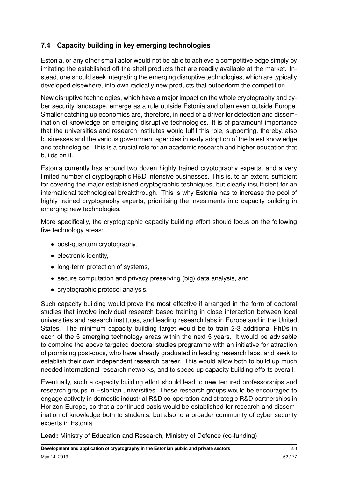# **7.4 Capacity building in key emerging technologies**

Estonia, or any other small actor would not be able to achieve a competitive edge simply by imitating the established off-the-shelf products that are readily available at the market. Instead, one should seek integrating the emerging disruptive technologies, which are typically developed elsewhere, into own radically new products that outperform the competition.

New disruptive technologies, which have a major impact on the whole cryptography and cyber security landscape, emerge as a rule outside Estonia and often even outside Europe. Smaller catching up economies are, therefore, in need of a driver for detection and dissemination of knowledge on emerging disruptive technologies. It is of paramount importance that the universities and research institutes would fulfil this role, supporting, thereby, also businesses and the various government agencies in early adoption of the latest knowledge and technologies. This is a crucial role for an academic research and higher education that builds on it.

Estonia currently has around two dozen highly trained cryptography experts, and a very limited number of cryptographic R&D intensive businesses. This is, to an extent, sufficient for covering the major established cryptographic techniques, but clearly insufficient for an international technological breakthrough. This is why Estonia has to increase the pool of highly trained cryptography experts, prioritising the investments into capacity building in emerging new technologies.

More specifically, the cryptographic capacity building effort should focus on the following five technology areas:

- post-quantum cryptography,
- electronic identity,
- long-term protection of systems,
- secure computation and privacy preserving (big) data analysis, and
- cryptographic protocol analysis.

Such capacity building would prove the most effective if arranged in the form of doctoral studies that involve individual research based training in close interaction between local universities and research institutes, and leading research labs in Europe and in the United States. The minimum capacity building target would be to train 2-3 additional PhDs in each of the 5 emerging technology areas within the next 5 years. It would be advisable to combine the above targeted doctoral studies programme with an initiative for attraction of promising post-docs, who have already graduated in leading research labs, and seek to establish their own independent research career. This would allow both to build up much needed international research networks, and to speed up capacity building efforts overall.

Eventually, such a capacity building effort should lead to new tenured professorships and research groups in Estonian universities. These research groups would be encouraged to engage actively in domestic industrial R&D co-operation and strategic R&D partnerships in Horizon Europe, so that a continued basis would be established for research and dissemination of knowledge both to students, but also to a broader community of cyber security experts in Estonia.

**Lead:** Ministry of Education and Research, Ministry of Defence (co-funding)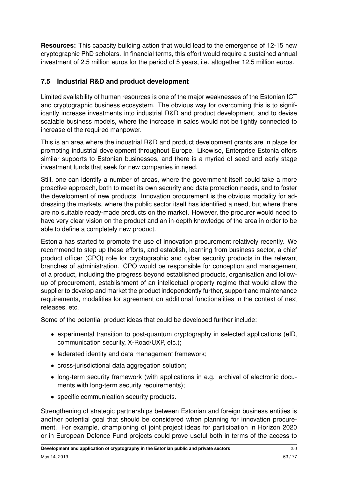**Resources:** This capacity building action that would lead to the emergence of 12-15 new cryptographic PhD scholars. In financial terms, this effort would require a sustained annual investment of 2.5 million euros for the period of 5 years, i.e. altogether 12.5 million euros.

# **7.5 Industrial R&D and product development**

Limited availability of human resources is one of the major weaknesses of the Estonian ICT and cryptographic business ecosystem. The obvious way for overcoming this is to significantly increase investments into industrial R&D and product development, and to devise scalable business models, where the increase in sales would not be tightly connected to increase of the required manpower.

This is an area where the industrial R&D and product development grants are in place for promoting industrial development throughout Europe. Likewise, Enterprise Estonia offers similar supports to Estonian businesses, and there is a myriad of seed and early stage investment funds that seek for new companies in need.

Still, one can identify a number of areas, where the government itself could take a more proactive approach, both to meet its own security and data protection needs, and to foster the development of new products. Innovation procurement is the obvious modality for addressing the markets, where the public sector itself has identified a need, but where there are no suitable ready-made products on the market. However, the procurer would need to have very clear vision on the product and an in-depth knowledge of the area in order to be able to define a completely new product.

Estonia has started to promote the use of innovation procurement relatively recently. We recommend to step up these efforts, and establish, learning from business sector, a chief product officer (CPO) role for cryptographic and cyber security products in the relevant branches of administration. CPO would be responsible for conception and management of a product, including the progress beyond established products, organisation and followup of procurement, establishment of an intellectual property regime that would allow the supplier to develop and market the product independently further, support and maintenance requirements, modalities for agreement on additional functionalities in the context of next releases, etc.

Some of the potential product ideas that could be developed further include:

- experimental transition to post-quantum cryptography in selected applications (eID, communication security, X-Road/UXP, etc.);
- federated identity and data management framework;
- cross-jurisdictional data aggregation solution:
- long-term security framework (with applications in e.g. archival of electronic documents with long-term security requirements);
- specific communication security products.

Strengthening of strategic partnerships between Estonian and foreign business entities is another potential goal that should be considered when planning for innovation procurement. For example, championing of joint project ideas for participation in Horizon 2020 or in European Defence Fund projects could prove useful both in terms of the access to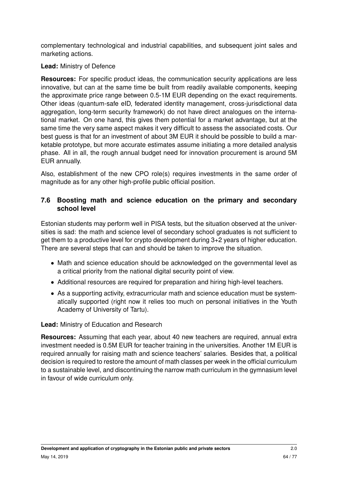complementary technological and industrial capabilities, and subsequent joint sales and marketing actions.

#### **Lead:** Ministry of Defence

**Resources:** For specific product ideas, the communication security applications are less innovative, but can at the same time be built from readily available components, keeping the approximate price range between 0.5-1M EUR depending on the exact requirements. Other ideas (quantum-safe eID, federated identity management, cross-jurisdictional data aggregation, long-term security framework) do not have direct analogues on the international market. On one hand, this gives them potential for a market advantage, but at the same time the very same aspect makes it very difficult to assess the associated costs. Our best guess is that for an investment of about 3M EUR it should be possible to build a marketable prototype, but more accurate estimates assume initiating a more detailed analysis phase. All in all, the rough annual budget need for innovation procurement is around 5M EUR annually.

Also, establishment of the new CPO role(s) requires investments in the same order of magnitude as for any other high-profile public official position.

#### **7.6 Boosting math and science education on the primary and secondary school level**

Estonian students may perform well in PISA tests, but the situation observed at the universities is sad: the math and science level of secondary school graduates is not sufficient to get them to a productive level for crypto development during 3+2 years of higher education. There are several steps that can and should be taken to improve the situation.

- Math and science education should be acknowledged on the governmental level as a critical priority from the national digital security point of view.
- Additional resources are required for preparation and hiring high-level teachers.
- As a supporting activity, extracurricular math and science education must be systematically supported (right now it relies too much on personal initiatives in the Youth Academy of University of Tartu).

#### **Lead:** Ministry of Education and Research

**Resources:** Assuming that each year, about 40 new teachers are required, annual extra investment needed is 0.5M EUR for teacher training in the universities. Another 1M EUR is required annually for raising math and science teachers' salaries. Besides that, a political decision is required to restore the amount of math classes per week in the official curriculum to a sustainable level, and discontinuing the narrow math curriculum in the gymnasium level in favour of wide curriculum only.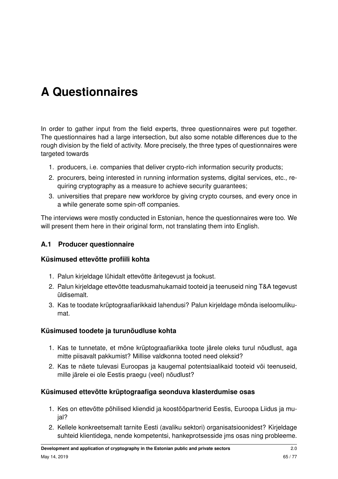# <span id="page-64-0"></span>**A Questionnaires**

In order to gather input from the field experts, three questionnaires were put together. The questionnaires had a large intersection, but also some notable differences due to the rough division by the field of activity. More precisely, the three types of questionnaires were targeted towards

- 1. producers, i.e. companies that deliver crypto-rich information security products;
- 2. procurers, being interested in running information systems, digital services, etc., requiring cryptography as a measure to achieve security guarantees;
- 3. universities that prepare new workforce by giving crypto courses, and every once in a while generate some spin-off companies.

The interviews were mostly conducted in Estonian, hence the questionnaires were too. We will present them here in their original form, not translating them into English.

#### **A.1 Producer questionnaire**

#### **Küsimused ettevõtte profiili kohta**

- 1. Palun kirjeldage lühidalt ettevõtte äritegevust ja fookust.
- 2. Palun kirjeldage ettevõtte teadusmahukamaid tooteid ja teenuseid ning T&A tegevust üldisemalt.
- 3. Kas te toodate krüptograafiarikkaid lahendusi? Palun kirjeldage mõnda iseloomulikumat.

#### **Küsimused toodete ja turunõudluse kohta**

- 1. Kas te tunnetate, et mõne krüptograafiarikka toote järele oleks turul nõudlust, aga mitte piisavalt pakkumist? Millise valdkonna tooted need oleksid?
- 2. Kas te näete tulevasi Euroopas ja kaugemal potentsiaalikaid tooteid või teenuseid, mille järele ei ole Eestis praegu (veel) nõudlust?

#### **Küsimused ettevõtte krüptograafiga seonduva klasterdumise osas**

- 1. Kes on ettevõtte põhilised kliendid ja koostööpartnerid Eestis, Euroopa Liidus ja mujal?
- 2. Kellele konkreetsemalt tarnite Eesti (avaliku sektori) organisatsioonidest? Kirjeldage suhteid klientidega, nende kompetentsi, hankeprotsesside jms osas ning probleeme.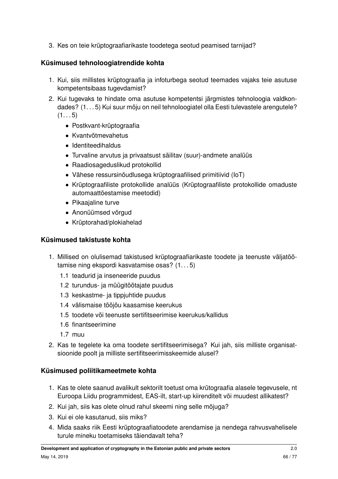3. Kes on teie krüptograafiarikaste toodetega seotud peamised tarnijad?

# **Küsimused tehnoloogiatrendide kohta**

- 1. Kui, siis millistes krüptograafia ja infoturbega seotud teemades vajaks teie asutuse kompetentsibaas tugevdamist?
- 2. Kui tugevaks te hindate oma asutuse kompetentsi järgmistes tehnoloogia valdkondades? (1. . . 5) Kui suur mõju on neil tehnoloogiatel olla Eesti tulevastele arengutele?  $(1... 5)$ 
	- Postkvant-krüptograafia
	- Kvantvõtmevahetus
	- Identiteedihaldus
	- Turvaline arvutus ja privaatsust säilitav (suur)-andmete analüüs
	- Raadiosageduslikud protokollid
	- Vähese ressursinõudlusega krüptograafilised primitiivid (IoT)
	- Krüptograafiliste protokollide analüüs (Krüptograafiliste protokollide omaduste automaattõestamise meetodid)
	- Pikaajaline turve
	- Anonüümsed võrgud
	- Krüptorahad/plokiahelad

### **Küsimused takistuste kohta**

- 1. Millised on olulisemad takistused krüptograafiarikaste toodete ja teenuste väljatöötamise ning ekspordi kasvatamise osas? (1. . . 5)
	- 1.1 teadurid ja inseneeride puudus
	- 1.2 turundus- ja müügitöötajate puudus
	- 1.3 keskastme- ja tippjuhtide puudus
	- 1.4 välismaise tööjõu kaasamise keerukus
	- 1.5 toodete või teenuste sertifitseerimise keerukus/kallidus
	- 1.6 finantseerimine
	- 1.7 muu
- 2. Kas te tegelete ka oma toodete sertifitseerimisega? Kui jah, siis milliste organisatsioonide poolt ja milliste sertifitseerimisskeemide alusel?

# **Küsimused poliitikameetmete kohta**

- 1. Kas te olete saanud avalikult sektorilt toetust oma krütograafia alasele tegevusele, nt Euroopa Liidu programmidest, EAS-ilt, start-up kiirenditelt või muudest allikatest?
- 2. Kui jah, siis kas olete olnud rahul skeemi ning selle mõjuga?
- 3. Kui ei ole kasutanud, siis miks?
- 4. Mida saaks riik Eesti krüptograafiatoodete arendamise ja nendega rahvusvahelisele turule mineku toetamiseks täiendavalt teha?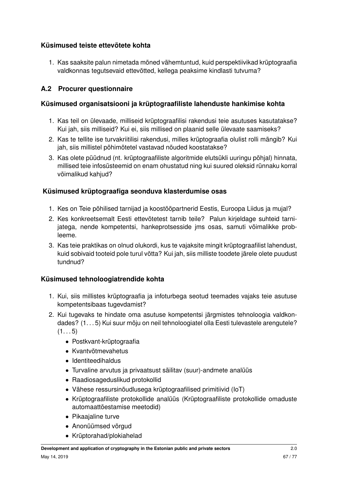# **Küsimused teiste ettevõtete kohta**

1. Kas saaksite palun nimetada mõned vähemtuntud, kuid perspektiivikad krüptograafia valdkonnas tegutsevaid ettevõtted, kellega peaksime kindlasti tutvuma?

# **A.2 Procurer questionnaire**

### **Küsimused organisatsiooni ja krüptograafiliste lahenduste hankimise kohta**

- 1. Kas teil on ülevaade, milliseid krüptograafilisi rakendusi teie asutuses kasutatakse? Kui jah, siis milliseid? Kui ei, siis millised on plaanid selle ülevaate saamiseks?
- 2. Kas te tellite ise turvakriitilisi rakendusi, milles krüptograafia olulist rolli mängib? Kui jah, siis millistel põhimõtetel vastavad nõuded koostatakse?
- 3. Kas olete püüdnud (nt. krüptograafiliste algoritmide elutsükli uuringu põhjal) hinnata, millised teie infosüsteemid on enam ohustatud ning kui suured oleksid rünnaku korral võimalikud kahjud?

# **Küsimused krüptograafiga seonduva klasterdumise osas**

- 1. Kes on Teie põhilised tarnijad ja koostööpartnerid Eestis, Euroopa Liidus ja mujal?
- 2. Kes konkreetsemalt Eesti ettevõtetest tarnib teile? Palun kirjeldage suhteid tarnijatega, nende kompetentsi, hankeprotsesside jms osas, samuti võimalikke probleeme.
- 3. Kas teie praktikas on olnud olukordi, kus te vajaksite mingit krüptograafilist lahendust, kuid sobivaid tooteid pole turul võtta? Kui jah, siis milliste toodete järele olete puudust tundnud?

# **Küsimused tehnoloogiatrendide kohta**

- 1. Kui, siis millistes krüptograafia ja infoturbega seotud teemades vajaks teie asutuse kompetentsibaas tugevdamist?
- 2. Kui tugevaks te hindate oma asutuse kompetentsi järgmistes tehnoloogia valdkondades? (1. . . 5) Kui suur mõju on neil tehnoloogiatel olla Eesti tulevastele arengutele?  $(1... 5)$ 
	- Postkvant-krüptograafia
	- Kvantvõtmevahetus
	- Identiteedihaldus
	- Turvaline arvutus ja privaatsust säilitav (suur)-andmete analüüs
	- Raadiosageduslikud protokollid
	- Vähese ressursinõudlusega krüptograafilised primitiivid (IoT)
	- Krüptograafiliste protokollide analüüs (Krüptograafiliste protokollide omaduste automaattõestamise meetodid)
	- Pikaajaline turve
	- Anonüümsed võrgud
	- Krüptorahad/plokiahelad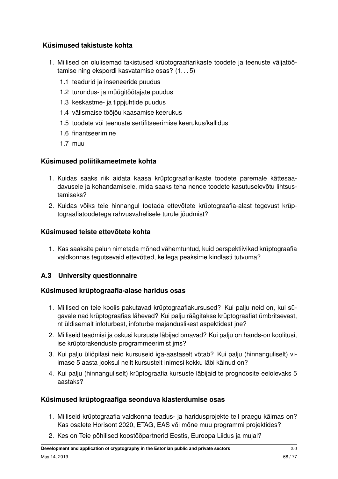# **Küsimused takistuste kohta**

- 1. Millised on olulisemad takistused krüptograafiarikaste toodete ja teenuste väljatöötamise ning ekspordi kasvatamise osas? (1. . . 5)
	- 1.1 teadurid ja inseneeride puudus
	- 1.2 turundus- ja müügitöötajate puudus
	- 1.3 keskastme- ja tippjuhtide puudus
	- 1.4 välismaise tööjõu kaasamise keerukus
	- 1.5 toodete või teenuste sertifitseerimise keerukus/kallidus
	- 1.6 finantseerimine
	- 1.7 muu

### **Küsimused poliitikameetmete kohta**

- 1. Kuidas saaks riik aidata kaasa krüptograafiarikaste toodete paremale kättesaadavusele ja kohandamisele, mida saaks teha nende toodete kasutuselevõtu lihtsustamiseks?
- 2. Kuidas võiks teie hinnangul toetada ettevõtete krüptograafia-alast tegevust krüptograafiatoodetega rahvusvahelisele turule jõudmist?

# **Küsimused teiste ettevõtete kohta**

1. Kas saaksite palun nimetada mõned vähemtuntud, kuid perspektiivikad krüptograafia valdkonnas tegutsevaid ettevõtted, kellega peaksime kindlasti tutvuma?

# **A.3 University questionnaire**

# **Küsimused krüptograafia-alase haridus osas**

- 1. Millised on teie koolis pakutavad krüptograafiakursused? Kui palju neid on, kui sügavale nad krüptograafias lähevad? Kui palju räägitakse krüptograafiat ümbritsevast, nt üldisemalt infoturbest, infoturbe majanduslikest aspektidest jne?
- 2. Milliseid teadmisi ja oskusi kursuste läbijad omavad? Kui palju on hands-on koolitusi, ise krüptorakenduste programmeerimist jms?
- 3. Kui palju üliõpilasi neid kursuseid iga-aastaselt võtab? Kui palju (hinnanguliselt) viimase 5 aasta jooksul neilt kursustelt inimesi kokku läbi käinud on?
- 4. Kui palju (hinnanguliselt) krüptograafia kursuste läbijaid te prognoosite eelolevaks 5 aastaks?

# **Küsimused krüptograafiga seonduva klasterdumise osas**

- 1. Milliseid krüptograafia valdkonna teadus- ja haridusprojekte teil praegu käimas on? Kas osalete Horisont 2020, ETAG, EAS või mõne muu programmi projektides?
- 2. Kes on Teie põhilised koostööpartnerid Eestis, Euroopa Liidus ja mujal?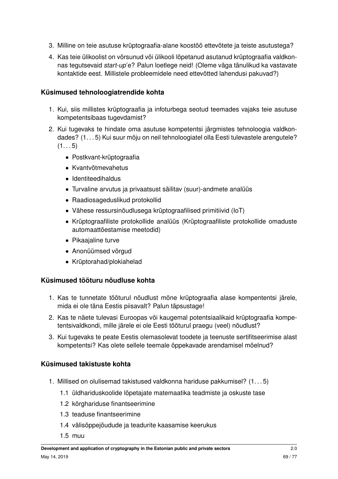- 3. Milline on teie asutuse krüptograafia-alane koostöö ettevõtete ja teiste asutustega?
- 4. Kas teie ülikoolist on võrsunud või ülikooli lõpetanud asutanud krüptograafia valdkonnas tegutsevaid start-up'e? Palun loetlege neid! (Oleme väga tänulikud ka vastavate kontaktide eest. Millistele probleemidele need ettevõtted lahendusi pakuvad?)

#### **Küsimused tehnoloogiatrendide kohta**

- 1. Kui, siis millistes krüptograafia ja infoturbega seotud teemades vajaks teie asutuse kompetentsibaas tugevdamist?
- 2. Kui tugevaks te hindate oma asutuse kompetentsi järgmistes tehnoloogia valdkondades? (1. . . 5) Kui suur mõju on neil tehnoloogiatel olla Eesti tulevastele arengutele?  $(1... 5)$ 
	- Postkvant-krüptograafia
	- Kvantvõtmevahetus
	- Identiteedihaldus
	- Turvaline arvutus ja privaatsust säilitav (suur)-andmete analüüs
	- Raadiosageduslikud protokollid
	- Vähese ressursinõudlusega krüptograafilised primitiivid (IoT)
	- Krüptograafiliste protokollide analüüs (Krüptograafiliste protokollide omaduste automaattõestamise meetodid)
	- Pikaajaline turve
	- Anonüümsed võrgud
	- Krüptorahad/plokiahelad

# **Küsimused tööturu nõudluse kohta**

- 1. Kas te tunnetate tööturul nõudlust mõne krüptograafia alase kompententsi järele, mida ei ole täna Eestis piisavalt? Palun täpsustage!
- 2. Kas te näete tulevasi Euroopas või kaugemal potentsiaalikaid krüptograafia kompetentsivaldkondi, mille järele ei ole Eesti tööturul praegu (veel) nõudlust?
- 3. Kui tugevaks te peate Eestis olemasolevat toodete ja teenuste sertifitseerimise alast kompetentsi? Kas olete sellele teemale õppekavade arendamisel mõelnud?

# **Küsimused takistuste kohta**

- 1. Millised on olulisemad takistused valdkonna hariduse pakkumisel? (1. . . 5)
	- 1.1 üldhariduskoolide lõpetajate matemaatika teadmiste ja oskuste tase
	- 1.2 kõrghariduse finantseerimine
	- 1.3 teaduse finantseerimine
	- 1.4 välisõppejõudude ja teadurite kaasamise keerukus
	- 1.5 muu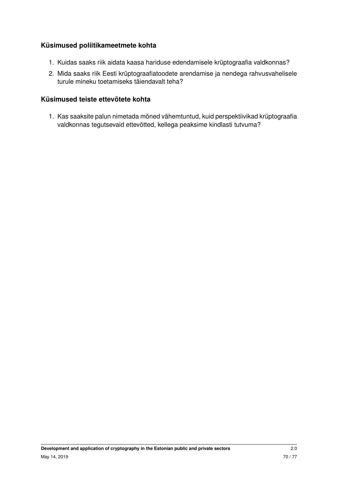# **Küsimused poliitikameetmete kohta**

- 1. Kuidas saaks riik aidata kaasa hariduse edendamisele krüptograafia valdkonnas?
- 2. Mida saaks riik Eesti krüptograafiatoodete arendamise ja nendega rahvusvahelisele turule mineku toetamiseks täiendavalt teha?

#### **Küsimused teiste ettevõtete kohta**

1. Kas saaksite palun nimetada mõned vähemtuntud, kuid perspektiivikad krüptograafia valdkonnas tegutsevaid ettevõtted, kellega peaksime kindlasti tutvuma?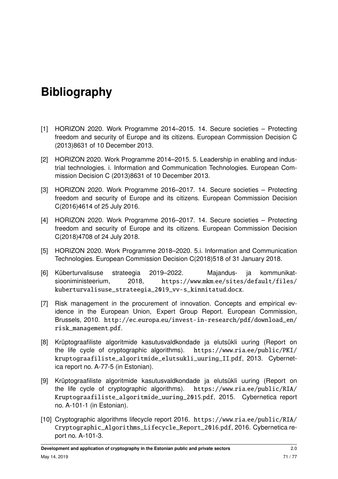# **Bibliography**

- [1] HORIZON 2020. Work Programme 2014–2015. 14. Secure societies Protecting freedom and security of Europe and its citizens. European Commission Decision C (2013)8631 of 10 December 2013.
- [2] HORIZON 2020. Work Programme 2014–2015. 5. Leadership in enabling and industrial technologies. i. Information and Communication Technologies. European Commission Decision C (2013)8631 of 10 December 2013.
- [3] HORIZON 2020. Work Programme 2016–2017. 14. Secure societies Protecting freedom and security of Europe and its citizens. European Commission Decision C(2016)4614 of 25 July 2016.
- [4] HORIZON 2020. Work Programme 2016–2017. 14. Secure societies Protecting freedom and security of Europe and its citizens. European Commission Decision C(2018)4708 of 24 July 2018.
- [5] HORIZON 2020. Work Programme 2018–2020. 5.i. Information and Communication Technologies. European Commission Decision C(2018)518 of 31 January 2018.
- <span id="page-70-2"></span>[6] Küberturvalisuse strateegia 2019–2022. Majandus- ja kommunikatsiooniministeerium, 2018, https://www.mkm.[ee/sites/default/files/](https://www.mkm.ee/sites/default/files/kuberturvalisuse_strateegia_2019_vv-s_kinnitatud.docx) [kuberturvalisuse\\_strateegia\\_2019\\_vv-s\\_kinnitatud](https://www.mkm.ee/sites/default/files/kuberturvalisuse_strateegia_2019_vv-s_kinnitatud.docx).docx.
- <span id="page-70-1"></span>[7] Risk management in the procurement of innovation. Concepts and empirical evidence in the European Union, Expert Group Report. European Commission, Brussels, 2010. http://ec.europa.[eu/invest-in-research/pdf/download\\_en/](http://ec.europa.eu/invest-in-research/pdf/download_en/risk_management.pdf) [risk\\_management](http://ec.europa.eu/invest-in-research/pdf/download_en/risk_management.pdf).pdf.
- [8] Krüptograafiliste algoritmide kasutusvaldkondade ja elutsükli uuring (Report on the life cycle of cryptographic algorithms). https://www.ria.[ee/public/PKI/](https://www.ria.ee/public/PKI/kruptograafiliste_algoritmide_elutsukli_uuring_II.pdf) [kruptograafiliste\\_algoritmide\\_elutsukli\\_uuring\\_II](https://www.ria.ee/public/PKI/kruptograafiliste_algoritmide_elutsukli_uuring_II.pdf).pdf, 2013. Cybernetica report no. A-77-5 (in Estonian).
- <span id="page-70-0"></span>[9] Krüptograafiliste algoritmide kasutusvaldkondade ja elutsükli uuring (Report on the life cycle of cryptographic algorithms). https://www.ria.[ee/public/RIA/](https://www.ria.ee/public/RIA/Kruptograafiliste_algoritmide_uuring_2015.pdf) [Kruptograafiliste\\_algoritmide\\_uuring\\_2015](https://www.ria.ee/public/RIA/Kruptograafiliste_algoritmide_uuring_2015.pdf).pdf, 2015. Cybernetica report no. A-101-1 (in Estonian).
- [10] Cryptographic algorithms lifecycle report 2016. https://www.ria.[ee/public/RIA/](https://www.ria.ee/public/RIA/Cryptographic_Algorithms_Lifecycle_Report_2016.pdf) [Cryptographic\\_Algorithms\\_Lifecycle\\_Report\\_2016](https://www.ria.ee/public/RIA/Cryptographic_Algorithms_Lifecycle_Report_2016.pdf).pdf, 2016. Cybernetica report no. A-101-3.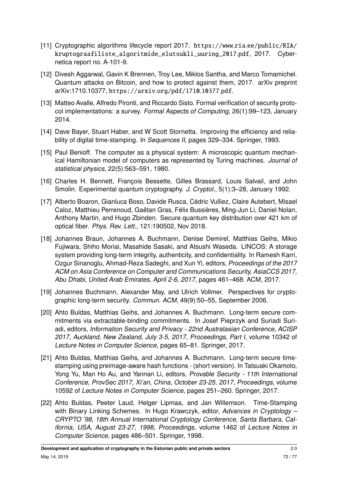- [11] Cryptographic algorithms lifecycle report 2017. https://www.ria.[ee/public/RIA/](https://www.ria.ee/public/RIA/kruptograafiliste_algoritmide_elutsukli_uuring_2017.pdf) [kruptograafiliste\\_algoritmide\\_elutsukli\\_uuring\\_2017](https://www.ria.ee/public/RIA/kruptograafiliste_algoritmide_elutsukli_uuring_2017.pdf).pdf, 2017. Cybernetica report no. A-101-9.
- [12] Divesh Aggarwal, Gavin K Brennen, Troy Lee, Miklos Santha, and Marco Tomamichel. Quantum attacks on Bitcoin, and how to protect against them, 2017. arXiv preprint arXiv:1710.10377, [https://arxiv](https://arxiv.org/pdf/1710.10377.pdf).org/pdf/1710.10377.pdf.
- [13] Matteo Avalle, Alfredo Pironti, and Riccardo Sisto. Formal verification of security protocol implementations: a survey. Formal Aspects of Computing, 26(1):99–123, January 2014.
- [14] Dave Bayer, Stuart Haber, and W Scott Stornetta. Improving the efficiency and reliability of digital time-stamping. In Sequences II, pages 329–334. Springer, 1993.
- [15] Paul Benioff. The computer as a physical system: A microscopic quantum mechanical Hamiltonian model of computers as represented by Turing machines. Journal of statistical physics, 22(5):563–591, 1980.
- [16] Charles H. Bennett, François Bessette, Gilles Brassard, Louis Salvail, and John Smolin. Experimental quantum cryptography. J. Cryptol., 5(1):3–28, January 1992.
- [17] Alberto Boaron, Gianluca Boso, Davide Rusca, Cédric Vulliez, Claire Autebert, Misael Caloz, Matthieu Perrenoud, Gaëtan Gras, Félix Bussières, Ming-Jun Li, Daniel Nolan, Anthony Martin, and Hugo Zbinden. Secure quantum key distribution over 421 km of optical fiber. Phys. Rev. Lett., 121:190502, Nov 2018.
- [18] Johannes Braun, Johannes A. Buchmann, Denise Demirel, Matthias Geihs, Mikio Fujiwara, Shiho Moriai, Masahide Sasaki, and Atsushi Waseda. LINCOS: A storage system providing long-term integrity, authenticity, and confidentiality. In Ramesh Karri, Ozgur Sinanoglu, Ahmad-Reza Sadeghi, and Xun Yi, editors, Proceedings of the 2017 ACM on Asia Conference on Computer and Communications Security, AsiaCCS 2017, Abu Dhabi, United Arab Emirates, April 2-6, 2017, pages 461–468. ACM, 2017.
- [19] Johannes Buchmann, Alexander May, and Ulrich Vollmer. Perspectives for cryptographic long-term security. Commun. ACM, 49(9):50–55, September 2006.
- [20] Ahto Buldas, Matthias Geihs, and Johannes A. Buchmann. Long-term secure commitments via extractable-binding commitments. In Josef Pieprzyk and Suriadi Suriadi, editors, Information Security and Privacy - 22nd Australasian Conference, ACISP 2017, Auckland, New Zealand, July 3-5, 2017, Proceedings, Part I, volume 10342 of Lecture Notes in Computer Science, pages 65–81. Springer, 2017.
- [21] Ahto Buldas, Matthias Geihs, and Johannes A. Buchmann. Long-term secure timestamping using preimage-aware hash functions - (short version). In Tatsuaki Okamoto, Yong Yu, Man Ho Au, and Yannan Li, editors, Provable Security - 11th International Conference, ProvSec 2017, Xi'an, China, October 23-25, 2017, Proceedings, volume 10592 of Lecture Notes in Computer Science, pages 251–260. Springer, 2017.
- [22] Ahto Buldas, Peeter Laud, Helger Lipmaa, and Jan Willemson. Time-Stamping with Binary Linking Schemes. In Hugo Krawczyk, editor, Advances in Cryptology -CRYPTO '98, 18th Annual International Cryptology Conference, Santa Barbara, California, USA, August 23-27, 1998, Proceedings, volume 1462 of Lecture Notes in Computer Science, pages 486–501. Springer, 1998.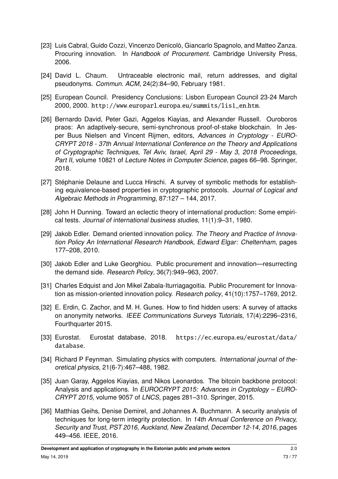- [23] Luis Cabral, Guido Cozzi, Vincenzo Denicolò, Giancarlo Spagnolo, and Matteo Zanza. Procuring innovation. In Handbook of Procurement. Cambridge University Press, 2006.
- [24] David L. Chaum. Untraceable electronic mail, return addresses, and digital pseudonyms. Commun. ACM, 24(2):84–90, February 1981.
- [25] European Council. Presidency Conclusions: Lisbon European Council 23-24 March 2000, 2000. http://www.europarl.europa.[eu/summits/lis1\\_en](http://www.europarl.europa.eu/summits/lis1_en.htm).htm.
- [26] Bernardo David, Peter Gazi, Aggelos Kiayias, and Alexander Russell. Ouroboros praos: An adaptively-secure, semi-synchronous proof-of-stake blockchain. In Jesper Buus Nielsen and Vincent Rijmen, editors, Advances in Cryptology - EURO-CRYPT 2018 - 37th Annual International Conference on the Theory and Applications of Cryptographic Techniques, Tel Aviv, Israel, April 29 - May 3, 2018 Proceedings, Part II, volume 10821 of Lecture Notes in Computer Science, pages 66–98. Springer, 2018.
- [27] Stéphanie Delaune and Lucca Hirschi. A survey of symbolic methods for establishing equivalence-based properties in cryptographic protocols. Journal of Logical and Algebraic Methods in Programming, 87:127 – 144, 2017.
- [28] John H Dunning. Toward an eclectic theory of international production: Some empirical tests. Journal of international business studies, 11(1):9–31, 1980.
- [29] Jakob Edler. Demand oriented innovation policy. The Theory and Practice of Innovation Policy An International Research Handbook, Edward Elgar: Cheltenham, pages 177–208, 2010.
- [30] Jakob Edler and Luke Georghiou. Public procurement and innovation—resurrecting the demand side. Research Policy, 36(7):949–963, 2007.
- [31] Charles Edquist and Jon Mikel Zabala-Iturriagagoitia. Public Procurement for Innovation as mission-oriented innovation policy. Research policy, 41(10):1757–1769, 2012.
- [32] E. Erdin, C. Zachor, and M. H. Gunes. How to find hidden users: A survey of attacks on anonymity networks. IEEE Communications Surveys Tutorials, 17(4):2296–2316, Fourthquarter 2015.
- [33] Eurostat. Eurostat database, 2018. https://ec.europa.[eu/eurostat/data/](https://ec.europa.eu/eurostat/data/database) [database](https://ec.europa.eu/eurostat/data/database).
- [34] Richard P Feynman. Simulating physics with computers. International journal of theoretical physics, 21(6-7):467–488, 1982.
- [35] Juan Garay, Aggelos Kiayias, and Nikos Leonardos. The bitcoin backbone protocol: Analysis and applications. In EUROCRYPT 2015: Advances in Cryptology – EURO-CRYPT 2015, volume 9057 of LNCS, pages 281–310. Springer, 2015.
- [36] Matthias Geihs, Denise Demirel, and Johannes A. Buchmann. A security analysis of techniques for long-term integrity protection. In 14th Annual Conference on Privacy, Security and Trust, PST 2016, Auckland, New Zealand, December 12-14, 2016, pages 449–456. IEEE, 2016.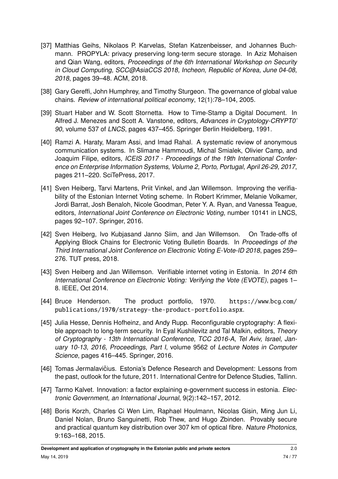- [37] Matthias Geihs, Nikolaos P. Karvelas, Stefan Katzenbeisser, and Johannes Buchmann. PROPYLA: privacy preserving long-term secure storage. In Aziz Mohaisen and Qian Wang, editors, Proceedings of the 6th International Workshop on Security in Cloud Computing, SCC@AsiaCCS 2018, Incheon, Republic of Korea, June 04-08, 2018, pages 39–48. ACM, 2018.
- [38] Gary Gereffi, John Humphrey, and Timothy Sturgeon. The governance of global value chains. Review of international political economy, 12(1):78–104, 2005.
- [39] Stuart Haber and W. Scott Stornetta. How to Time-Stamp a Digital Document. In Alfred J. Menezes and Scott A. Vanstone, editors, Advances in Cryptology-CRYPT0' 90, volume 537 of LNCS, pages 437–455. Springer Berlin Heidelberg, 1991.
- [40] Ramzi A. Haraty, Maram Assi, and Imad Rahal. A systematic review of anonymous communication systems. In Slimane Hammoudi, Michal Smialek, Olivier Camp, and Joaquim Filipe, editors, ICEIS 2017 - Proceedings of the 19th International Conference on Enterprise Information Systems, Volume 2, Porto, Portugal, April 26-29, 2017, pages 211–220. SciTePress, 2017.
- [41] Sven Heiberg, Tarvi Martens, Priit Vinkel, and Jan Willemson. Improving the verifiability of the Estonian Internet Voting scheme. In Robert Krimmer, Melanie Volkamer, Jordi Barrat, Josh Benaloh, Nicole Goodman, Peter Y. A. Ryan, and Vanessa Teague, editors, International Joint Conference on Electronic Voting, number 10141 in LNCS, pages 92–107. Springer, 2016.
- [42] Sven Heiberg, Ivo Kubjasand Janno Siim, and Jan Willemson. On Trade-offs of Applying Block Chains for Electronic Voting Bulletin Boards. In Proceedings of the Third International Joint Conference on Electronic Voting E-Vote-ID 2018, pages 259– 276. TUT press, 2018.
- [43] Sven Heiberg and Jan Willemson. Verifiable internet voting in Estonia. In 2014 6th International Conference on Electronic Voting: Verifying the Vote (EVOTE), pages 1– 8. IEEE, Oct 2014.
- [44] Bruce Henderson. The product portfolio, 1970. [https://www](https://www.bcg.com/publications/1970/strategy-the-product-portfolio.aspx).bcg.com/<br>mublications/1970/strategy-the-product-portfolio.aspx [publications/1970/strategy-the-product-portfolio](https://www.bcg.com/publications/1970/strategy-the-product-portfolio.aspx).aspx.
- [45] Julia Hesse, Dennis Hofheinz, and Andy Rupp. Reconfigurable cryptography: A flexible approach to long-term security. In Eyal Kushilevitz and Tal Malkin, editors, Theory of Cryptography - 13th International Conference, TCC 2016-A, Tel Aviv, Israel, January 10-13, 2016, Proceedings, Part I, volume 9562 of Lecture Notes in Computer Science, pages 416–445. Springer, 2016.
- [46] Tomas Jermalavičius. Estonia's Defence Research and Development: Lessons from the past, outlook for the future, 2011. International Centre for Defence Studies, Tallinn.
- [47] Tarmo Kalvet. Innovation: a factor explaining e-government success in estonia. Electronic Government, an International Journal, 9(2):142–157, 2012.
- [48] Boris Korzh, Charles Ci Wen Lim, Raphael Houlmann, Nicolas Gisin, Ming Jun Li, Daniel Nolan, Bruno Sanguinetti, Rob Thew, and Hugo Zbinden. Provably secure and practical quantum key distribution over 307 km of optical fibre. Nature Photonics, 9:163–168, 2015.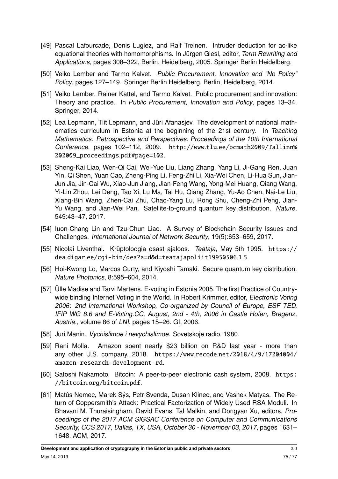- [49] Pascal Lafourcade, Denis Lugiez, and Ralf Treinen. Intruder deduction for ac-like equational theories with homomorphisms. In Jürgen Giesl, editor, Term Rewriting and Applications, pages 308–322, Berlin, Heidelberg, 2005. Springer Berlin Heidelberg.
- [50] Veiko Lember and Tarmo Kalvet. Public Procurement, Innovation and "No Policy" Policy, pages 127–149. Springer Berlin Heidelberg, Berlin, Heidelberg, 2014.
- [51] Veiko Lember, Rainer Kattel, and Tarmo Kalvet. Public procurement and innovation: Theory and practice. In Public Procurement, Innovation and Policy, pages 13–34. Springer, 2014.
- [52] Lea Lepmann, Tiit Lepmann, and Jüri Afanasjev. The development of national mathematics curriculum in Estonia at the beginning of the 21st century. In Teaching Mathematics: Retrospective and Perspectives. Proceedings of the 10th International Conference, pages 102–112, 2009. http://www.tlu.[ee/bcmath2009/Tallinn%](http://www.tlu.ee/bcmath2009/Tallinn%202009_proceedings.pdf#page=102) [202009\\_proceedings](http://www.tlu.ee/bcmath2009/Tallinn%202009_proceedings.pdf#page=102).pdf#page=102.
- [53] Sheng-Kai Liao, Wen-Qi Cai, Wei-Yue Liu, Liang Zhang, Yang Li, Ji-Gang Ren, Juan Yin, Qi Shen, Yuan Cao, Zheng-Ping Li, Feng-Zhi Li, Xia-Wei Chen, Li-Hua Sun, Jian-Jun Jia, Jin-Cai Wu, Xiao-Jun Jiang, Jian-Feng Wang, Yong-Mei Huang, Qiang Wang, Yi-Lin Zhou, Lei Deng, Tao Xi, Lu Ma, Tai Hu, Qiang Zhang, Yu-Ao Chen, Nai-Le Liu, Xiang-Bin Wang, Zhen-Cai Zhu, Chao-Yang Lu, Rong Shu, Cheng-Zhi Peng, Jian-Yu Wang, and Jian-Wei Pan. Satellite-to-ground quantum key distribution. Nature, 549:43–47, 2017.
- [54] Iuon-Chang Lin and Tzu-Chun Liao. A Survey of Blockchain Security Issues and Challenges. International Journal of Network Security, 19(5):653–659, 2017.
- [55] Nicolai Liventhal. Krüptoloogia osast ajaloos. Teataja, May 5th 1995. [https://](https://dea.digar.ee/cgi-bin/dea?a=d&d=teatajapoliit19950506.1.5) dea.digar.[ee/cgi-bin/dea?a=d&d=teatajapoliit19950506](https://dea.digar.ee/cgi-bin/dea?a=d&d=teatajapoliit19950506.1.5).1.5.
- [56] Hoi-Kwong Lo, Marcos Curty, and Kiyoshi Tamaki. Secure quantum key distribution. Nature Photonics, 8:595–604, 2014.
- [57] Ülle Madise and Tarvi Martens. E-voting in Estonia 2005. The first Practice of Countrywide binding Internet Voting in the World. In Robert Krimmer, editor, Electronic Voting 2006: 2nd International Workshop, Co-organized by Council of Europe, ESF TED, IFIP WG 8.6 and E-Voting.CC, August, 2nd - 4th, 2006 in Castle Hofen, Bregenz, Austria., volume 86 of LNI, pages 15–26. GI, 2006.
- [58] Juri Manin. Vychislimoe i nevychislimoe. Sovetskoje radio, 1980.
- [59] Rani Molla. Amazon spent nearly \$23 billion on R&D last year more than any other U.S. company, 2018. https://www.recode.[net/2018/4/9/17204004/](https://www.recode.net/2018/4/9/17204004/amazon-research-development-rd) [amazon-research-development-rd](https://www.recode.net/2018/4/9/17204004/amazon-research-development-rd).
- [60] Satoshi Nakamoto. Bitcoin: A peer-to-peer electronic cash system, 2008. [https:](https://bitcoin.org/bitcoin.pdf) //bitcoin.[org/bitcoin](https://bitcoin.org/bitcoin.pdf).pdf.
- [61] Matús Nemec, Marek Sýs, Petr Svenda, Dusan Klinec, and Vashek Matyas. The Return of Coppersmith's Attack: Practical Factorization of Widely Used RSA Moduli. In Bhavani M. Thuraisingham, David Evans, Tal Malkin, and Dongyan Xu, editors, Proceedings of the 2017 ACM SIGSAC Conference on Computer and Communications Security, CCS 2017, Dallas, TX, USA, October 30 - November 03, 2017, pages 1631– 1648. ACM, 2017.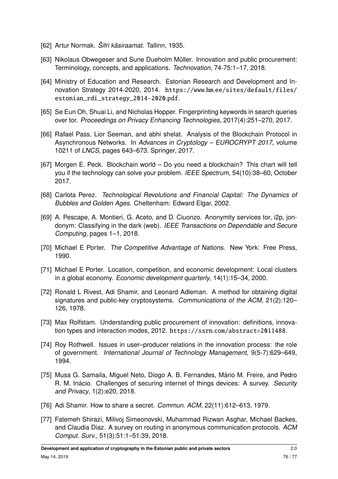- [62] Artur Normak. Šifri käsiraamat. Tallinn, 1935.
- [63] Nikolaus Obwegeser and Sune Dueholm Müller. Innovation and public procurement: Terminology, concepts, and applications. Technovation, 74-75:1–17, 2018.
- [64] Ministry of Education and Research. Estonian Research and Development and Innovation Strategy 2014-2020, 2014. https://www.hm.[ee/sites/default/files/](https://www.hm.ee/sites/default/files/estonian_rdi_strategy_2014-2020.pdf) [estonian\\_rdi\\_strategy\\_2014-2020](https://www.hm.ee/sites/default/files/estonian_rdi_strategy_2014-2020.pdf).pdf.
- [65] Se Eun Oh, Shuai Li, and Nicholas Hopper. Fingerprinting keywords in search queries over tor. Proceedings on Privacy Enhancing Technologies, 2017(4):251–270, 2017.
- [66] Rafael Pass, Lior Seeman, and abhi shelat. Analysis of the Blockchain Protocol in Asynchronous Networks. In Advances in Cryptology – EUROCRYPT 2017, volume 10211 of LNCS, pages 643–673. Springer, 2017.
- [67] Morgen E. Peck. Blockchain world Do you need a blockchain? This chart will tell you if the technology can solve your problem. IEEE Spectrum, 54(10):38–60, October 2017.
- [68] Carlota Perez. Technological Revolutions and Financial Capital: The Dynamics of Bubbles and Golden Ages. Cheltenham: Edward Elgar, 2002.
- [69] A. Pescape, A. Montieri, G. Aceto, and D. Ciuonzo. Anonymity services tor, i2p, jondonym: Classifying in the dark (web). IEEE Transactions on Dependable and Secure Computing, pages 1–1, 2018.
- [70] Michael E Porter. The Competitive Advantage of Nations. New York: Free Press, 1990.
- [71] Michael E Porter. Location, competition, and economic development: Local clusters in a global economy. Economic development quarterly, 14(1):15–34, 2000.
- [72] Ronald L Rivest, Adi Shamir, and Leonard Adleman. A method for obtaining digital signatures and public-key cryptosystems. Communications of the ACM, 21(2):120– 126, 1978.
- [73] Max Rolfstam. Understanding public procurement of innovation: definitions, innovation types and interaction modes, 2012. https://ssrn.[com/abstract=2011488](https://ssrn.com/abstract=2011488).
- [74] Roy Rothwell. Issues in user–producer relations in the innovation process: the role of government. International Journal of Technology Management, 9(5-7):629–649, 1994.
- [75] Musa G. Samaila, Miguel Neto, Diogo A. B. Fernandes, Mário M. Freire, and Pedro R. M. Inácio. Challenges of securing internet of things devices: A survey. Security and Privacy, 1(2):e20, 2018.
- [76] Adi Shamir. How to share a secret. Commun. ACM, 22(11):612–613, 1979.
- [77] Fatemeh Shirazi, Milivoj Simeonovski, Muhammad Rizwan Asghar, Michael Backes, and Claudia Diaz. A survey on routing in anonymous communication protocols. ACM Comput. Surv., 51(3):51:1–51:39, 2018.